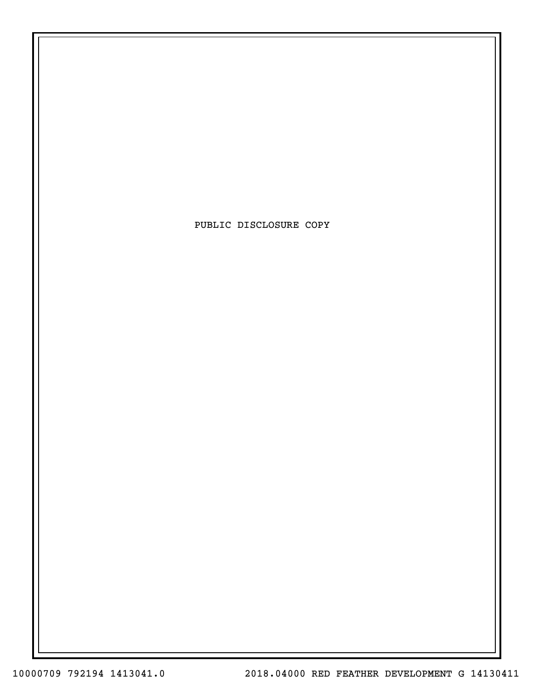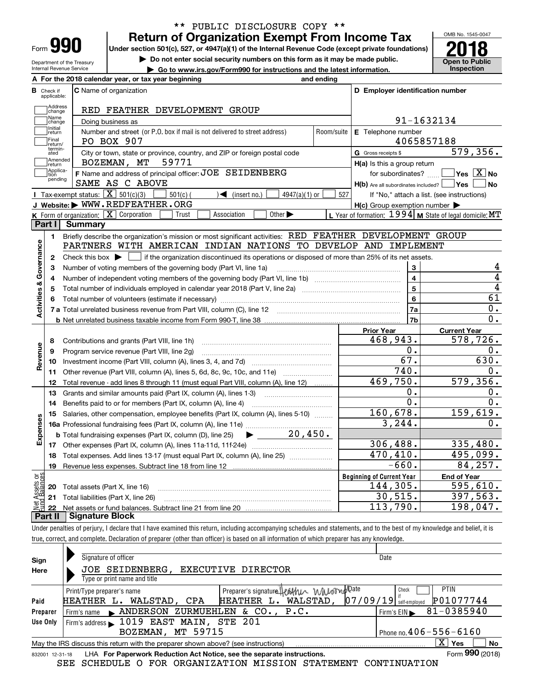| Form |  |
|------|--|

Department of the Treasury Internal Revenue Service

### **Return of Organization Exempt From Income Tax** \*\* PUBLIC DISCLOSURE COPY \*\*

**Under section 501(c), 527, or 4947(a)(1) of the Internal Revenue Code (except private foundations) 2018**

**| Do not enter social security numbers on this form as it may be made public.**

**| Go to www.irs.gov/Form990 for instructions and the latest information. Inspection**

OMB No. 1545-0047 **Open to Public** 

|                         |                                  | A For the 2018 calendar year, or tax year beginning                                                                                         | and ending                      |                                                         |                                                           |  |  |  |  |  |
|-------------------------|----------------------------------|---------------------------------------------------------------------------------------------------------------------------------------------|---------------------------------|---------------------------------------------------------|-----------------------------------------------------------|--|--|--|--|--|
|                         | <b>B</b> Check if<br>applicable: | <b>C</b> Name of organization                                                                                                               |                                 | D Employer identification number                        |                                                           |  |  |  |  |  |
|                         | Address<br> change               |                                                                                                                                             |                                 |                                                         |                                                           |  |  |  |  |  |
|                         | Name<br>change                   | Doing business as                                                                                                                           | RED FEATHER DEVELOPMENT GROUP   |                                                         |                                                           |  |  |  |  |  |
|                         | Initial<br>return                | Number and street (or P.O. box if mail is not delivered to street address)                                                                  | Room/suite   E Telephone number |                                                         |                                                           |  |  |  |  |  |
|                         | Final<br>return/                 | PO BOX 907                                                                                                                                  |                                 |                                                         | 4065857188                                                |  |  |  |  |  |
|                         | termin-<br>ated                  | City or town, state or province, country, and ZIP or foreign postal code                                                                    |                                 | <b>G</b> Gross receipts \$                              | 579,356.                                                  |  |  |  |  |  |
|                         | Amended<br> return               | BOZEMAN, MT<br>59771                                                                                                                        |                                 | $H(a)$ is this a group return                           |                                                           |  |  |  |  |  |
|                         | Applica-<br>tion<br>pending      | F Name and address of principal officer: JOE SEIDENBERG<br>SAME AS C ABOVE                                                                  |                                 | $H(b)$ Are all subordinates included? $\Box$ Yes $\Box$ | for subordinates? $\Box$ Yes $\boxed{X}$ No<br>  No       |  |  |  |  |  |
|                         |                                  | Tax-exempt status: $\boxed{\mathbf{X}}$ 501(c)(3)<br>$\sqrt{\bullet}$ (insert no.)<br>$501(c)$ (<br>$4947(a)(1)$ or                         | 527                             |                                                         | If "No," attach a list. (see instructions)                |  |  |  |  |  |
|                         |                                  | J Website: WWW.REDFEATHER.ORG                                                                                                               |                                 | $H(c)$ Group exemption number $\blacktriangleright$     |                                                           |  |  |  |  |  |
|                         |                                  | K Form of organization: X Corporation<br>Other $\blacktriangleright$<br>Trust<br>Association                                                |                                 |                                                         | L Year of formation: $1994$ M State of legal domicile: MT |  |  |  |  |  |
|                         | Part I I                         | Summary                                                                                                                                     |                                 |                                                         |                                                           |  |  |  |  |  |
|                         | 1.                               | Briefly describe the organization's mission or most significant activities: RED FEATHER DEVELOPMENT GROUP                                   |                                 |                                                         |                                                           |  |  |  |  |  |
| Activities & Governance |                                  | PARTNERS WITH AMERICAN INDIAN NATIONS TO DEVELOP AND IMPLEMENT                                                                              |                                 |                                                         |                                                           |  |  |  |  |  |
|                         | $\mathbf{2}$                     | Check this box $\blacktriangleright$ $\Box$ if the organization discontinued its operations or disposed of more than 25% of its net assets. |                                 |                                                         |                                                           |  |  |  |  |  |
|                         | 3                                | Number of voting members of the governing body (Part VI, line 1a)                                                                           |                                 | 3                                                       | 4                                                         |  |  |  |  |  |
|                         | 4                                |                                                                                                                                             | $\overline{\mathbf{4}}$         | 4                                                       |                                                           |  |  |  |  |  |
|                         | 5                                |                                                                                                                                             | 5                               | $\overline{4}$                                          |                                                           |  |  |  |  |  |
|                         | 6                                |                                                                                                                                             |                                 | 6                                                       | 61                                                        |  |  |  |  |  |
|                         |                                  |                                                                                                                                             |                                 | <b>7a</b>                                               | 0.                                                        |  |  |  |  |  |
|                         |                                  |                                                                                                                                             |                                 | 7 <sub>b</sub>                                          | $\mathbf 0$ .                                             |  |  |  |  |  |
|                         |                                  |                                                                                                                                             |                                 | <b>Prior Year</b><br>468,943.                           | <b>Current Year</b><br>578,726.                           |  |  |  |  |  |
|                         | 8                                | Contributions and grants (Part VIII, line 1h)                                                                                               |                                 |                                                         |                                                           |  |  |  |  |  |
| Revenue                 | 9                                | Program service revenue (Part VIII, line 2g)                                                                                                |                                 | 0.                                                      | 0.                                                        |  |  |  |  |  |
|                         | 10                               |                                                                                                                                             |                                 | 67.                                                     | 630.                                                      |  |  |  |  |  |
|                         | 11                               | Other revenue (Part VIII, column (A), lines 5, 6d, 8c, 9c, 10c, and 11e)                                                                    |                                 | 740.                                                    | 0.                                                        |  |  |  |  |  |
|                         | 12                               | Total revenue - add lines 8 through 11 (must equal Part VIII, column (A), line 12)                                                          |                                 | 469,750.                                                | 579, 356.                                                 |  |  |  |  |  |
|                         | 13                               | Grants and similar amounts paid (Part IX, column (A), lines 1-3)                                                                            |                                 | 0.                                                      | 0.                                                        |  |  |  |  |  |
|                         | 14                               |                                                                                                                                             |                                 | $\overline{0}$ .                                        | 0.                                                        |  |  |  |  |  |
|                         | 15                               | Salaries, other compensation, employee benefits (Part IX, column (A), lines 5-10)                                                           |                                 | 160,678.                                                | 159,619.                                                  |  |  |  |  |  |
| Expenses                |                                  |                                                                                                                                             |                                 | 3, 244.                                                 | О.                                                        |  |  |  |  |  |
|                         |                                  | 20,450.<br><b>b</b> Total fundraising expenses (Part IX, column (D), line 25)                                                               |                                 |                                                         |                                                           |  |  |  |  |  |
|                         |                                  |                                                                                                                                             |                                 | 306, 488.                                               | 335,480.                                                  |  |  |  |  |  |
|                         |                                  | 18 Total expenses. Add lines 13-17 (must equal Part IX, column (A), line 25) <i>manumens</i>                                                |                                 | 470,410.                                                | 495,099.                                                  |  |  |  |  |  |
|                         | 19                               |                                                                                                                                             |                                 | $-660.$                                                 | 84,257.                                                   |  |  |  |  |  |
| ăğ                      |                                  |                                                                                                                                             |                                 | <b>Beginning of Current Year</b>                        | <b>End of Year</b>                                        |  |  |  |  |  |
| sets                    | 20                               | Total assets (Part X, line 16)                                                                                                              |                                 | 144,305.                                                | 595,610.                                                  |  |  |  |  |  |
|                         |                                  | 21 Total liabilities (Part X, line 26)                                                                                                      |                                 | 30,515.                                                 | 397,563.                                                  |  |  |  |  |  |
|                         | 22                               |                                                                                                                                             |                                 | 113,790.                                                | 198,047.                                                  |  |  |  |  |  |
|                         | Part II                          | <b>Signature Block</b>                                                                                                                      |                                 |                                                         |                                                           |  |  |  |  |  |

Under penalties of perjury, I declare that I have examined this return, including accompanying schedules and statements, and to the best of my knowledge and belief, it is true, correct, and complete. Declaration of preparer (other than officer) is based on all information of which preparer has any knowledge.

| Sign            | Signature of officer                                                              | Date                                           |
|-----------------|-----------------------------------------------------------------------------------|------------------------------------------------|
| Here            | JOE SEIDENBERG,<br>EXECUTIVE DIRECTOR                                             |                                                |
|                 | Type or print name and title                                                      |                                                |
|                 | Preparer's signature Heathu WWomp Date<br>Print/Type preparer's name              | <b>PTIN</b><br>Check                           |
| Paid            | HEATHER L. WALSTAD,<br>HEATHER L. WALSTAD, CPA                                    | P01077744<br>$07/09/19$ self-employed          |
| Preparer        | Firm's name ANDERSON ZURMUEHLEN & CO., P.C.                                       | 81-0385940<br>$Firm's EIN \blacktriangleright$ |
| Use Only        | Firm's address 1019 EAST MAIN, STE 201                                            |                                                |
|                 | BOZEMAN, MT 59715                                                                 | Phone no. $406 - 556 - 6160$                   |
|                 | May the IRS discuss this return with the preparer shown above? (see instructions) | ΧI<br>Yes<br>No                                |
| 832001 12-31-18 | LHA For Paperwork Reduction Act Notice, see the separate instructions.            | Form 990 (2018)                                |

-31-18 LHA For Paperwork Reduction Act Notice, see the separate instructions. Form 990 (2018)<br>SEE SCHEDULE O FOR ORGANIZATION MISSION STATEMENT CONTINUATION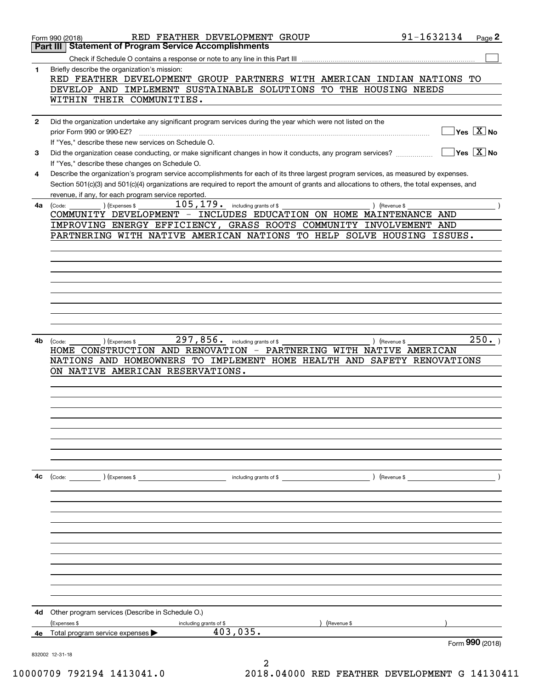|              | 91-1632134<br>RED FEATHER DEVELOPMENT GROUP<br>Page 2<br>Form 990 (2018)                                                                                           |  |
|--------------|--------------------------------------------------------------------------------------------------------------------------------------------------------------------|--|
|              | <b>Statement of Program Service Accomplishments</b><br>Part III                                                                                                    |  |
|              |                                                                                                                                                                    |  |
| 1            | Briefly describe the organization's mission:                                                                                                                       |  |
|              | RED FEATHER DEVELOPMENT GROUP PARTNERS WITH AMERICAN INDIAN NATIONS TO                                                                                             |  |
|              | DEVELOP AND IMPLEMENT SUSTAINABLE SOLUTIONS TO THE HOUSING NEEDS                                                                                                   |  |
|              | WITHIN THEIR COMMUNITIES.                                                                                                                                          |  |
|              |                                                                                                                                                                    |  |
| $\mathbf{2}$ | Did the organization undertake any significant program services during the year which were not listed on the                                                       |  |
|              | $\sqrt{}$ Yes $\sqrt{}$ X $\sqrt{}$ No<br>prior Form 990 or 990-EZ?                                                                                                |  |
|              | If "Yes," describe these new services on Schedule O.                                                                                                               |  |
| 3            | $\overline{\mathsf{Yes} \mathrel{\overline{X}}$ No<br>Did the organization cease conducting, or make significant changes in how it conducts, any program services? |  |
|              | If "Yes," describe these changes on Schedule O.                                                                                                                    |  |
| 4            | Describe the organization's program service accomplishments for each of its three largest program services, as measured by expenses.                               |  |
|              | Section 501(c)(3) and 501(c)(4) organizations are required to report the amount of grants and allocations to others, the total expenses, and                       |  |
|              | revenue, if any, for each program service reported.                                                                                                                |  |
| 4a l         | 105, 179.<br>including grants of \$<br>(Expenses \$<br>) (Revenue \$<br>(Code:                                                                                     |  |
|              | COMMUNITY DEVELOPMENT - INCLUDES EDUCATION ON HOME MAINTENANCE AND                                                                                                 |  |
|              | IMPROVING ENERGY EFFICIENCY, GRASS ROOTS COMMUNITY INVOLVEMENT AND                                                                                                 |  |
|              | PARTNERING WITH NATIVE AMERICAN NATIONS TO HELP SOLVE HOUSING<br>ISSUES.                                                                                           |  |
|              |                                                                                                                                                                    |  |
|              |                                                                                                                                                                    |  |
|              |                                                                                                                                                                    |  |
|              |                                                                                                                                                                    |  |
|              |                                                                                                                                                                    |  |
|              |                                                                                                                                                                    |  |
|              |                                                                                                                                                                    |  |
|              |                                                                                                                                                                    |  |
|              |                                                                                                                                                                    |  |
| 4b.          | 297,856.<br>250.<br>including grants of \$<br>) (Revenue \$<br>(Expenses \$<br>(Code:                                                                              |  |
|              | HOME CONSTRUCTION AND RENOVATION - PARTNERING WITH NATIVE AMERICAN                                                                                                 |  |
|              | NATIONS AND HOMEOWNERS TO IMPLEMENT HOME HEALTH AND SAFETY RENOVATIONS                                                                                             |  |
|              | ON NATIVE AMERICAN RESERVATIONS.                                                                                                                                   |  |
|              |                                                                                                                                                                    |  |
|              |                                                                                                                                                                    |  |
|              |                                                                                                                                                                    |  |
|              |                                                                                                                                                                    |  |
|              |                                                                                                                                                                    |  |
|              |                                                                                                                                                                    |  |
|              |                                                                                                                                                                    |  |
|              |                                                                                                                                                                    |  |
|              |                                                                                                                                                                    |  |
| 4с           | $\begin{array}{ccc} \text{(Code:} & \text{ } \\ \end{array}$ $\begin{array}{ccc} \text{(Expenses $$)} & \end{array}$                                               |  |
|              |                                                                                                                                                                    |  |
|              |                                                                                                                                                                    |  |
|              |                                                                                                                                                                    |  |
|              |                                                                                                                                                                    |  |
|              |                                                                                                                                                                    |  |
|              |                                                                                                                                                                    |  |
|              |                                                                                                                                                                    |  |
|              |                                                                                                                                                                    |  |
|              |                                                                                                                                                                    |  |
|              |                                                                                                                                                                    |  |
|              |                                                                                                                                                                    |  |
|              |                                                                                                                                                                    |  |
| 4d           | Other program services (Describe in Schedule O.)                                                                                                                   |  |
|              | (Expenses \$<br>(Revenue \$<br>including grants of \$                                                                                                              |  |
| 4e           | 403,035.<br>Total program service expenses                                                                                                                         |  |
|              | Form 990 (2018)                                                                                                                                                    |  |
|              | 832002 12-31-18                                                                                                                                                    |  |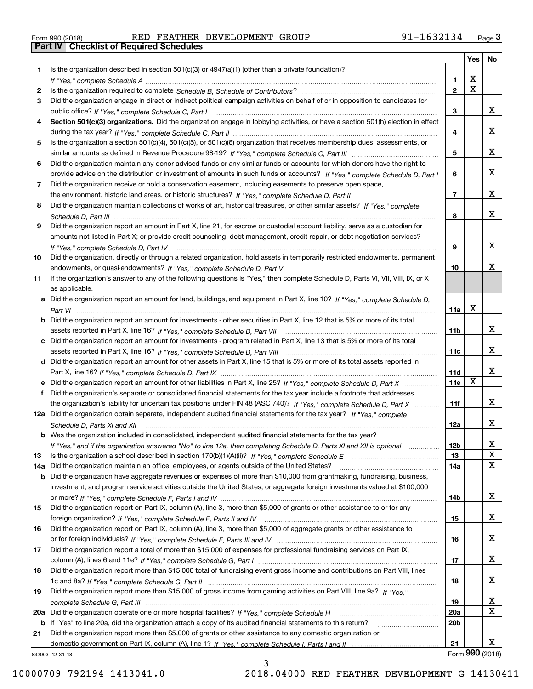| Form 990 (2018) |  |  |
|-----------------|--|--|

Form 990 (2018) RED FEATHER DEVELOPMENT GROUP 91-1632134 <sub>Page</sub> 3<br>**Part IV | Checklist of Required Schedules** 

|     |                                                                                                                                      |                 | Yes                     | No              |
|-----|--------------------------------------------------------------------------------------------------------------------------------------|-----------------|-------------------------|-----------------|
| 1.  | Is the organization described in section $501(c)(3)$ or $4947(a)(1)$ (other than a private foundation)?                              |                 |                         |                 |
|     |                                                                                                                                      | 1.              | X                       |                 |
| 2   |                                                                                                                                      | $\overline{2}$  | $\overline{\mathbf{x}}$ |                 |
| 3   | Did the organization engage in direct or indirect political campaign activities on behalf of or in opposition to candidates for      |                 |                         |                 |
|     |                                                                                                                                      | 3               |                         | x               |
| 4   | Section 501(c)(3) organizations. Did the organization engage in lobbying activities, or have a section 501(h) election in effect     |                 |                         |                 |
|     |                                                                                                                                      | 4               |                         | x               |
| 5   | Is the organization a section 501(c)(4), 501(c)(5), or 501(c)(6) organization that receives membership dues, assessments, or         |                 |                         |                 |
|     |                                                                                                                                      | 5               |                         | x               |
| 6   | Did the organization maintain any donor advised funds or any similar funds or accounts for which donors have the right to            |                 |                         |                 |
|     | provide advice on the distribution or investment of amounts in such funds or accounts? If "Yes," complete Schedule D, Part I         | 6               |                         | x               |
| 7   | Did the organization receive or hold a conservation easement, including easements to preserve open space,                            |                 |                         |                 |
|     |                                                                                                                                      | $\overline{7}$  |                         | x               |
| 8   | Did the organization maintain collections of works of art, historical treasures, or other similar assets? If "Yes," complete         |                 |                         |                 |
|     |                                                                                                                                      | 8               |                         | X.              |
| 9   | Did the organization report an amount in Part X, line 21, for escrow or custodial account liability, serve as a custodian for        |                 |                         |                 |
|     | amounts not listed in Part X; or provide credit counseling, debt management, credit repair, or debt negotiation services?            |                 |                         |                 |
|     | If "Yes," complete Schedule D, Part IV                                                                                               | 9               |                         | x               |
| 10  | Did the organization, directly or through a related organization, hold assets in temporarily restricted endowments, permanent        |                 |                         |                 |
|     |                                                                                                                                      | 10              |                         | x.              |
| 11  | If the organization's answer to any of the following questions is "Yes," then complete Schedule D, Parts VI, VIII, VIII, IX, or X    |                 |                         |                 |
|     | as applicable.                                                                                                                       |                 |                         |                 |
|     | a Did the organization report an amount for land, buildings, and equipment in Part X, line 10? If "Yes," complete Schedule D,        |                 |                         |                 |
|     |                                                                                                                                      | 11a             | Х                       |                 |
|     | <b>b</b> Did the organization report an amount for investments - other securities in Part X, line 12 that is 5% or more of its total |                 |                         |                 |
|     |                                                                                                                                      | 11 <sub>b</sub> |                         | X.              |
|     | c Did the organization report an amount for investments - program related in Part X, line 13 that is 5% or more of its total         |                 |                         |                 |
|     |                                                                                                                                      | 11c             |                         | x               |
|     | d Did the organization report an amount for other assets in Part X, line 15 that is 5% or more of its total assets reported in       |                 |                         |                 |
|     |                                                                                                                                      | 11d             |                         | x               |
|     | e Did the organization report an amount for other liabilities in Part X, line 25? If "Yes," complete Schedule D, Part X              | 11e             | X                       |                 |
| f   | Did the organization's separate or consolidated financial statements for the tax year include a footnote that addresses              |                 |                         |                 |
|     | the organization's liability for uncertain tax positions under FIN 48 (ASC 740)? If "Yes," complete Schedule D, Part X               | 11f             |                         | X.              |
|     | 12a Did the organization obtain separate, independent audited financial statements for the tax year? If "Yes," complete              |                 |                         |                 |
|     | Schedule D, Parts XI and XII                                                                                                         | 12a             |                         | X.              |
|     | <b>b</b> Was the organization included in consolidated, independent audited financial statements for the tax year?                   |                 |                         |                 |
|     | If "Yes," and if the organization answered "No" to line 12a, then completing Schedule D, Parts XI and XII is optional manum          | 12b             |                         | X               |
| 13  |                                                                                                                                      | 13              |                         | X<br>х          |
| 14a | Did the organization maintain an office, employees, or agents outside of the United States?                                          | 14a             |                         |                 |
| b   | Did the organization have aggregate revenues or expenses of more than \$10,000 from grantmaking, fundraising, business,              |                 |                         |                 |
|     | investment, and program service activities outside the United States, or aggregate foreign investments valued at \$100,000           |                 |                         | X.              |
| 15  | Did the organization report on Part IX, column (A), line 3, more than \$5,000 of grants or other assistance to or for any            | 14b             |                         |                 |
|     |                                                                                                                                      | 15              |                         | x               |
| 16  | Did the organization report on Part IX, column (A), line 3, more than \$5,000 of aggregate grants or other assistance to             |                 |                         |                 |
|     |                                                                                                                                      | 16              |                         | x               |
| 17  | Did the organization report a total of more than \$15,000 of expenses for professional fundraising services on Part IX,              |                 |                         |                 |
|     |                                                                                                                                      | 17              |                         | x               |
| 18  | Did the organization report more than \$15,000 total of fundraising event gross income and contributions on Part VIII, lines         |                 |                         |                 |
|     |                                                                                                                                      | 18              |                         | x               |
| 19  | Did the organization report more than \$15,000 of gross income from gaming activities on Part VIII, line 9a? If "Yes."               |                 |                         |                 |
|     |                                                                                                                                      | 19              |                         | x               |
|     |                                                                                                                                      | <b>20a</b>      |                         | х               |
|     | b If "Yes" to line 20a, did the organization attach a copy of its audited financial statements to this return?                       | 20 <sub>b</sub> |                         |                 |
| 21  | Did the organization report more than \$5,000 of grants or other assistance to any domestic organization or                          |                 |                         |                 |
|     |                                                                                                                                      | 21              |                         | x               |
|     | 832003 12-31-18                                                                                                                      |                 |                         | Form 990 (2018) |
|     | ર                                                                                                                                    |                 |                         |                 |

3

832003 12-31-18

10000709 792194 1413041.0 2018.04000 RED FEATHER DEVELOPMENT G 14130411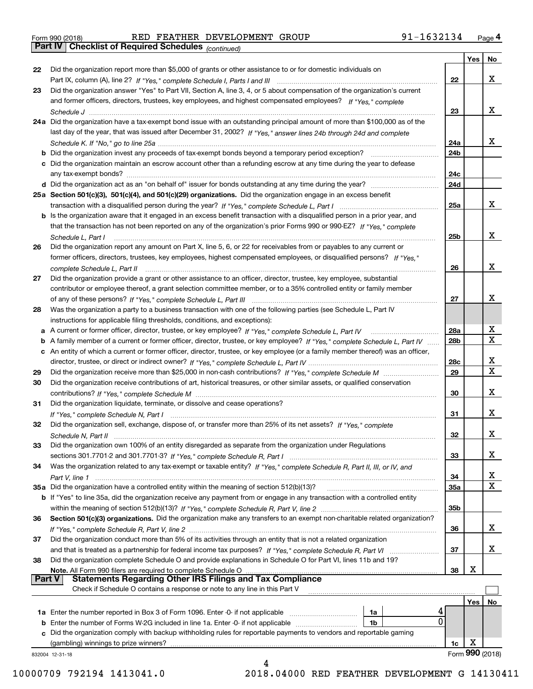Form 990 (2018) RED FEATHER DEVELOPMENT GROUP 91-1632134 <sub>Page</sub> 4<br>**Part IV | Checklist of Required Schedules** <sub>(continued)</sub>

*(continued)*

|               |                                                                                                                                                                             |                 | Yes | No                      |
|---------------|-----------------------------------------------------------------------------------------------------------------------------------------------------------------------------|-----------------|-----|-------------------------|
| 22            | Did the organization report more than \$5,000 of grants or other assistance to or for domestic individuals on                                                               |                 |     |                         |
|               | Part IX, column (A), line 2? If "Yes," complete Schedule I, Parts I and III [11] [11] [12] [12] Part IX, column (A), line 2? If "Yes," complete Schedule I, Parts I and III | 22              |     | x                       |
| 23            | Did the organization answer "Yes" to Part VII, Section A, line 3, 4, or 5 about compensation of the organization's current                                                  |                 |     |                         |
|               | and former officers, directors, trustees, key employees, and highest compensated employees? If "Yes," complete                                                              |                 |     |                         |
|               |                                                                                                                                                                             | 23              |     | x                       |
|               | 24a Did the organization have a tax-exempt bond issue with an outstanding principal amount of more than \$100,000 as of the                                                 |                 |     |                         |
|               | last day of the year, that was issued after December 31, 2002? If "Yes," answer lines 24b through 24d and complete                                                          |                 |     |                         |
|               |                                                                                                                                                                             | 24a             |     | x                       |
|               | b Did the organization invest any proceeds of tax-exempt bonds beyond a temporary period exception?                                                                         | 24b             |     |                         |
|               | c Did the organization maintain an escrow account other than a refunding escrow at any time during the year to defease                                                      |                 |     |                         |
|               |                                                                                                                                                                             | 24c             |     |                         |
|               | d Did the organization act as an "on behalf of" issuer for bonds outstanding at any time during the year?                                                                   | 24d             |     |                         |
|               |                                                                                                                                                                             |                 |     |                         |
|               | 25a Section 501(c)(3), 501(c)(4), and 501(c)(29) organizations. Did the organization engage in an excess benefit                                                            |                 |     | x                       |
|               |                                                                                                                                                                             | 25a             |     |                         |
|               | b Is the organization aware that it engaged in an excess benefit transaction with a disqualified person in a prior year, and                                                |                 |     |                         |
|               | that the transaction has not been reported on any of the organization's prior Forms 990 or 990-EZ? If "Yes," complete                                                       |                 |     |                         |
|               | Schedule L, Part I                                                                                                                                                          | 25b             |     | x                       |
| 26            | Did the organization report any amount on Part X, line 5, 6, or 22 for receivables from or payables to any current or                                                       |                 |     |                         |
|               | former officers, directors, trustees, key employees, highest compensated employees, or disqualified persons? If "Yes."                                                      |                 |     |                         |
|               | complete Schedule L, Part II manufactured and complete Schedule L, Part II manufactured and complete Schedule L, Part II                                                    | 26              |     | x                       |
| 27            | Did the organization provide a grant or other assistance to an officer, director, trustee, key employee, substantial                                                        |                 |     |                         |
|               | contributor or employee thereof, a grant selection committee member, or to a 35% controlled entity or family member                                                         |                 |     |                         |
|               |                                                                                                                                                                             | 27              |     | х                       |
| 28            | Was the organization a party to a business transaction with one of the following parties (see Schedule L, Part IV                                                           |                 |     |                         |
|               | instructions for applicable filing thresholds, conditions, and exceptions):                                                                                                 |                 |     |                         |
|               | a A current or former officer, director, trustee, or key employee? If "Yes," complete Schedule L, Part IV                                                                   | 28a             |     | x                       |
|               | b A family member of a current or former officer, director, trustee, or key employee? If "Yes," complete Schedule L, Part IV                                                | 28 <sub>b</sub> |     | $\mathbf X$             |
|               | c An entity of which a current or former officer, director, trustee, or key employee (or a family member thereof) was an officer,                                           |                 |     |                         |
|               |                                                                                                                                                                             | 28c             |     | x                       |
| 29            |                                                                                                                                                                             | 29              |     | $\overline{\mathbf{x}}$ |
| 30            | Did the organization receive contributions of art, historical treasures, or other similar assets, or qualified conservation                                                 |                 |     |                         |
|               |                                                                                                                                                                             | 30              |     | х                       |
| 31            | Did the organization liquidate, terminate, or dissolve and cease operations?                                                                                                |                 |     |                         |
|               |                                                                                                                                                                             | 31              |     | х                       |
| 32            | Did the organization sell, exchange, dispose of, or transfer more than 25% of its net assets? If "Yes," complete                                                            |                 |     |                         |
|               |                                                                                                                                                                             | 32              |     | х                       |
| 33            | Did the organization own 100% of an entity disregarded as separate from the organization under Regulations                                                                  |                 |     |                         |
|               |                                                                                                                                                                             | 33              |     | х                       |
| 34            | Was the organization related to any tax-exempt or taxable entity? If "Yes," complete Schedule R, Part II, III, or IV, and                                                   |                 |     |                         |
|               |                                                                                                                                                                             | 34              |     | X                       |
|               | 35a Did the organization have a controlled entity within the meaning of section 512(b)(13)?                                                                                 | 35a             |     | X                       |
|               | b If "Yes" to line 35a, did the organization receive any payment from or engage in any transaction with a controlled entity                                                 |                 |     |                         |
|               |                                                                                                                                                                             | 35b             |     |                         |
| 36            | Section 501(c)(3) organizations. Did the organization make any transfers to an exempt non-charitable related organization?                                                  |                 |     |                         |
|               |                                                                                                                                                                             | 36              |     | x                       |
| 37            | Did the organization conduct more than 5% of its activities through an entity that is not a related organization                                                            |                 |     |                         |
|               | and that is treated as a partnership for federal income tax purposes? If "Yes," complete Schedule R, Part VI                                                                | 37              |     | x                       |
| 38            | Did the organization complete Schedule O and provide explanations in Schedule O for Part VI, lines 11b and 19?                                                              |                 |     |                         |
|               | Note. All Form 990 filers are required to complete Schedule O                                                                                                               | 38              | X   |                         |
| <b>Part V</b> | <b>Statements Regarding Other IRS Filings and Tax Compliance</b>                                                                                                            |                 |     |                         |
|               | Check if Schedule O contains a response or note to any line in this Part V                                                                                                  |                 |     |                         |
|               |                                                                                                                                                                             |                 | Yes | No                      |
|               | 1a Enter the number reported in Box 3 of Form 1096. Enter -0- if not applicable<br>1a                                                                                       |                 |     |                         |
|               | 0<br><b>b</b> Enter the number of Forms W-2G included in line 1a. Enter -0- if not applicable <i>manumumumum</i><br>1b                                                      |                 |     |                         |
|               | c Did the organization comply with backup withholding rules for reportable payments to vendors and reportable gaming                                                        |                 |     |                         |
|               | (gambling) winnings to prize winners?                                                                                                                                       | 1c              | х   |                         |
|               | 832004 12-31-18                                                                                                                                                             |                 |     | Form 990 (2018)         |
|               |                                                                                                                                                                             |                 |     |                         |

 <sup>10000709 792194 1413041.0 2018.04000</sup> RED FEATHER DEVELOPMENT G 14130411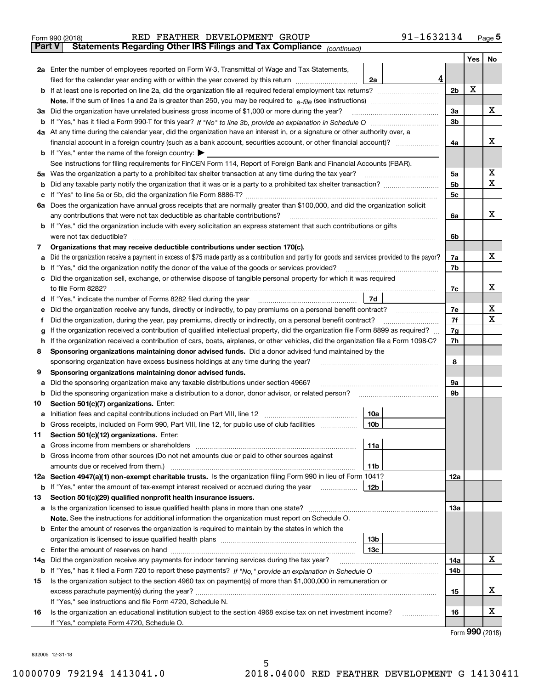|               | 91-1632134<br>RED FEATHER DEVELOPMENT GROUP<br>Form 990 (2018)                                                                                                                                                                                 |   |                |     | $_{\text{Page}}$ 5          |  |  |  |  |  |  |
|---------------|------------------------------------------------------------------------------------------------------------------------------------------------------------------------------------------------------------------------------------------------|---|----------------|-----|-----------------------------|--|--|--|--|--|--|
| <b>Part V</b> | Statements Regarding Other IRS Filings and Tax Compliance (continued)                                                                                                                                                                          |   |                |     |                             |  |  |  |  |  |  |
|               |                                                                                                                                                                                                                                                |   |                | Yes | No                          |  |  |  |  |  |  |
|               | 2a Enter the number of employees reported on Form W-3, Transmittal of Wage and Tax Statements,                                                                                                                                                 |   |                |     |                             |  |  |  |  |  |  |
|               | filed for the calendar year ending with or within the year covered by this return <i>manumumumum</i><br>2a                                                                                                                                     | 4 |                | X   |                             |  |  |  |  |  |  |
| b             |                                                                                                                                                                                                                                                |   |                |     |                             |  |  |  |  |  |  |
|               |                                                                                                                                                                                                                                                |   |                |     |                             |  |  |  |  |  |  |
|               | 3a Did the organization have unrelated business gross income of \$1,000 or more during the year?                                                                                                                                               |   | 3a             |     | x                           |  |  |  |  |  |  |
|               |                                                                                                                                                                                                                                                |   | 3 <sub>b</sub> |     |                             |  |  |  |  |  |  |
|               | 4a At any time during the calendar year, did the organization have an interest in, or a signature or other authority over, a                                                                                                                   |   |                |     |                             |  |  |  |  |  |  |
|               |                                                                                                                                                                                                                                                |   | 4a             |     | х                           |  |  |  |  |  |  |
|               | <b>b</b> If "Yes," enter the name of the foreign country: $\blacktriangleright$                                                                                                                                                                |   |                |     |                             |  |  |  |  |  |  |
|               | See instructions for filing requirements for FinCEN Form 114, Report of Foreign Bank and Financial Accounts (FBAR).                                                                                                                            |   |                |     |                             |  |  |  |  |  |  |
|               | 5a Was the organization a party to a prohibited tax shelter transaction at any time during the tax year?                                                                                                                                       |   | 5a             |     | х                           |  |  |  |  |  |  |
| b             |                                                                                                                                                                                                                                                |   | 5b             |     | X                           |  |  |  |  |  |  |
| c             |                                                                                                                                                                                                                                                |   | 5c             |     |                             |  |  |  |  |  |  |
|               | 6a Does the organization have annual gross receipts that are normally greater than \$100,000, and did the organization solicit                                                                                                                 |   |                |     |                             |  |  |  |  |  |  |
|               | any contributions that were not tax deductible as charitable contributions?                                                                                                                                                                    |   | 6a             |     | x                           |  |  |  |  |  |  |
|               | <b>b</b> If "Yes," did the organization include with every solicitation an express statement that such contributions or gifts                                                                                                                  |   |                |     |                             |  |  |  |  |  |  |
|               | were not tax deductible?                                                                                                                                                                                                                       |   | 6b             |     |                             |  |  |  |  |  |  |
| 7             | Organizations that may receive deductible contributions under section 170(c).                                                                                                                                                                  |   |                |     |                             |  |  |  |  |  |  |
| а             | Did the organization receive a payment in excess of \$75 made partly as a contribution and partly for goods and services provided to the payor?                                                                                                |   | 7a             |     | х                           |  |  |  |  |  |  |
| b             | If "Yes," did the organization notify the donor of the value of the goods or services provided?                                                                                                                                                |   | 7b             |     |                             |  |  |  |  |  |  |
| с             | Did the organization sell, exchange, or otherwise dispose of tangible personal property for which it was required                                                                                                                              |   |                |     |                             |  |  |  |  |  |  |
|               |                                                                                                                                                                                                                                                |   | 7c             |     | х                           |  |  |  |  |  |  |
|               | 7d<br>d If "Yes," indicate the number of Forms 8282 filed during the year manufactured in the second of the second structure of Forms 8282 filed during the year manufactured in the Second Structure of the Second Structure of the           |   |                |     |                             |  |  |  |  |  |  |
| е             | Did the organization receive any funds, directly or indirectly, to pay premiums on a personal benefit contract?                                                                                                                                |   | 7e             |     | х<br>х                      |  |  |  |  |  |  |
| f             | Did the organization, during the year, pay premiums, directly or indirectly, on a personal benefit contract?                                                                                                                                   |   | 7f             |     |                             |  |  |  |  |  |  |
| g             | If the organization received a contribution of qualified intellectual property, did the organization file Form 8899 as required?                                                                                                               |   | 7g<br>7h       |     |                             |  |  |  |  |  |  |
| h.            | If the organization received a contribution of cars, boats, airplanes, or other vehicles, did the organization file a Form 1098-C?                                                                                                             |   |                |     |                             |  |  |  |  |  |  |
| 8             | Sponsoring organizations maintaining donor advised funds. Did a donor advised fund maintained by the<br>sponsoring organization have excess business holdings at any time during the year?                                                     |   | 8              |     |                             |  |  |  |  |  |  |
| 9             | Sponsoring organizations maintaining donor advised funds.                                                                                                                                                                                      |   |                |     |                             |  |  |  |  |  |  |
| а             | Did the sponsoring organization make any taxable distributions under section 4966?                                                                                                                                                             |   | 9а             |     |                             |  |  |  |  |  |  |
| b             | Did the sponsoring organization make a distribution to a donor, donor advisor, or related person?                                                                                                                                              |   | 9b             |     |                             |  |  |  |  |  |  |
| 10            | Section 501(c)(7) organizations. Enter:                                                                                                                                                                                                        |   |                |     |                             |  |  |  |  |  |  |
|               | 10a                                                                                                                                                                                                                                            |   |                |     |                             |  |  |  |  |  |  |
|               | 10 <sub>b</sub><br>Gross receipts, included on Form 990, Part VIII, line 12, for public use of club facilities                                                                                                                                 |   |                |     |                             |  |  |  |  |  |  |
| 11            | Section 501(c)(12) organizations. Enter:                                                                                                                                                                                                       |   |                |     |                             |  |  |  |  |  |  |
| а             | Gross income from members or shareholders<br>11a                                                                                                                                                                                               |   |                |     |                             |  |  |  |  |  |  |
| b             | Gross income from other sources (Do not net amounts due or paid to other sources against                                                                                                                                                       |   |                |     |                             |  |  |  |  |  |  |
|               | 11 <sub>b</sub>                                                                                                                                                                                                                                |   |                |     |                             |  |  |  |  |  |  |
|               | 12a Section 4947(a)(1) non-exempt charitable trusts. Is the organization filing Form 990 in lieu of Form 1041?                                                                                                                                 |   | 12a            |     |                             |  |  |  |  |  |  |
|               | 12b<br><b>b</b> If "Yes," enter the amount of tax-exempt interest received or accrued during the year <i>manument</i> of the set of the set of the set of the set of the set of the set of the set of the set of the set of the set of the set |   |                |     |                             |  |  |  |  |  |  |
| 13            | Section 501(c)(29) qualified nonprofit health insurance issuers.                                                                                                                                                                               |   |                |     |                             |  |  |  |  |  |  |
|               | a Is the organization licensed to issue qualified health plans in more than one state?                                                                                                                                                         |   | 13a            |     |                             |  |  |  |  |  |  |
|               | Note. See the instructions for additional information the organization must report on Schedule O.                                                                                                                                              |   |                |     |                             |  |  |  |  |  |  |
| b             | Enter the amount of reserves the organization is required to maintain by the states in which the                                                                                                                                               |   |                |     |                             |  |  |  |  |  |  |
|               | 13 <sub>b</sub>                                                                                                                                                                                                                                |   |                |     |                             |  |  |  |  |  |  |
| c             | 13c                                                                                                                                                                                                                                            |   |                |     |                             |  |  |  |  |  |  |
| 14a           | Did the organization receive any payments for indoor tanning services during the tax year?                                                                                                                                                     |   | 14a            |     | X                           |  |  |  |  |  |  |
|               |                                                                                                                                                                                                                                                |   | 14b            |     |                             |  |  |  |  |  |  |
| 15            | Is the organization subject to the section 4960 tax on payment(s) of more than \$1,000,000 in remuneration or                                                                                                                                  |   |                |     |                             |  |  |  |  |  |  |
|               |                                                                                                                                                                                                                                                |   | 15             |     | x                           |  |  |  |  |  |  |
|               | If "Yes," see instructions and file Form 4720, Schedule N.                                                                                                                                                                                     |   |                |     |                             |  |  |  |  |  |  |
| 16            | Is the organization an educational institution subject to the section 4968 excise tax on net investment income?                                                                                                                                |   | 16             |     | х                           |  |  |  |  |  |  |
|               | If "Yes," complete Form 4720, Schedule O.                                                                                                                                                                                                      |   |                |     | $F_{\text{Orm}}$ 990 (2018) |  |  |  |  |  |  |
|               |                                                                                                                                                                                                                                                |   |                |     |                             |  |  |  |  |  |  |

Form (2018) **990**

832005 12-31-18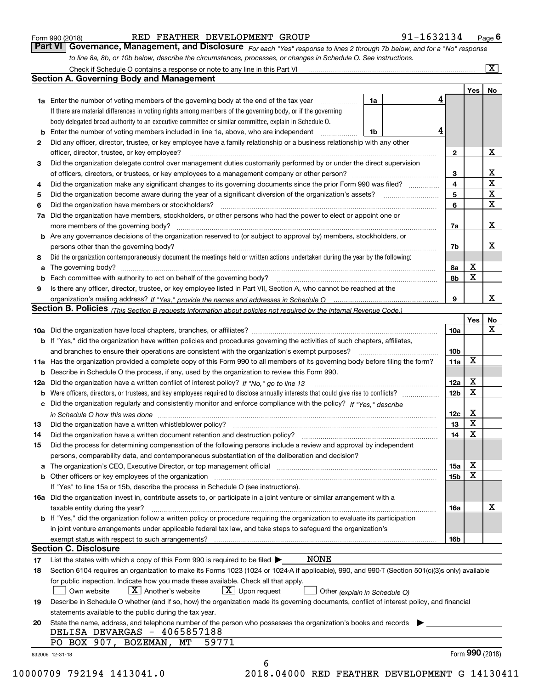|  | Form 990 (2018) |
|--|-----------------|
|  |                 |

#### RED FEATHER DEVELOPMENT GROUP 91-1632134

*For each "Yes" response to lines 2 through 7b below, and for a "No" response to line 8a, 8b, or 10b below, describe the circumstances, processes, or changes in Schedule O. See instructions.* Form 990 (2018) **RED FEATHER DEVELOPMENT GROUP** 91-1632134 Page 6<br>**Part VI Governance, Management, and Disclosure** For each "Yes" response to lines 2 through 7b below, and for a "No" response

|    |                                                                                                                                                                            |    |  |   |                 | Yes   No    |              |  |  |  |
|----|----------------------------------------------------------------------------------------------------------------------------------------------------------------------------|----|--|---|-----------------|-------------|--------------|--|--|--|
|    | <b>1a</b> Enter the number of voting members of the governing body at the end of the tax year <i>manumum</i>                                                               | 1a |  | 4 |                 |             |              |  |  |  |
|    | If there are material differences in voting rights among members of the governing body, or if the governing                                                                |    |  |   |                 |             |              |  |  |  |
|    | body delegated broad authority to an executive committee or similar committee, explain in Schedule O.                                                                      |    |  |   |                 |             |              |  |  |  |
|    |                                                                                                                                                                            | 1b |  | 4 |                 |             |              |  |  |  |
| 2  | Did any officer, director, trustee, or key employee have a family relationship or a business relationship with any other                                                   |    |  |   |                 |             |              |  |  |  |
|    | officer, director, trustee, or key employee?                                                                                                                               |    |  |   | $\mathbf{2}$    |             | X            |  |  |  |
| 3  | Did the organization delegate control over management duties customarily performed by or under the direct supervision                                                      |    |  |   |                 |             | X            |  |  |  |
|    |                                                                                                                                                                            |    |  |   |                 |             |              |  |  |  |
| 4  | Did the organization make any significant changes to its governing documents since the prior Form 990 was filed?                                                           |    |  |   | 4               |             | $\mathbf X$  |  |  |  |
| 5  |                                                                                                                                                                            |    |  |   | 5               |             | $\mathbf X$  |  |  |  |
| 6  |                                                                                                                                                                            |    |  |   | 6               |             | $\mathbf{x}$ |  |  |  |
|    | 7a Did the organization have members, stockholders, or other persons who had the power to elect or appoint one or                                                          |    |  |   |                 |             |              |  |  |  |
|    |                                                                                                                                                                            |    |  |   | 7a              |             | X            |  |  |  |
|    | <b>b</b> Are any governance decisions of the organization reserved to (or subject to approval by) members, stockholders, or                                                |    |  |   |                 |             |              |  |  |  |
|    | persons other than the governing body?                                                                                                                                     |    |  |   | 7b              |             | Х            |  |  |  |
| 8  | Did the organization contemporaneously document the meetings held or written actions undertaken during the year by the following:                                          |    |  |   |                 |             |              |  |  |  |
| a  |                                                                                                                                                                            |    |  |   | 8a              | X           |              |  |  |  |
|    |                                                                                                                                                                            |    |  |   | 8b              | $\mathbf X$ |              |  |  |  |
| 9  | Is there any officer, director, trustee, or key employee listed in Part VII, Section A, who cannot be reached at the                                                       |    |  |   |                 |             |              |  |  |  |
|    |                                                                                                                                                                            |    |  |   | 9               |             | X            |  |  |  |
|    | Section B. Policies <sub>(This</sub> Section B requests information about policies not required by the Internal Revenue Code.)                                             |    |  |   |                 |             |              |  |  |  |
|    |                                                                                                                                                                            |    |  |   |                 | Yes         | <b>No</b>    |  |  |  |
|    |                                                                                                                                                                            |    |  |   | <b>10a</b>      |             | X            |  |  |  |
|    | <b>b</b> If "Yes," did the organization have written policies and procedures governing the activities of such chapters, affiliates,                                        |    |  |   |                 |             |              |  |  |  |
|    |                                                                                                                                                                            |    |  |   | 10 <sub>b</sub> |             |              |  |  |  |
|    | 11a Has the organization provided a complete copy of this Form 990 to all members of its governing body before filing the form?                                            |    |  |   | 11a             | X           |              |  |  |  |
|    | <b>b</b> Describe in Schedule O the process, if any, used by the organization to review this Form 990.                                                                     |    |  |   |                 |             |              |  |  |  |
|    | 12a Did the organization have a written conflict of interest policy? If "No," go to line 13                                                                                |    |  |   | 12a             | X           |              |  |  |  |
| b  |                                                                                                                                                                            |    |  |   | 12 <sub>b</sub> | X           |              |  |  |  |
|    | c Did the organization regularly and consistently monitor and enforce compliance with the policy? If "Yes," describe                                                       |    |  |   |                 |             |              |  |  |  |
|    | in Schedule O how this was done measured and contained a state of the state of the state of the state of the s                                                             |    |  |   | 12c             | X           |              |  |  |  |
| 13 |                                                                                                                                                                            |    |  |   | 13              | $\mathbf X$ |              |  |  |  |
| 14 | Did the organization have a written document retention and destruction policy? manufactured and the organization have a written document retention and destruction policy? |    |  |   | 14              | $\mathbf X$ |              |  |  |  |
| 15 | Did the process for determining compensation of the following persons include a review and approval by independent                                                         |    |  |   |                 |             |              |  |  |  |
|    | persons, comparability data, and contemporaneous substantiation of the deliberation and decision?                                                                          |    |  |   |                 |             |              |  |  |  |
|    |                                                                                                                                                                            |    |  |   | 15a             | X           |              |  |  |  |
|    | <b>b</b> Other officers or key employees of the organization                                                                                                               |    |  |   | 15b             | $\mathbf X$ |              |  |  |  |
|    | If "Yes" to line 15a or 15b, describe the process in Schedule O (see instructions).                                                                                        |    |  |   |                 |             |              |  |  |  |
|    |                                                                                                                                                                            |    |  |   |                 |             |              |  |  |  |
|    | 16a Did the organization invest in, contribute assets to, or participate in a joint venture or similar arrangement with a<br>taxable entity during the year?               |    |  |   | 16a             |             | х            |  |  |  |
|    | <b>b</b> If "Yes," did the organization follow a written policy or procedure requiring the organization to evaluate its participation                                      |    |  |   |                 |             |              |  |  |  |
|    |                                                                                                                                                                            |    |  |   |                 |             |              |  |  |  |
|    | in joint venture arrangements under applicable federal tax law, and take steps to safeguard the organization's                                                             |    |  |   |                 |             |              |  |  |  |
|    | exempt status with respect to such arrangements?<br><b>Section C. Disclosure</b>                                                                                           |    |  |   | <b>16b</b>      |             |              |  |  |  |
|    | <b>NONE</b>                                                                                                                                                                |    |  |   |                 |             |              |  |  |  |
| 17 | List the states with which a copy of this Form 990 is required to be filed $\blacktriangleright$                                                                           |    |  |   |                 |             |              |  |  |  |
| 18 | Section 6104 requires an organization to make its Forms 1023 (1024 or 1024-A if applicable), 990, and 990-T (Section 501(c)(3)s only) available                            |    |  |   |                 |             |              |  |  |  |
|    | for public inspection. Indicate how you made these available. Check all that apply.<br>$\boxed{\text{X}}$ Upon request                                                     |    |  |   |                 |             |              |  |  |  |
|    | $X$ Another's website<br>Own website<br>Other (explain in Schedule O)                                                                                                      |    |  |   |                 |             |              |  |  |  |
| 19 | Describe in Schedule O whether (and if so, how) the organization made its governing documents, conflict of interest policy, and financial                                  |    |  |   |                 |             |              |  |  |  |
|    | statements available to the public during the tax year.                                                                                                                    |    |  |   |                 |             |              |  |  |  |
| 20 | State the name, address, and telephone number of the person who possesses the organization's books and records                                                             |    |  |   |                 |             |              |  |  |  |
|    | DELISA DEVARGAS - 4065857188<br>PO BOX 907, BOZEMAN, MT<br>59771                                                                                                           |    |  |   |                 |             |              |  |  |  |
|    |                                                                                                                                                                            |    |  |   |                 |             |              |  |  |  |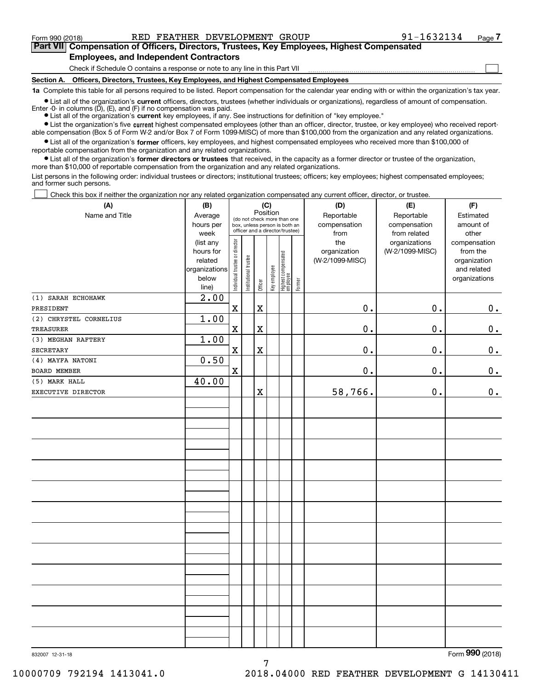$\mathcal{L}^{\text{max}}$ 

**7Part VII Compensation of Officers, Directors, Trustees, Key Employees, Highest Compensated Employees, and Independent Contractors**

Check if Schedule O contains a response or note to any line in this Part VII

**Section A. Officers, Directors, Trustees, Key Employees, and Highest Compensated Employees**

**1a**  Complete this table for all persons required to be listed. Report compensation for the calendar year ending with or within the organization's tax year.

**•** List all of the organization's current officers, directors, trustees (whether individuals or organizations), regardless of amount of compensation. Enter -0- in columns  $(D)$ ,  $(E)$ , and  $(F)$  if no compensation was paid.

● List all of the organization's **current** key employees, if any. See instructions for definition of "key employee."

**•** List the organization's five current highest compensated employees (other than an officer, director, trustee, or key employee) who received report-<br>compensation (Box 5 of Form W-2 and/or Box 7 of Form 1099-MISC) of mor able compensation (Box 5 of Form W-2 and/or Box 7 of Form 1099-MISC) of more than \$100,000 from the organization and any related organizations.

 $\bullet$  List all of the organization's **former** officers, key employees, and highest compensated employees who received more than \$100,000 of reportable compensation from the organization and any related organizations.

**•** List all of the organization's former directors or trustees that received, in the capacity as a former director or trustee of the organization, more than \$10,000 of reportable compensation from the organization and any related organizations.

List persons in the following order: individual trustees or directors; institutional trustees; officers; key employees; highest compensated employees; and former such persons.

Check this box if neither the organization nor any related organization compensated any current officer, director, or trustee.  $\mathcal{L}^{\text{max}}$ 

| Position<br>Reportable<br>Name and Title<br>Reportable<br>Average<br>Estimated<br>(do not check more than one<br>hours per<br>compensation<br>compensation<br>amount of<br>box, unless person is both an<br>officer and a director/trustee)<br>week<br>from related<br>other<br>from<br>Individual trustee or director<br>(list any<br>the<br>organizations<br>compensation<br>hours for<br>organization<br>(W-2/1099-MISC)<br>from the<br>  Highest compensated<br>  employee<br>Institutional trustee<br>(W-2/1099-MISC)<br>related<br>organization<br>Key employee<br>organizations<br>and related<br>below<br>organizations<br>Former<br>Officer<br>line)<br>2.00<br>(1) SARAH ECHOHAWK<br>$\mathbf x$<br>0.<br>0.<br>0.<br>$\mathbf X$<br>PRESIDENT<br>(2) CHRYSTEL CORNELIUS<br>1.00<br>$\mathbf x$<br>0.<br>0.<br>0.<br>$\mathbf X$<br><b>TREASURER</b><br>1.00<br>(3) MEGHAN RAFTERY<br>$\mathbf X$<br>0.<br>0.<br>0.<br>SECRETARY<br>$\mathbf X$<br>0.50<br>(4) MAYFA NATONI<br>$\mathbf X$<br>0.<br>0.<br>0.<br>BOARD MEMBER<br>40.00<br>(5) MARK HALL<br>58,766.<br>0.<br>$\mathbf 0$ .<br>X<br>EXECUTIVE DIRECTOR | (A) | (B) |  | (C) |  |  | (D) | (E) | (F) |
|-------------------------------------------------------------------------------------------------------------------------------------------------------------------------------------------------------------------------------------------------------------------------------------------------------------------------------------------------------------------------------------------------------------------------------------------------------------------------------------------------------------------------------------------------------------------------------------------------------------------------------------------------------------------------------------------------------------------------------------------------------------------------------------------------------------------------------------------------------------------------------------------------------------------------------------------------------------------------------------------------------------------------------------------------------------------------------------------------------------------------------|-----|-----|--|-----|--|--|-----|-----|-----|
|                                                                                                                                                                                                                                                                                                                                                                                                                                                                                                                                                                                                                                                                                                                                                                                                                                                                                                                                                                                                                                                                                                                               |     |     |  |     |  |  |     |     |     |
|                                                                                                                                                                                                                                                                                                                                                                                                                                                                                                                                                                                                                                                                                                                                                                                                                                                                                                                                                                                                                                                                                                                               |     |     |  |     |  |  |     |     |     |
|                                                                                                                                                                                                                                                                                                                                                                                                                                                                                                                                                                                                                                                                                                                                                                                                                                                                                                                                                                                                                                                                                                                               |     |     |  |     |  |  |     |     |     |
|                                                                                                                                                                                                                                                                                                                                                                                                                                                                                                                                                                                                                                                                                                                                                                                                                                                                                                                                                                                                                                                                                                                               |     |     |  |     |  |  |     |     |     |
|                                                                                                                                                                                                                                                                                                                                                                                                                                                                                                                                                                                                                                                                                                                                                                                                                                                                                                                                                                                                                                                                                                                               |     |     |  |     |  |  |     |     |     |
|                                                                                                                                                                                                                                                                                                                                                                                                                                                                                                                                                                                                                                                                                                                                                                                                                                                                                                                                                                                                                                                                                                                               |     |     |  |     |  |  |     |     |     |
|                                                                                                                                                                                                                                                                                                                                                                                                                                                                                                                                                                                                                                                                                                                                                                                                                                                                                                                                                                                                                                                                                                                               |     |     |  |     |  |  |     |     |     |
|                                                                                                                                                                                                                                                                                                                                                                                                                                                                                                                                                                                                                                                                                                                                                                                                                                                                                                                                                                                                                                                                                                                               |     |     |  |     |  |  |     |     |     |
|                                                                                                                                                                                                                                                                                                                                                                                                                                                                                                                                                                                                                                                                                                                                                                                                                                                                                                                                                                                                                                                                                                                               |     |     |  |     |  |  |     |     |     |
|                                                                                                                                                                                                                                                                                                                                                                                                                                                                                                                                                                                                                                                                                                                                                                                                                                                                                                                                                                                                                                                                                                                               |     |     |  |     |  |  |     |     |     |
|                                                                                                                                                                                                                                                                                                                                                                                                                                                                                                                                                                                                                                                                                                                                                                                                                                                                                                                                                                                                                                                                                                                               |     |     |  |     |  |  |     |     |     |
|                                                                                                                                                                                                                                                                                                                                                                                                                                                                                                                                                                                                                                                                                                                                                                                                                                                                                                                                                                                                                                                                                                                               |     |     |  |     |  |  |     |     |     |
|                                                                                                                                                                                                                                                                                                                                                                                                                                                                                                                                                                                                                                                                                                                                                                                                                                                                                                                                                                                                                                                                                                                               |     |     |  |     |  |  |     |     |     |
|                                                                                                                                                                                                                                                                                                                                                                                                                                                                                                                                                                                                                                                                                                                                                                                                                                                                                                                                                                                                                                                                                                                               |     |     |  |     |  |  |     |     |     |
|                                                                                                                                                                                                                                                                                                                                                                                                                                                                                                                                                                                                                                                                                                                                                                                                                                                                                                                                                                                                                                                                                                                               |     |     |  |     |  |  |     |     |     |
|                                                                                                                                                                                                                                                                                                                                                                                                                                                                                                                                                                                                                                                                                                                                                                                                                                                                                                                                                                                                                                                                                                                               |     |     |  |     |  |  |     |     |     |
|                                                                                                                                                                                                                                                                                                                                                                                                                                                                                                                                                                                                                                                                                                                                                                                                                                                                                                                                                                                                                                                                                                                               |     |     |  |     |  |  |     |     |     |
|                                                                                                                                                                                                                                                                                                                                                                                                                                                                                                                                                                                                                                                                                                                                                                                                                                                                                                                                                                                                                                                                                                                               |     |     |  |     |  |  |     |     |     |
|                                                                                                                                                                                                                                                                                                                                                                                                                                                                                                                                                                                                                                                                                                                                                                                                                                                                                                                                                                                                                                                                                                                               |     |     |  |     |  |  |     |     |     |
|                                                                                                                                                                                                                                                                                                                                                                                                                                                                                                                                                                                                                                                                                                                                                                                                                                                                                                                                                                                                                                                                                                                               |     |     |  |     |  |  |     |     |     |
|                                                                                                                                                                                                                                                                                                                                                                                                                                                                                                                                                                                                                                                                                                                                                                                                                                                                                                                                                                                                                                                                                                                               |     |     |  |     |  |  |     |     |     |
|                                                                                                                                                                                                                                                                                                                                                                                                                                                                                                                                                                                                                                                                                                                                                                                                                                                                                                                                                                                                                                                                                                                               |     |     |  |     |  |  |     |     |     |
|                                                                                                                                                                                                                                                                                                                                                                                                                                                                                                                                                                                                                                                                                                                                                                                                                                                                                                                                                                                                                                                                                                                               |     |     |  |     |  |  |     |     |     |
|                                                                                                                                                                                                                                                                                                                                                                                                                                                                                                                                                                                                                                                                                                                                                                                                                                                                                                                                                                                                                                                                                                                               |     |     |  |     |  |  |     |     |     |
|                                                                                                                                                                                                                                                                                                                                                                                                                                                                                                                                                                                                                                                                                                                                                                                                                                                                                                                                                                                                                                                                                                                               |     |     |  |     |  |  |     |     |     |
|                                                                                                                                                                                                                                                                                                                                                                                                                                                                                                                                                                                                                                                                                                                                                                                                                                                                                                                                                                                                                                                                                                                               |     |     |  |     |  |  |     |     |     |
|                                                                                                                                                                                                                                                                                                                                                                                                                                                                                                                                                                                                                                                                                                                                                                                                                                                                                                                                                                                                                                                                                                                               |     |     |  |     |  |  |     |     |     |
|                                                                                                                                                                                                                                                                                                                                                                                                                                                                                                                                                                                                                                                                                                                                                                                                                                                                                                                                                                                                                                                                                                                               |     |     |  |     |  |  |     |     |     |
|                                                                                                                                                                                                                                                                                                                                                                                                                                                                                                                                                                                                                                                                                                                                                                                                                                                                                                                                                                                                                                                                                                                               |     |     |  |     |  |  |     |     |     |
|                                                                                                                                                                                                                                                                                                                                                                                                                                                                                                                                                                                                                                                                                                                                                                                                                                                                                                                                                                                                                                                                                                                               |     |     |  |     |  |  |     |     |     |
|                                                                                                                                                                                                                                                                                                                                                                                                                                                                                                                                                                                                                                                                                                                                                                                                                                                                                                                                                                                                                                                                                                                               |     |     |  |     |  |  |     |     |     |
|                                                                                                                                                                                                                                                                                                                                                                                                                                                                                                                                                                                                                                                                                                                                                                                                                                                                                                                                                                                                                                                                                                                               |     |     |  |     |  |  |     |     |     |
|                                                                                                                                                                                                                                                                                                                                                                                                                                                                                                                                                                                                                                                                                                                                                                                                                                                                                                                                                                                                                                                                                                                               |     |     |  |     |  |  |     |     |     |
|                                                                                                                                                                                                                                                                                                                                                                                                                                                                                                                                                                                                                                                                                                                                                                                                                                                                                                                                                                                                                                                                                                                               |     |     |  |     |  |  |     |     |     |
|                                                                                                                                                                                                                                                                                                                                                                                                                                                                                                                                                                                                                                                                                                                                                                                                                                                                                                                                                                                                                                                                                                                               |     |     |  |     |  |  |     |     |     |
|                                                                                                                                                                                                                                                                                                                                                                                                                                                                                                                                                                                                                                                                                                                                                                                                                                                                                                                                                                                                                                                                                                                               |     |     |  |     |  |  |     |     |     |
|                                                                                                                                                                                                                                                                                                                                                                                                                                                                                                                                                                                                                                                                                                                                                                                                                                                                                                                                                                                                                                                                                                                               |     |     |  |     |  |  |     |     |     |
|                                                                                                                                                                                                                                                                                                                                                                                                                                                                                                                                                                                                                                                                                                                                                                                                                                                                                                                                                                                                                                                                                                                               |     |     |  |     |  |  |     |     |     |
|                                                                                                                                                                                                                                                                                                                                                                                                                                                                                                                                                                                                                                                                                                                                                                                                                                                                                                                                                                                                                                                                                                                               |     |     |  |     |  |  |     |     |     |
|                                                                                                                                                                                                                                                                                                                                                                                                                                                                                                                                                                                                                                                                                                                                                                                                                                                                                                                                                                                                                                                                                                                               |     |     |  |     |  |  |     |     |     |
|                                                                                                                                                                                                                                                                                                                                                                                                                                                                                                                                                                                                                                                                                                                                                                                                                                                                                                                                                                                                                                                                                                                               |     |     |  |     |  |  |     |     |     |

7

Form (2018) **990**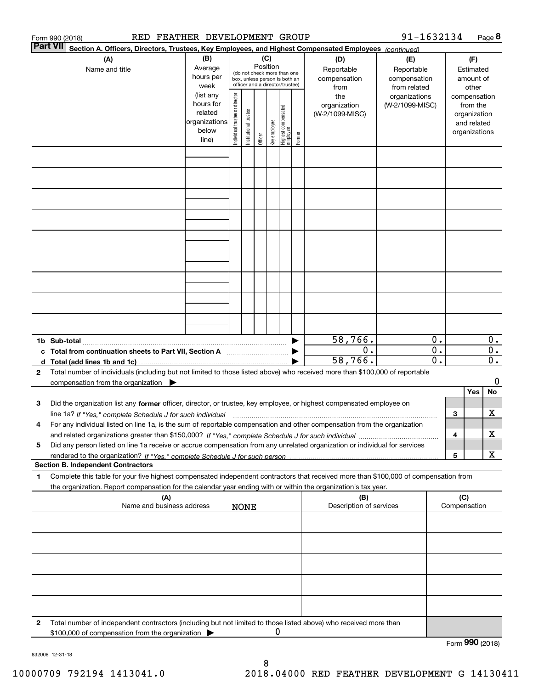|   | RED FEATHER DEVELOPMENT GROUP<br>Form 990 (2018)                                                                                                                                                                                                                            |                                                                                           |                                |                       |          |              |                                                                                                 |        |                                                                                     | 91-1632134                                                                            |                             |                 |                                                                                    | Page 8                    |
|---|-----------------------------------------------------------------------------------------------------------------------------------------------------------------------------------------------------------------------------------------------------------------------------|-------------------------------------------------------------------------------------------|--------------------------------|-----------------------|----------|--------------|-------------------------------------------------------------------------------------------------|--------|-------------------------------------------------------------------------------------|---------------------------------------------------------------------------------------|-----------------------------|-----------------|------------------------------------------------------------------------------------|---------------------------|
|   | <b>Part VII</b><br>Section A. Officers, Directors, Trustees, Key Employees, and Highest Compensated Employees (continued)                                                                                                                                                   |                                                                                           |                                |                       |          |              |                                                                                                 |        |                                                                                     |                                                                                       |                             |                 |                                                                                    |                           |
|   | (A)<br>Name and title                                                                                                                                                                                                                                                       | (B)<br>Average<br>hours per<br>week<br>(list any<br>hours for<br>related<br>organizations | Individual trustee or director |                       | Position | (C)          | (do not check more than one<br>box, unless person is both an<br>officer and a director/trustee) |        | (D)<br>Reportable<br>compensation<br>from<br>the<br>organization<br>(W-2/1099-MISC) | (E)<br>Reportable<br>compensation<br>from related<br>organizations<br>(W-2/1099-MISC) |                             |                 | (F)<br>Estimated<br>amount of<br>other<br>compensation<br>from the<br>organization |                           |
|   |                                                                                                                                                                                                                                                                             | below<br>line)                                                                            |                                | Institutional trustee | Officer  | key employee | Highest compensated<br>  employee                                                               | Former |                                                                                     |                                                                                       |                             |                 | and related<br>organizations                                                       |                           |
|   |                                                                                                                                                                                                                                                                             |                                                                                           |                                |                       |          |              |                                                                                                 |        |                                                                                     |                                                                                       |                             |                 |                                                                                    |                           |
|   |                                                                                                                                                                                                                                                                             |                                                                                           |                                |                       |          |              |                                                                                                 |        |                                                                                     |                                                                                       |                             |                 |                                                                                    |                           |
|   |                                                                                                                                                                                                                                                                             |                                                                                           |                                |                       |          |              |                                                                                                 |        |                                                                                     |                                                                                       |                             |                 |                                                                                    |                           |
|   |                                                                                                                                                                                                                                                                             |                                                                                           |                                |                       |          |              |                                                                                                 |        |                                                                                     |                                                                                       |                             |                 |                                                                                    |                           |
|   |                                                                                                                                                                                                                                                                             |                                                                                           |                                |                       |          |              |                                                                                                 |        |                                                                                     |                                                                                       |                             |                 |                                                                                    |                           |
|   |                                                                                                                                                                                                                                                                             |                                                                                           |                                |                       |          |              |                                                                                                 |        |                                                                                     |                                                                                       |                             |                 |                                                                                    |                           |
|   | c Total from continuation sheets to Part VII, Section A manufactor continuum                                                                                                                                                                                                |                                                                                           |                                |                       |          |              |                                                                                                 |        | 58,766.<br>0.                                                                       |                                                                                       | 0.<br>$\overline{0}$ .      |                 |                                                                                    | $0$ .<br>$\overline{0}$ . |
|   |                                                                                                                                                                                                                                                                             |                                                                                           |                                |                       |          |              |                                                                                                 |        | 58,766.                                                                             |                                                                                       | $\overline{\mathfrak{0}}$ . |                 |                                                                                    | $\overline{\mathbf{0}}$ . |
| 2 | Total number of individuals (including but not limited to those listed above) who received more than \$100,000 of reportable<br>compensation from the organization $\blacktriangleright$                                                                                    |                                                                                           |                                |                       |          |              |                                                                                                 |        |                                                                                     |                                                                                       |                             |                 |                                                                                    | 0                         |
|   |                                                                                                                                                                                                                                                                             |                                                                                           |                                |                       |          |              |                                                                                                 |        |                                                                                     |                                                                                       |                             |                 | Yes                                                                                | No                        |
| з | Did the organization list any former officer, director, or trustee, key employee, or highest compensated employee on                                                                                                                                                        |                                                                                           |                                |                       |          |              |                                                                                                 |        |                                                                                     |                                                                                       |                             | З               |                                                                                    | х                         |
| 4 | line 1a? If "Yes," complete Schedule J for such individual manufactured contained and the 1a? If "Yes," complete Schedule J for such individual<br>For any individual listed on line 1a, is the sum of reportable compensation and other compensation from the organization |                                                                                           |                                |                       |          |              |                                                                                                 |        |                                                                                     |                                                                                       |                             |                 |                                                                                    |                           |
|   |                                                                                                                                                                                                                                                                             |                                                                                           |                                |                       |          |              |                                                                                                 |        |                                                                                     |                                                                                       |                             | 4               |                                                                                    | х                         |
| 5 | Did any person listed on line 1a receive or accrue compensation from any unrelated organization or individual for services                                                                                                                                                  |                                                                                           |                                |                       |          |              |                                                                                                 |        |                                                                                     |                                                                                       |                             | 5               |                                                                                    | X                         |
|   | <b>Section B. Independent Contractors</b>                                                                                                                                                                                                                                   |                                                                                           |                                |                       |          |              |                                                                                                 |        |                                                                                     |                                                                                       |                             |                 |                                                                                    |                           |
| 1 | Complete this table for your five highest compensated independent contractors that received more than \$100,000 of compensation from<br>the organization. Report compensation for the calendar year ending with or within the organization's tax year.                      |                                                                                           |                                |                       |          |              |                                                                                                 |        |                                                                                     |                                                                                       |                             |                 |                                                                                    |                           |
|   | (A)                                                                                                                                                                                                                                                                         |                                                                                           |                                |                       |          |              |                                                                                                 |        | (B)                                                                                 |                                                                                       |                             | (C)             |                                                                                    |                           |
|   | Name and business address                                                                                                                                                                                                                                                   |                                                                                           |                                | <b>NONE</b>           |          |              |                                                                                                 |        | Description of services                                                             |                                                                                       |                             | Compensation    |                                                                                    |                           |
|   |                                                                                                                                                                                                                                                                             |                                                                                           |                                |                       |          |              |                                                                                                 |        |                                                                                     |                                                                                       |                             |                 |                                                                                    |                           |
|   |                                                                                                                                                                                                                                                                             |                                                                                           |                                |                       |          |              |                                                                                                 |        |                                                                                     |                                                                                       |                             |                 |                                                                                    |                           |
|   |                                                                                                                                                                                                                                                                             |                                                                                           |                                |                       |          |              |                                                                                                 |        |                                                                                     |                                                                                       |                             |                 |                                                                                    |                           |
|   |                                                                                                                                                                                                                                                                             |                                                                                           |                                |                       |          |              |                                                                                                 |        |                                                                                     |                                                                                       |                             |                 |                                                                                    |                           |
|   |                                                                                                                                                                                                                                                                             |                                                                                           |                                |                       |          |              |                                                                                                 |        |                                                                                     |                                                                                       |                             |                 |                                                                                    |                           |
|   |                                                                                                                                                                                                                                                                             |                                                                                           |                                |                       |          |              |                                                                                                 |        |                                                                                     |                                                                                       |                             |                 |                                                                                    |                           |
| 2 | Total number of independent contractors (including but not limited to those listed above) who received more than<br>\$100,000 of compensation from the organization                                                                                                         |                                                                                           |                                |                       |          | 0            |                                                                                                 |        |                                                                                     |                                                                                       |                             |                 |                                                                                    |                           |
|   |                                                                                                                                                                                                                                                                             |                                                                                           |                                |                       |          |              |                                                                                                 |        |                                                                                     |                                                                                       |                             | Form 990 (2018) |                                                                                    |                           |

832008 12-31-18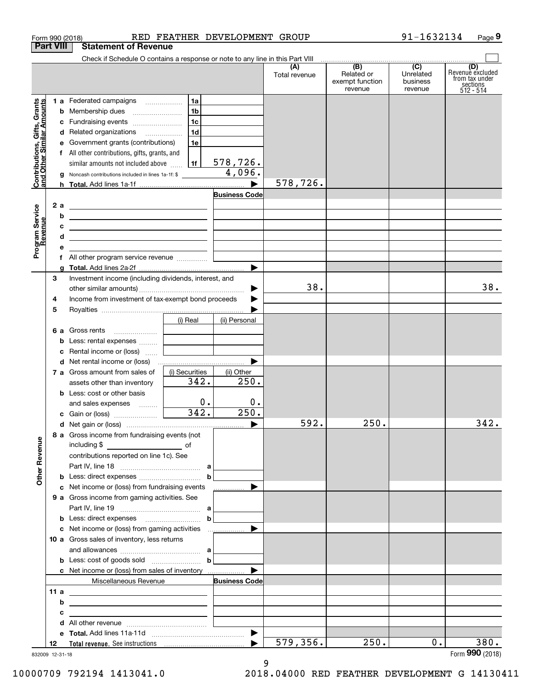| Form 990 (2018)                                           |   |                                                                                                                       |                            | RED FEATHER DEVELOPMENT GROUP |                      |                                      | 91-1632134                                | Page 9                                    |
|-----------------------------------------------------------|---|-----------------------------------------------------------------------------------------------------------------------|----------------------------|-------------------------------|----------------------|--------------------------------------|-------------------------------------------|-------------------------------------------|
| <b>Part VIII</b>                                          |   | <b>Statement of Revenue</b>                                                                                           |                            |                               |                      |                                      |                                           |                                           |
|                                                           |   | Check if Schedule O contains a response or note to any line in this Part VIII                                         |                            |                               | (A)<br>Total revenue | (B)<br>Related or<br>exempt function | $\overline{(C)}$<br>Unrelated<br>business | (D)<br>Revenue excluded<br>from tax under |
|                                                           |   |                                                                                                                       |                            |                               |                      | revenue                              | revenue                                   | sections<br>512 - 514                     |
| Contributions, Gifts, Grants<br>and Other Similar Amounts |   | 1 a Federated campaigns                                                                                               | 1a                         |                               |                      |                                      |                                           |                                           |
|                                                           |   |                                                                                                                       | 1 <sub>b</sub>             |                               |                      |                                      |                                           |                                           |
|                                                           | c | Fundraising events                                                                                                    | 1c                         |                               |                      |                                      |                                           |                                           |
|                                                           |   | d Related organizations                                                                                               | 1d                         |                               |                      |                                      |                                           |                                           |
|                                                           |   | e Government grants (contributions)                                                                                   | 1e                         |                               |                      |                                      |                                           |                                           |
|                                                           |   | f All other contributions, gifts, grants, and                                                                         |                            |                               |                      |                                      |                                           |                                           |
|                                                           |   | similar amounts not included above                                                                                    | 1f                         | 578,726.                      |                      |                                      |                                           |                                           |
|                                                           | g | Noncash contributions included in lines 1a-1f: \$                                                                     |                            | 4,096.                        |                      |                                      |                                           |                                           |
|                                                           |   |                                                                                                                       |                            |                               | 578,726.             |                                      |                                           |                                           |
|                                                           |   |                                                                                                                       |                            | <b>Business Code</b>          |                      |                                      |                                           |                                           |
| 2 a                                                       |   | <u> 1989 - Johann Harry Harry Harry Harry Harry Harry Harry Harry Harry Harry Harry Harry Harry Harry Harry Harry</u> |                            |                               |                      |                                      |                                           |                                           |
|                                                           | b | the control of the control of the control of the control of the control of the control of                             |                            |                               |                      |                                      |                                           |                                           |
|                                                           | c | <u> 1989 - Johann Barn, amerikansk politiker (d. 1989)</u>                                                            |                            |                               |                      |                                      |                                           |                                           |
|                                                           | d | <u> 1989 - Johann John Stein, fransk politik (f. 1989)</u>                                                            |                            |                               |                      |                                      |                                           |                                           |
| Program Service<br>Revenue                                | е | <u> 1980 - Jan Samuel Barbara, prima populație de la programa de la programa de la programa de la programa de la</u>  |                            |                               |                      |                                      |                                           |                                           |
|                                                           |   | f All other program service revenue                                                                                   |                            |                               |                      |                                      |                                           |                                           |
|                                                           | a |                                                                                                                       |                            |                               |                      |                                      |                                           |                                           |
| З                                                         |   | Investment income (including dividends, interest, and                                                                 |                            |                               |                      |                                      |                                           |                                           |
|                                                           |   |                                                                                                                       |                            |                               | 38.                  |                                      |                                           | 38.                                       |
| 4                                                         |   | Income from investment of tax-exempt bond proceeds                                                                    |                            |                               |                      |                                      |                                           |                                           |
| 5                                                         |   |                                                                                                                       |                            |                               |                      |                                      |                                           |                                           |
|                                                           |   |                                                                                                                       | (i) Real                   | (ii) Personal                 |                      |                                      |                                           |                                           |
| 6а                                                        |   | Gross rents                                                                                                           |                            |                               |                      |                                      |                                           |                                           |
|                                                           | b | Less: rental expenses                                                                                                 |                            |                               |                      |                                      |                                           |                                           |
|                                                           | c | Rental income or (loss)                                                                                               | the company of the company |                               |                      |                                      |                                           |                                           |
|                                                           |   |                                                                                                                       |                            |                               |                      |                                      |                                           |                                           |
|                                                           |   | 7 a Gross amount from sales of                                                                                        | (i) Securities             | (ii) Other                    |                      |                                      |                                           |                                           |
|                                                           |   | assets other than inventory                                                                                           | 342.                       | 250.                          |                      |                                      |                                           |                                           |
|                                                           |   | <b>b</b> Less: cost or other basis                                                                                    |                            |                               |                      |                                      |                                           |                                           |
|                                                           |   | and sales expenses                                                                                                    | 0.                         | $0$ .                         |                      |                                      |                                           |                                           |
|                                                           |   | c Gain or (loss)                                                                                                      | 342.                       | 250.                          |                      |                                      |                                           |                                           |
|                                                           |   |                                                                                                                       |                            |                               | 592.                 | 250.                                 |                                           | 342.                                      |
|                                                           |   | 8 a Gross income from fundraising events (not                                                                         |                            |                               |                      |                                      |                                           |                                           |
|                                                           |   |                                                                                                                       |                            |                               |                      |                                      |                                           |                                           |
|                                                           |   | contributions reported on line 1c). See                                                                               |                            |                               |                      |                                      |                                           |                                           |
| <b>Other Revenue</b>                                      |   |                                                                                                                       |                            |                               |                      |                                      |                                           |                                           |
|                                                           |   |                                                                                                                       |                            | $\mathbf b$                   |                      |                                      |                                           |                                           |
|                                                           |   | c Net income or (loss) from fundraising events                                                                        |                            | .                             |                      |                                      |                                           |                                           |
|                                                           |   | 9 a Gross income from gaming activities. See                                                                          |                            |                               |                      |                                      |                                           |                                           |
|                                                           |   |                                                                                                                       |                            |                               |                      |                                      |                                           |                                           |
|                                                           |   |                                                                                                                       |                            | $\mathbf b$                   |                      |                                      |                                           |                                           |
|                                                           |   |                                                                                                                       |                            |                               |                      |                                      |                                           |                                           |
|                                                           |   | 10 a Gross sales of inventory, less returns                                                                           |                            |                               |                      |                                      |                                           |                                           |
|                                                           |   |                                                                                                                       |                            |                               |                      |                                      |                                           |                                           |
|                                                           |   | <b>b</b> Less: cost of goods sold $\begin{bmatrix} b & b \end{bmatrix}$                                               |                            |                               |                      |                                      |                                           |                                           |
|                                                           |   | c Net income or (loss) from sales of inventory                                                                        |                            |                               |                      |                                      |                                           |                                           |
|                                                           |   | Miscellaneous Revenue                                                                                                 |                            | <b>Business Code</b>          |                      |                                      |                                           |                                           |
| 11 a                                                      |   | <u> 1989 - Johann Barn, mars et al. (b. 1989)</u>                                                                     |                            |                               |                      |                                      |                                           |                                           |
|                                                           | b | <u> 1989 - Johann Barbara, martin amerikan basar dan berasal dalam basar dalam basar dalam basar dalam basar dala</u> |                            |                               |                      |                                      |                                           |                                           |
|                                                           | с | <u> 1989 - Johann Stein, fransk politik (d. 1989)</u>                                                                 |                            |                               |                      |                                      |                                           |                                           |
|                                                           |   |                                                                                                                       |                            |                               |                      |                                      |                                           |                                           |
|                                                           |   |                                                                                                                       |                            |                               |                      |                                      |                                           |                                           |
| 12                                                        |   |                                                                                                                       |                            |                               | 579,356.             | 250.                                 | $0$ .                                     | 380.                                      |
|                                                           |   |                                                                                                                       |                            |                               |                      |                                      |                                           | Form 990 (2018)                           |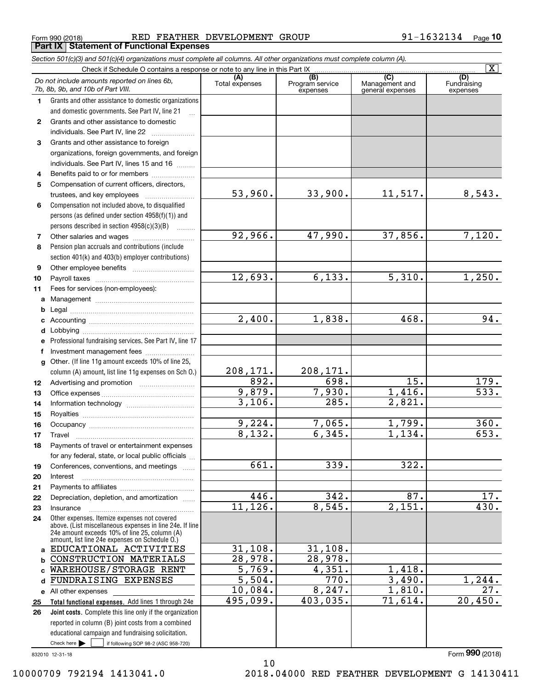Form 990 (2018) RED FEATHER DEVELOPMENT GROUP 9 $1\text{--}1632134$  Page **Part IX Statement of Functional Expenses**

|              | Section 501(c)(3) and 501(c)(4) organizations must complete all columns. All other organizations must complete column (A).                                                                                                                                          |                       |                                    |                                           |                                |
|--------------|---------------------------------------------------------------------------------------------------------------------------------------------------------------------------------------------------------------------------------------------------------------------|-----------------------|------------------------------------|-------------------------------------------|--------------------------------|
|              | Check if Schedule O contains a response or note to any line in this Part IX                                                                                                                                                                                         |                       |                                    |                                           | $\overline{\mathtt{x}}$        |
|              | Do not include amounts reported on lines 6b,<br>7b, 8b, 9b, and 10b of Part VIII.                                                                                                                                                                                   | (A)<br>Total expenses | (B)<br>Program service<br>expenses | (C)<br>Management and<br>general expenses | (D)<br>Fundraising<br>expenses |
| 1.           | Grants and other assistance to domestic organizations                                                                                                                                                                                                               |                       |                                    |                                           |                                |
|              | and domestic governments. See Part IV, line 21                                                                                                                                                                                                                      |                       |                                    |                                           |                                |
| $\mathbf{2}$ | Grants and other assistance to domestic                                                                                                                                                                                                                             |                       |                                    |                                           |                                |
|              | individuals. See Part IV, line 22<br>and a complete the complete state of the state of the state of the state of the state of the state of the state of the state of the state of the state of the state of the state of the state of the state of the state of the |                       |                                    |                                           |                                |
| 3            | Grants and other assistance to foreign                                                                                                                                                                                                                              |                       |                                    |                                           |                                |
|              | organizations, foreign governments, and foreign                                                                                                                                                                                                                     |                       |                                    |                                           |                                |
|              | individuals. See Part IV, lines 15 and 16                                                                                                                                                                                                                           |                       |                                    |                                           |                                |
| 4            | Benefits paid to or for members                                                                                                                                                                                                                                     |                       |                                    |                                           |                                |
| 5            | Compensation of current officers, directors,                                                                                                                                                                                                                        |                       |                                    |                                           |                                |
|              |                                                                                                                                                                                                                                                                     | 53,960.               | 33,900.                            | 11,517.                                   | 8,543.                         |
| 6            | Compensation not included above, to disqualified                                                                                                                                                                                                                    |                       |                                    |                                           |                                |
|              | persons (as defined under section 4958(f)(1)) and                                                                                                                                                                                                                   |                       |                                    |                                           |                                |
|              | persons described in section 4958(c)(3)(B)<br><u>.</u><br>.                                                                                                                                                                                                         |                       |                                    |                                           |                                |
| 7            |                                                                                                                                                                                                                                                                     | 92,966.               | 47,990.                            | 37,856.                                   | 7,120.                         |
| 8            | Pension plan accruals and contributions (include                                                                                                                                                                                                                    |                       |                                    |                                           |                                |
|              | section 401(k) and 403(b) employer contributions)                                                                                                                                                                                                                   |                       |                                    |                                           |                                |
| 9            |                                                                                                                                                                                                                                                                     |                       |                                    |                                           |                                |
| 10           |                                                                                                                                                                                                                                                                     | 12,693.               | 6,133.                             | $\overline{5,310}$ .                      | 1,250.                         |
| 11           | Fees for services (non-employees):                                                                                                                                                                                                                                  |                       |                                    |                                           |                                |
| a            |                                                                                                                                                                                                                                                                     |                       |                                    |                                           |                                |
| b            |                                                                                                                                                                                                                                                                     |                       |                                    |                                           |                                |
| c            |                                                                                                                                                                                                                                                                     | 2,400.                | 1,838.                             | 468.                                      | 94.                            |
| d            |                                                                                                                                                                                                                                                                     |                       |                                    |                                           |                                |
|              | Professional fundraising services. See Part IV, line 17                                                                                                                                                                                                             |                       |                                    |                                           |                                |
| f            | Investment management fees                                                                                                                                                                                                                                          |                       |                                    |                                           |                                |
| g            | Other. (If line 11g amount exceeds 10% of line 25,                                                                                                                                                                                                                  |                       |                                    |                                           |                                |
|              | column (A) amount, list line 11g expenses on Sch O.)                                                                                                                                                                                                                | 208,171.              | 208,171.                           |                                           |                                |
| 12           |                                                                                                                                                                                                                                                                     | 892.                  | 698.                               | $\overline{15}$ .                         | 179.                           |
| 13           |                                                                                                                                                                                                                                                                     | 9,879.                | 7,930.                             | 1,416.                                    | $\overline{533}$ .             |
| 14           |                                                                                                                                                                                                                                                                     | 3,106.                | 285.                               | 2,821.                                    |                                |
| 15           |                                                                                                                                                                                                                                                                     |                       |                                    |                                           |                                |
| 16           |                                                                                                                                                                                                                                                                     | 9,224.                | 7,065.                             | 1,799.                                    | 360.                           |
| 17           |                                                                                                                                                                                                                                                                     | 8,132.                | 6,345.                             | 1,134.                                    | 653.                           |
| 18           | Payments of travel or entertainment expenses                                                                                                                                                                                                                        |                       |                                    |                                           |                                |
|              | for any federal, state, or local public officials                                                                                                                                                                                                                   |                       |                                    |                                           |                                |
| 19           | Conferences, conventions, and meetings                                                                                                                                                                                                                              | $\overline{661}$ .    | 339.                               | 322.                                      |                                |
| 20           | Interest                                                                                                                                                                                                                                                            |                       |                                    |                                           |                                |
| 21           |                                                                                                                                                                                                                                                                     |                       |                                    |                                           |                                |
| 22           | Depreciation, depletion, and amortization                                                                                                                                                                                                                           | 446.                  | 342.                               | 87.                                       | 17.                            |
| 23           | Insurance                                                                                                                                                                                                                                                           | 11, 126.              | 8,545.                             | $\overline{2,151}$ .                      | 430.                           |
| 24           | Other expenses. Itemize expenses not covered<br>above. (List miscellaneous expenses in line 24e. If line<br>24e amount exceeds 10% of line 25, column (A)<br>amount, list line 24e expenses on Schedule O.)                                                         |                       |                                    |                                           |                                |
| a            | EDUCATIONAL ACTIVITIES                                                                                                                                                                                                                                              | 31,108.               | 31,108.                            |                                           |                                |
| b            | CONSTRUCTION MATERIALS                                                                                                                                                                                                                                              | 28,978.               | 28,978.                            |                                           |                                |
| C            | WAREHOUSE/STORAGE RENT                                                                                                                                                                                                                                              | $\overline{5,769}$ .  | 4,351.                             | 1,418.                                    |                                |
| d            | FUNDRAISING EXPENSES                                                                                                                                                                                                                                                | $\overline{5,504}$ .  | 770.                               | 3,490.                                    | 1, 244.                        |
| е            | All other expenses                                                                                                                                                                                                                                                  | 10,084.               | 8, 247.                            | 1,810.                                    | 27.                            |
| 25           | Total functional expenses. Add lines 1 through 24e                                                                                                                                                                                                                  | 495,099.              | 403,035.                           | 71,614.                                   | 20,450.                        |
| 26           | Joint costs. Complete this line only if the organization                                                                                                                                                                                                            |                       |                                    |                                           |                                |
|              | reported in column (B) joint costs from a combined                                                                                                                                                                                                                  |                       |                                    |                                           |                                |
|              | educational campaign and fundraising solicitation.                                                                                                                                                                                                                  |                       |                                    |                                           |                                |
|              | Check here $\blacktriangleright$<br>if following SOP 98-2 (ASC 958-720)                                                                                                                                                                                             |                       |                                    |                                           |                                |

10

832010 12-31-18

Form (2018) **990**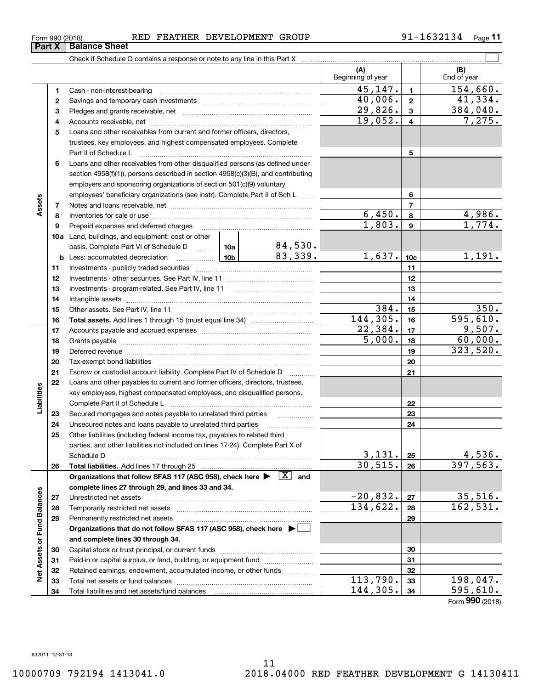| Form 990 (2018) | FEATHER<br>RED | DEVELOPMENT<br>GROUP | 45125 | $P$ age |
|-----------------|----------------|----------------------|-------|---------|
|-----------------|----------------|----------------------|-------|---------|

|                             |    |                                                                                                                                                                                                                                |  |         | (A)<br>Beginning of year |                         | (B)<br>End of year          |
|-----------------------------|----|--------------------------------------------------------------------------------------------------------------------------------------------------------------------------------------------------------------------------------|--|---------|--------------------------|-------------------------|-----------------------------|
|                             | 1  |                                                                                                                                                                                                                                |  |         | 45,147.                  | $\mathbf{1}$            | 154,660.                    |
|                             | 2  |                                                                                                                                                                                                                                |  | 40,006. | $\mathbf{2}$             | 41,334.                 |                             |
|                             | 3  |                                                                                                                                                                                                                                |  |         | 29,826.                  | 3                       | $\overline{384,040}$ .      |
|                             | 4  |                                                                                                                                                                                                                                |  |         | 19,052.                  | $\overline{\mathbf{4}}$ | 7,275.                      |
|                             | 5  | Loans and other receivables from current and former officers, directors,                                                                                                                                                       |  |         |                          |                         |                             |
|                             |    | trustees, key employees, and highest compensated employees. Complete                                                                                                                                                           |  |         |                          |                         |                             |
|                             |    |                                                                                                                                                                                                                                |  |         |                          | 5                       |                             |
|                             | 6  | Loans and other receivables from other disqualified persons (as defined under                                                                                                                                                  |  |         |                          |                         |                             |
|                             |    | section 4958(f)(1)), persons described in section 4958(c)(3)(B), and contributing                                                                                                                                              |  |         |                          |                         |                             |
|                             |    | employers and sponsoring organizations of section 501(c)(9) voluntary                                                                                                                                                          |  |         |                          |                         |                             |
|                             |    | employees' beneficiary organizations (see instr). Complete Part II of Sch L                                                                                                                                                    |  |         |                          | 6                       |                             |
| Assets                      | 7  |                                                                                                                                                                                                                                |  |         |                          | $\overline{7}$          |                             |
|                             | 8  |                                                                                                                                                                                                                                |  |         | 6,450.                   | 8                       | 4,986.                      |
|                             | 9  |                                                                                                                                                                                                                                |  |         | 1,803.                   | $\boldsymbol{9}$        | 1,774.                      |
|                             |    | 10a Land, buildings, and equipment: cost or other                                                                                                                                                                              |  |         |                          |                         |                             |
|                             |    | basis. Complete Part VI of Schedule D    10a   84, 530.                                                                                                                                                                        |  |         |                          |                         |                             |
|                             |    |                                                                                                                                                                                                                                |  | 83,339. | 1,637.                   | 10 <sub>c</sub>         | 1,191.                      |
|                             | 11 |                                                                                                                                                                                                                                |  |         |                          | 11                      |                             |
|                             | 12 |                                                                                                                                                                                                                                |  |         |                          | 12                      |                             |
|                             | 13 |                                                                                                                                                                                                                                |  |         |                          | 13                      |                             |
|                             | 14 |                                                                                                                                                                                                                                |  |         | 14                       |                         |                             |
|                             | 15 |                                                                                                                                                                                                                                |  |         | 384.                     | 15                      | 350.                        |
|                             | 16 |                                                                                                                                                                                                                                |  |         | 144, 305.                | 16                      | 595,610.                    |
|                             | 17 |                                                                                                                                                                                                                                |  | 22,384. | 17                       | 9,507.                  |                             |
|                             | 18 |                                                                                                                                                                                                                                |  |         | 5,000.                   | 18                      | 60,000.                     |
|                             | 19 | Deferred revenue manual contracts and contracts are all the manual contracts and contracts are contracted and contracts are contracted and contract are contracted and contract are contracted and contract are contracted and |  |         |                          | 19                      | 323,520.                    |
|                             | 20 |                                                                                                                                                                                                                                |  |         |                          | 20                      |                             |
|                             | 21 | Escrow or custodial account liability. Complete Part IV of Schedule D                                                                                                                                                          |  |         |                          | 21                      |                             |
|                             | 22 | Loans and other payables to current and former officers, directors, trustees,                                                                                                                                                  |  |         |                          |                         |                             |
| Liabilities                 |    | key employees, highest compensated employees, and disqualified persons.                                                                                                                                                        |  |         |                          |                         |                             |
|                             |    |                                                                                                                                                                                                                                |  |         |                          | 22                      |                             |
|                             | 23 | Secured mortgages and notes payable to unrelated third parties                                                                                                                                                                 |  |         |                          | 23                      |                             |
|                             | 24 |                                                                                                                                                                                                                                |  |         |                          | 24                      |                             |
|                             | 25 | Other liabilities (including federal income tax, payables to related third                                                                                                                                                     |  |         |                          |                         |                             |
|                             |    | parties, and other liabilities not included on lines 17-24). Complete Part X of                                                                                                                                                |  |         |                          |                         |                             |
|                             |    | Schedule D                                                                                                                                                                                                                     |  |         | 3,131.                   | 25                      | 4,536.                      |
|                             | 26 |                                                                                                                                                                                                                                |  |         | 30, 515.                 | 26                      | 397, 563.                   |
|                             |    | Organizations that follow SFAS 117 (ASC 958), check here $\blacktriangleright \begin{array}{c} \boxed{X} \\ \end{array}$ and                                                                                                   |  |         |                          |                         |                             |
|                             |    | complete lines 27 through 29, and lines 33 and 34.                                                                                                                                                                             |  |         |                          |                         |                             |
|                             | 27 |                                                                                                                                                                                                                                |  |         | $-20,832.$               | 27                      | 35,516.                     |
|                             | 28 |                                                                                                                                                                                                                                |  |         | 134,622.                 | 28                      | 162,531.                    |
|                             | 29 | Permanently restricted net assets                                                                                                                                                                                              |  |         |                          | 29                      |                             |
|                             |    | Organizations that do not follow SFAS 117 (ASC 958), check here ▶ □                                                                                                                                                            |  |         |                          |                         |                             |
| Net Assets or Fund Balances |    | and complete lines 30 through 34.                                                                                                                                                                                              |  |         |                          |                         |                             |
|                             | 30 |                                                                                                                                                                                                                                |  |         |                          | 30                      |                             |
|                             | 31 | Paid-in or capital surplus, or land, building, or equipment fund                                                                                                                                                               |  |         |                          | 31                      |                             |
|                             | 32 | Retained earnings, endowment, accumulated income, or other funds                                                                                                                                                               |  |         |                          | 32                      |                             |
|                             | 33 | Total net assets or fund balances                                                                                                                                                                                              |  |         | 113,790.<br>144,305.     | 33                      | 198,047.<br>595,610.        |
|                             | 34 | Total liabilities and net assets/fund balances                                                                                                                                                                                 |  |         |                          | 34                      | $F_{\text{arm}}$ 990 (2019) |

Form (2018) **990**

# **Part X Balance Sheet**

| Form 990 (2018) |  |  |
|-----------------|--|--|
|                 |  |  |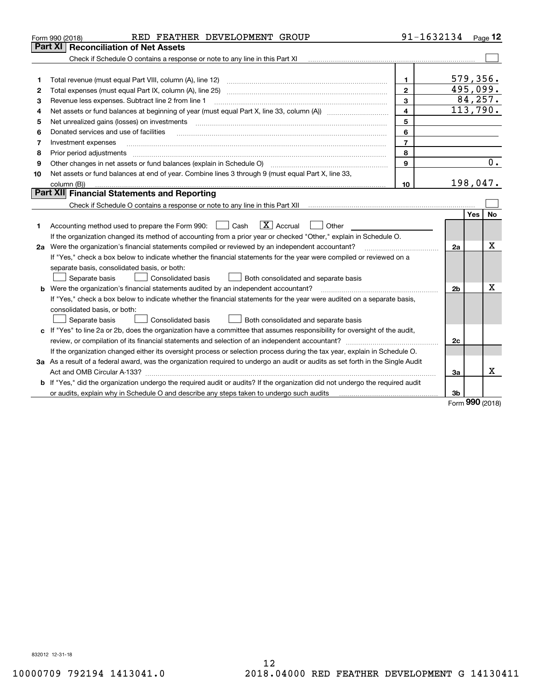|    | RED FEATHER DEVELOPMENT GROUP<br>Form 990 (2018)                                                                                | 91-1632134              |          |          | Page 12          |
|----|---------------------------------------------------------------------------------------------------------------------------------|-------------------------|----------|----------|------------------|
|    | Part XI<br><b>Reconciliation of Net Assets</b>                                                                                  |                         |          |          |                  |
|    | Check if Schedule O contains a response or note to any line in this Part XI                                                     |                         |          |          |                  |
|    |                                                                                                                                 |                         |          |          |                  |
| 1  |                                                                                                                                 | $\mathbf{1}$            |          | 579,356. |                  |
| 2  | Total expenses (must equal Part IX, column (A), line 25)                                                                        | $\overline{2}$          | 495,099. |          |                  |
| 3  | Revenue less expenses. Subtract line 2 from line 1                                                                              | 3                       |          |          | 84,257.          |
| 4  |                                                                                                                                 | $\overline{\mathbf{4}}$ |          |          | 113,790.         |
| 5  | Net unrealized gains (losses) on investments                                                                                    | 5                       |          |          |                  |
| 6  | Donated services and use of facilities                                                                                          | 6                       |          |          |                  |
| 7  | Investment expenses                                                                                                             | $\overline{7}$          |          |          |                  |
| 8  | Prior period adjustments                                                                                                        | 8                       |          |          |                  |
| 9  | Other changes in net assets or fund balances (explain in Schedule O)                                                            | $\mathbf{9}$            |          |          | $\overline{0}$ . |
| 10 | Net assets or fund balances at end of year. Combine lines 3 through 9 (must equal Part X, line 33,                              |                         |          |          |                  |
|    | column (B))                                                                                                                     | 10                      |          | 198,047. |                  |
|    | Part XII Financial Statements and Reporting                                                                                     |                         |          |          |                  |
|    |                                                                                                                                 |                         |          |          |                  |
|    |                                                                                                                                 |                         |          | Yes      | No               |
| 1  | $\boxed{\mathbf{X}}$ Accrual<br>Accounting method used to prepare the Form 990: <u>I</u> Cash<br>Other                          |                         |          |          |                  |
|    | If the organization changed its method of accounting from a prior year or checked "Other," explain in Schedule O.               |                         |          |          |                  |
|    | 2a Were the organization's financial statements compiled or reviewed by an independent accountant?                              |                         | 2a       |          | x                |
|    | If "Yes," check a box below to indicate whether the financial statements for the year were compiled or reviewed on a            |                         |          |          |                  |
|    | separate basis, consolidated basis, or both:                                                                                    |                         |          |          |                  |
|    | Separate basis<br>Both consolidated and separate basis<br>Consolidated basis                                                    |                         |          |          |                  |
|    | <b>b</b> Were the organization's financial statements audited by an independent accountant?                                     |                         | 2b       |          | Χ                |
|    | If "Yes," check a box below to indicate whether the financial statements for the year were audited on a separate basis,         |                         |          |          |                  |
|    | consolidated basis, or both:                                                                                                    |                         |          |          |                  |
|    | Separate basis<br>Consolidated basis<br>Both consolidated and separate basis                                                    |                         |          |          |                  |
|    | c If "Yes" to line 2a or 2b, does the organization have a committee that assumes responsibility for oversight of the audit,     |                         |          |          |                  |
|    |                                                                                                                                 |                         | 2c       |          |                  |
|    | If the organization changed either its oversight process or selection process during the tax year, explain in Schedule O.       |                         |          |          |                  |
|    | 3a As a result of a federal award, was the organization required to undergo an audit or audits as set forth in the Single Audit |                         |          |          |                  |
|    | Act and OMB Circular A-133?                                                                                                     |                         | За       |          | x                |
|    | b If "Yes," did the organization undergo the required audit or audits? If the organization did not undergo the required audit   |                         |          |          |                  |
|    | or audits, explain why in Schedule O and describe any steps taken to undergo such audits                                        |                         | 3b       | 000      |                  |

Form (2018) **990**

832012 12-31-18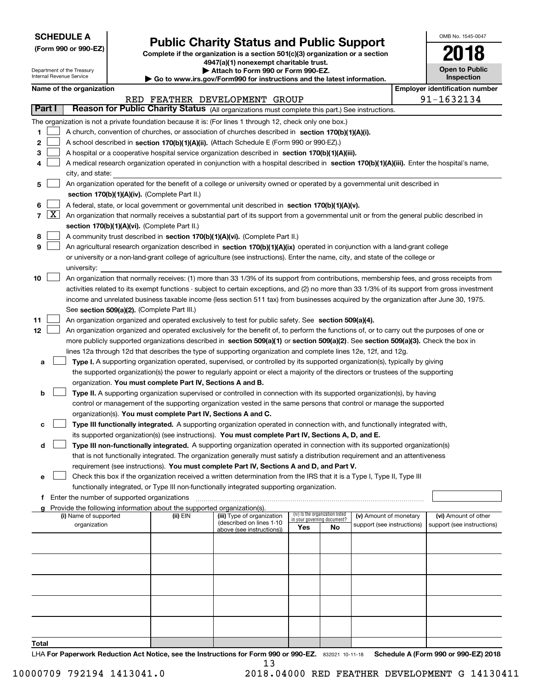| <b>SCHEDULE A</b> |
|-------------------|
|-------------------|

Department of the Treasury Internal Revenue Service

**(Form 990 or 990-EZ)**

# **Public Charity Status and Public Support**

**Complete if the organization is a section 501(c)(3) organization or a section 4947(a)(1) nonexempt charitable trust. | Attach to Form 990 or Form 990-EZ.** 

**| Go to www.irs.gov/Form990 for instructions and the latest information.**

| 2018                                |
|-------------------------------------|
| <b>Open to Public</b><br>Inspection |

OMB No. 1545-0047

|  | Name of the organization |
|--|--------------------------|
|--|--------------------------|

|                                                                                                                                                |                     | Name of the organization                                                                                                                      |          |                                                       |                                                                |    |                            |  | <b>Employer identification number</b> |  |  |  |  |
|------------------------------------------------------------------------------------------------------------------------------------------------|---------------------|-----------------------------------------------------------------------------------------------------------------------------------------------|----------|-------------------------------------------------------|----------------------------------------------------------------|----|----------------------------|--|---------------------------------------|--|--|--|--|
| 91-1632134<br>RED FEATHER DEVELOPMENT GROUP<br>Reason for Public Charity Status (All organizations must complete this part.) See instructions. |                     |                                                                                                                                               |          |                                                       |                                                                |    |                            |  |                                       |  |  |  |  |
|                                                                                                                                                | Part I              |                                                                                                                                               |          |                                                       |                                                                |    |                            |  |                                       |  |  |  |  |
|                                                                                                                                                |                     | The organization is not a private foundation because it is: (For lines 1 through 12, check only one box.)                                     |          |                                                       |                                                                |    |                            |  |                                       |  |  |  |  |
| 1.                                                                                                                                             |                     | A church, convention of churches, or association of churches described in section 170(b)(1)(A)(i).                                            |          |                                                       |                                                                |    |                            |  |                                       |  |  |  |  |
| 2                                                                                                                                              |                     | A school described in section 170(b)(1)(A)(ii). (Attach Schedule E (Form 990 or 990-EZ).)                                                     |          |                                                       |                                                                |    |                            |  |                                       |  |  |  |  |
| 3                                                                                                                                              |                     | A hospital or a cooperative hospital service organization described in section 170(b)(1)(A)(iii).                                             |          |                                                       |                                                                |    |                            |  |                                       |  |  |  |  |
| 4                                                                                                                                              |                     | A medical research organization operated in conjunction with a hospital described in section 170(b)(1)(A)(iii). Enter the hospital's name,    |          |                                                       |                                                                |    |                            |  |                                       |  |  |  |  |
|                                                                                                                                                |                     | city, and state:                                                                                                                              |          |                                                       |                                                                |    |                            |  |                                       |  |  |  |  |
| 5                                                                                                                                              |                     | An organization operated for the benefit of a college or university owned or operated by a governmental unit described in                     |          |                                                       |                                                                |    |                            |  |                                       |  |  |  |  |
|                                                                                                                                                |                     | section 170(b)(1)(A)(iv). (Complete Part II.)                                                                                                 |          |                                                       |                                                                |    |                            |  |                                       |  |  |  |  |
| 6                                                                                                                                              |                     | A federal, state, or local government or governmental unit described in section 170(b)(1)(A)(v).                                              |          |                                                       |                                                                |    |                            |  |                                       |  |  |  |  |
| $\overline{7}$                                                                                                                                 | $\lfloor x \rfloor$ | An organization that normally receives a substantial part of its support from a governmental unit or from the general public described in     |          |                                                       |                                                                |    |                            |  |                                       |  |  |  |  |
|                                                                                                                                                |                     | section 170(b)(1)(A)(vi). (Complete Part II.)                                                                                                 |          |                                                       |                                                                |    |                            |  |                                       |  |  |  |  |
| 8                                                                                                                                              |                     | A community trust described in section 170(b)(1)(A)(vi). (Complete Part II.)                                                                  |          |                                                       |                                                                |    |                            |  |                                       |  |  |  |  |
| 9                                                                                                                                              |                     | An agricultural research organization described in section 170(b)(1)(A)(ix) operated in conjunction with a land-grant college                 |          |                                                       |                                                                |    |                            |  |                                       |  |  |  |  |
|                                                                                                                                                |                     | or university or a non-land-grant college of agriculture (see instructions). Enter the name, city, and state of the college or                |          |                                                       |                                                                |    |                            |  |                                       |  |  |  |  |
|                                                                                                                                                |                     | university:                                                                                                                                   |          |                                                       |                                                                |    |                            |  |                                       |  |  |  |  |
| 10                                                                                                                                             |                     | An organization that normally receives: (1) more than 33 1/3% of its support from contributions, membership fees, and gross receipts from     |          |                                                       |                                                                |    |                            |  |                                       |  |  |  |  |
|                                                                                                                                                |                     | activities related to its exempt functions - subject to certain exceptions, and (2) no more than 33 1/3% of its support from gross investment |          |                                                       |                                                                |    |                            |  |                                       |  |  |  |  |
|                                                                                                                                                |                     | income and unrelated business taxable income (less section 511 tax) from businesses acquired by the organization after June 30, 1975.         |          |                                                       |                                                                |    |                            |  |                                       |  |  |  |  |
|                                                                                                                                                |                     | See section 509(a)(2). (Complete Part III.)                                                                                                   |          |                                                       |                                                                |    |                            |  |                                       |  |  |  |  |
| 11                                                                                                                                             |                     | An organization organized and operated exclusively to test for public safety. See section 509(a)(4).                                          |          |                                                       |                                                                |    |                            |  |                                       |  |  |  |  |
| 12                                                                                                                                             |                     | An organization organized and operated exclusively for the benefit of, to perform the functions of, or to carry out the purposes of one or    |          |                                                       |                                                                |    |                            |  |                                       |  |  |  |  |
|                                                                                                                                                |                     | more publicly supported organizations described in section 509(a)(1) or section 509(a)(2). See section 509(a)(3). Check the box in            |          |                                                       |                                                                |    |                            |  |                                       |  |  |  |  |
|                                                                                                                                                |                     | lines 12a through 12d that describes the type of supporting organization and complete lines 12e, 12f, and 12g.                                |          |                                                       |                                                                |    |                            |  |                                       |  |  |  |  |
| а                                                                                                                                              |                     | Type I. A supporting organization operated, supervised, or controlled by its supported organization(s), typically by giving                   |          |                                                       |                                                                |    |                            |  |                                       |  |  |  |  |
|                                                                                                                                                |                     | the supported organization(s) the power to regularly appoint or elect a majority of the directors or trustees of the supporting               |          |                                                       |                                                                |    |                            |  |                                       |  |  |  |  |
|                                                                                                                                                |                     | organization. You must complete Part IV, Sections A and B.                                                                                    |          |                                                       |                                                                |    |                            |  |                                       |  |  |  |  |
| b                                                                                                                                              |                     | Type II. A supporting organization supervised or controlled in connection with its supported organization(s), by having                       |          |                                                       |                                                                |    |                            |  |                                       |  |  |  |  |
|                                                                                                                                                |                     | control or management of the supporting organization vested in the same persons that control or manage the supported                          |          |                                                       |                                                                |    |                            |  |                                       |  |  |  |  |
|                                                                                                                                                |                     | organization(s). You must complete Part IV, Sections A and C.                                                                                 |          |                                                       |                                                                |    |                            |  |                                       |  |  |  |  |
| с                                                                                                                                              |                     | Type III functionally integrated. A supporting organization operated in connection with, and functionally integrated with,                    |          |                                                       |                                                                |    |                            |  |                                       |  |  |  |  |
|                                                                                                                                                |                     | its supported organization(s) (see instructions). You must complete Part IV, Sections A, D, and E.                                            |          |                                                       |                                                                |    |                            |  |                                       |  |  |  |  |
| d                                                                                                                                              |                     | Type III non-functionally integrated. A supporting organization operated in connection with its supported organization(s)                     |          |                                                       |                                                                |    |                            |  |                                       |  |  |  |  |
|                                                                                                                                                |                     | that is not functionally integrated. The organization generally must satisfy a distribution requirement and an attentiveness                  |          |                                                       |                                                                |    |                            |  |                                       |  |  |  |  |
|                                                                                                                                                |                     | requirement (see instructions). You must complete Part IV, Sections A and D, and Part V.                                                      |          |                                                       |                                                                |    |                            |  |                                       |  |  |  |  |
|                                                                                                                                                |                     | Check this box if the organization received a written determination from the IRS that it is a Type I, Type II, Type III                       |          |                                                       |                                                                |    |                            |  |                                       |  |  |  |  |
|                                                                                                                                                |                     | functionally integrated, or Type III non-functionally integrated supporting organization.                                                     |          |                                                       |                                                                |    |                            |  |                                       |  |  |  |  |
|                                                                                                                                                |                     | f Enter the number of supported organizations                                                                                                 |          |                                                       |                                                                |    |                            |  |                                       |  |  |  |  |
|                                                                                                                                                |                     | g Provide the following information about the supported organization(s).                                                                      |          |                                                       |                                                                |    |                            |  |                                       |  |  |  |  |
|                                                                                                                                                |                     | (i) Name of supported                                                                                                                         | (ii) EIN | (iii) Type of organization                            | (iv) Is the organization listed<br>in your governing document? |    | (v) Amount of monetary     |  | (vi) Amount of other                  |  |  |  |  |
|                                                                                                                                                |                     | organization                                                                                                                                  |          | (described on lines 1-10<br>above (see instructions)) | Yes                                                            | No | support (see instructions) |  | support (see instructions)            |  |  |  |  |
|                                                                                                                                                |                     |                                                                                                                                               |          |                                                       |                                                                |    |                            |  |                                       |  |  |  |  |
|                                                                                                                                                |                     |                                                                                                                                               |          |                                                       |                                                                |    |                            |  |                                       |  |  |  |  |
|                                                                                                                                                |                     |                                                                                                                                               |          |                                                       |                                                                |    |                            |  |                                       |  |  |  |  |
|                                                                                                                                                |                     |                                                                                                                                               |          |                                                       |                                                                |    |                            |  |                                       |  |  |  |  |
|                                                                                                                                                |                     |                                                                                                                                               |          |                                                       |                                                                |    |                            |  |                                       |  |  |  |  |
|                                                                                                                                                |                     |                                                                                                                                               |          |                                                       |                                                                |    |                            |  |                                       |  |  |  |  |
|                                                                                                                                                |                     |                                                                                                                                               |          |                                                       |                                                                |    |                            |  |                                       |  |  |  |  |
|                                                                                                                                                |                     |                                                                                                                                               |          |                                                       |                                                                |    |                            |  |                                       |  |  |  |  |
|                                                                                                                                                |                     |                                                                                                                                               |          |                                                       |                                                                |    |                            |  |                                       |  |  |  |  |
|                                                                                                                                                |                     |                                                                                                                                               |          |                                                       |                                                                |    |                            |  |                                       |  |  |  |  |
| <b>Total</b>                                                                                                                                   |                     |                                                                                                                                               |          |                                                       |                                                                |    |                            |  |                                       |  |  |  |  |

LHA For Paperwork Reduction Act Notice, see the Instructions for Form 990 or 990-EZ. 832021 10-11-18 Schedule A (Form 990 or 990-EZ) 2018 13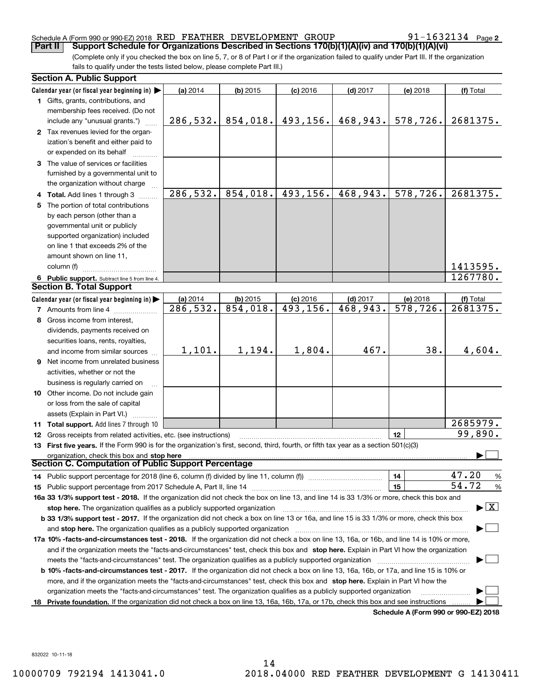#### Schedule A (Form 990 or 990-EZ) 2018 Page RED FEATHER DEVELOPMENT GROUP 91-1632134

91-1632134 Page 2

(Complete only if you checked the box on line 5, 7, or 8 of Part I or if the organization failed to qualify under Part III. If the organization fails to qualify under the tests listed below, please complete Part III.) **Part II COPPORT Schedule for Organizations Described in Sections 170(b)(1)(A)(iv) and 170(b)(1)(A)(vi)** 

| Calendar year (or fiscal year beginning in) $\blacktriangleright$<br>(a) 2014<br>$(b)$ 2015<br>$(c)$ 2016<br>$(d)$ 2017<br>(e) 2018<br>(f) Total<br>1 Gifts, grants, contributions, and<br>membership fees received. (Do not<br>493,156.<br>468,943.<br>578,726.<br>286,532.<br>854,018.<br>2681375.<br>include any "unusual grants.")<br>2 Tax revenues levied for the organ-<br>ization's benefit and either paid to<br>or expended on its behalf<br>3 The value of services or facilities<br>furnished by a governmental unit to<br>the organization without charge<br>286,532.<br>854,018.<br>493,156.<br>468, 943.<br>578,726.<br>2681375.<br>4 Total. Add lines 1 through 3<br>5 The portion of total contributions<br>by each person (other than a<br>governmental unit or publicly<br>supported organization) included<br>on line 1 that exceeds 2% of the<br>amount shown on line 11,<br>1413595.<br>column (f)<br>1267780.<br>6 Public support. Subtract line 5 from line 4.<br><b>Section B. Total Support</b><br>Calendar year (or fiscal year beginning in)<br>(a) 2014<br>$(b)$ 2015<br>$(c)$ 2016<br>$(d)$ 2017<br>(e) 2018<br>(f) Total<br>854,018.<br>493, 156.<br>468,943.<br>$\overline{578, 726}$ .<br>2681375.<br>286,532.<br><b>7</b> Amounts from line 4<br>8 Gross income from interest,<br>dividends, payments received on<br>securities loans, rents, royalties,<br>1,194.<br>467.<br>1,101.<br>1,804.<br>38.<br>4,604.<br>and income from similar sources<br><b>9</b> Net income from unrelated business<br>activities, whether or not the<br>business is regularly carried on<br><b>10</b> Other income. Do not include gain<br>or loss from the sale of capital<br>assets (Explain in Part VI.) <b>Constant</b><br>2685979.<br>11 Total support. Add lines 7 through 10<br>99,890.<br>12<br>12 Gross receipts from related activities, etc. (see instructions)<br>13 First five years. If the Form 990 is for the organization's first, second, third, fourth, or fifth tax year as a section 501(c)(3)<br>organization, check this box and stop here<br>Section C. Computation of Public Support Percentage<br>47.20<br>14<br>$\frac{9}{6}$<br>14 Public support percentage for 2018 (line 6, column (f) divided by line 11, column (f) <i>mummumumum</i><br>54.72<br>15<br>%<br>16a 33 1/3% support test - 2018. If the organization did not check the box on line 13, and line 14 is 33 1/3% or more, check this box and<br>$\blacktriangleright$ $\vert$ X $\vert$<br>stop here. The organization qualifies as a publicly supported organization<br>b 33 1/3% support test - 2017. If the organization did not check a box on line 13 or 16a, and line 15 is 33 1/3% or more, check this box<br>and stop here. The organization qualifies as a publicly supported organization<br>17a 10% -facts-and-circumstances test - 2018. If the organization did not check a box on line 13, 16a, or 16b, and line 14 is 10% or more,<br>and if the organization meets the "facts-and-circumstances" test, check this box and stop here. Explain in Part VI how the organization<br>meets the "facts-and-circumstances" test. The organization qualifies as a publicly supported organization <i>marroummumumumum</i><br><b>b 10% -facts-and-circumstances test - 2017.</b> If the organization did not check a box on line 13, 16a, 16b, or 17a, and line 15 is 10% or<br>more, and if the organization meets the "facts-and-circumstances" test, check this box and stop here. Explain in Part VI how the<br>organization meets the "facts-and-circumstances" test. The organization qualifies as a publicly supported organization<br>Private foundation. If the organization did not check a box on line 13, 16a, 16b, 17a, or 17b, check this box and see instructions<br>18 | <b>Section A. Public Support</b> |  |  |  |
|-----------------------------------------------------------------------------------------------------------------------------------------------------------------------------------------------------------------------------------------------------------------------------------------------------------------------------------------------------------------------------------------------------------------------------------------------------------------------------------------------------------------------------------------------------------------------------------------------------------------------------------------------------------------------------------------------------------------------------------------------------------------------------------------------------------------------------------------------------------------------------------------------------------------------------------------------------------------------------------------------------------------------------------------------------------------------------------------------------------------------------------------------------------------------------------------------------------------------------------------------------------------------------------------------------------------------------------------------------------------------------------------------------------------------------------------------------------------------------------------------------------------------------------------------------------------------------------------------------------------------------------------------------------------------------------------------------------------------------------------------------------------------------------------------------------------------------------------------------------------------------------------------------------------------------------------------------------------------------------------------------------------------------------------------------------------------------------------------------------------------------------------------------------------------------------------------------------------------------------------------------------------------------------------------------------------------------------------------------------------------------------------------------------------------------------------------------------------------------------------------------------------------------------------------------------------------------------------------------------------------------------------------------------------------------------------------------------------------------------------------------------------------------------------------------------------------------------------------------------------------------------------------------------------------------------------------------------------------------------------------------------------------------------------------------------------------------------------------------------------------------------------------------------------------------------------------------------------------------------------------------------------------------------------------------------------------------------------------------------------------------------------------------------------------------------------------------------------------------------------------------------------------------------------------------------------------------------------------------------------------------------------------------------------------------------------------------------------------------------------------------------------------------------------------------------|----------------------------------|--|--|--|
|                                                                                                                                                                                                                                                                                                                                                                                                                                                                                                                                                                                                                                                                                                                                                                                                                                                                                                                                                                                                                                                                                                                                                                                                                                                                                                                                                                                                                                                                                                                                                                                                                                                                                                                                                                                                                                                                                                                                                                                                                                                                                                                                                                                                                                                                                                                                                                                                                                                                                                                                                                                                                                                                                                                                                                                                                                                                                                                                                                                                                                                                                                                                                                                                                                                                                                                                                                                                                                                                                                                                                                                                                                                                                                                                                                                                           |                                  |  |  |  |
|                                                                                                                                                                                                                                                                                                                                                                                                                                                                                                                                                                                                                                                                                                                                                                                                                                                                                                                                                                                                                                                                                                                                                                                                                                                                                                                                                                                                                                                                                                                                                                                                                                                                                                                                                                                                                                                                                                                                                                                                                                                                                                                                                                                                                                                                                                                                                                                                                                                                                                                                                                                                                                                                                                                                                                                                                                                                                                                                                                                                                                                                                                                                                                                                                                                                                                                                                                                                                                                                                                                                                                                                                                                                                                                                                                                                           |                                  |  |  |  |
|                                                                                                                                                                                                                                                                                                                                                                                                                                                                                                                                                                                                                                                                                                                                                                                                                                                                                                                                                                                                                                                                                                                                                                                                                                                                                                                                                                                                                                                                                                                                                                                                                                                                                                                                                                                                                                                                                                                                                                                                                                                                                                                                                                                                                                                                                                                                                                                                                                                                                                                                                                                                                                                                                                                                                                                                                                                                                                                                                                                                                                                                                                                                                                                                                                                                                                                                                                                                                                                                                                                                                                                                                                                                                                                                                                                                           |                                  |  |  |  |
|                                                                                                                                                                                                                                                                                                                                                                                                                                                                                                                                                                                                                                                                                                                                                                                                                                                                                                                                                                                                                                                                                                                                                                                                                                                                                                                                                                                                                                                                                                                                                                                                                                                                                                                                                                                                                                                                                                                                                                                                                                                                                                                                                                                                                                                                                                                                                                                                                                                                                                                                                                                                                                                                                                                                                                                                                                                                                                                                                                                                                                                                                                                                                                                                                                                                                                                                                                                                                                                                                                                                                                                                                                                                                                                                                                                                           |                                  |  |  |  |
|                                                                                                                                                                                                                                                                                                                                                                                                                                                                                                                                                                                                                                                                                                                                                                                                                                                                                                                                                                                                                                                                                                                                                                                                                                                                                                                                                                                                                                                                                                                                                                                                                                                                                                                                                                                                                                                                                                                                                                                                                                                                                                                                                                                                                                                                                                                                                                                                                                                                                                                                                                                                                                                                                                                                                                                                                                                                                                                                                                                                                                                                                                                                                                                                                                                                                                                                                                                                                                                                                                                                                                                                                                                                                                                                                                                                           |                                  |  |  |  |
|                                                                                                                                                                                                                                                                                                                                                                                                                                                                                                                                                                                                                                                                                                                                                                                                                                                                                                                                                                                                                                                                                                                                                                                                                                                                                                                                                                                                                                                                                                                                                                                                                                                                                                                                                                                                                                                                                                                                                                                                                                                                                                                                                                                                                                                                                                                                                                                                                                                                                                                                                                                                                                                                                                                                                                                                                                                                                                                                                                                                                                                                                                                                                                                                                                                                                                                                                                                                                                                                                                                                                                                                                                                                                                                                                                                                           |                                  |  |  |  |
|                                                                                                                                                                                                                                                                                                                                                                                                                                                                                                                                                                                                                                                                                                                                                                                                                                                                                                                                                                                                                                                                                                                                                                                                                                                                                                                                                                                                                                                                                                                                                                                                                                                                                                                                                                                                                                                                                                                                                                                                                                                                                                                                                                                                                                                                                                                                                                                                                                                                                                                                                                                                                                                                                                                                                                                                                                                                                                                                                                                                                                                                                                                                                                                                                                                                                                                                                                                                                                                                                                                                                                                                                                                                                                                                                                                                           |                                  |  |  |  |
|                                                                                                                                                                                                                                                                                                                                                                                                                                                                                                                                                                                                                                                                                                                                                                                                                                                                                                                                                                                                                                                                                                                                                                                                                                                                                                                                                                                                                                                                                                                                                                                                                                                                                                                                                                                                                                                                                                                                                                                                                                                                                                                                                                                                                                                                                                                                                                                                                                                                                                                                                                                                                                                                                                                                                                                                                                                                                                                                                                                                                                                                                                                                                                                                                                                                                                                                                                                                                                                                                                                                                                                                                                                                                                                                                                                                           |                                  |  |  |  |
|                                                                                                                                                                                                                                                                                                                                                                                                                                                                                                                                                                                                                                                                                                                                                                                                                                                                                                                                                                                                                                                                                                                                                                                                                                                                                                                                                                                                                                                                                                                                                                                                                                                                                                                                                                                                                                                                                                                                                                                                                                                                                                                                                                                                                                                                                                                                                                                                                                                                                                                                                                                                                                                                                                                                                                                                                                                                                                                                                                                                                                                                                                                                                                                                                                                                                                                                                                                                                                                                                                                                                                                                                                                                                                                                                                                                           |                                  |  |  |  |
|                                                                                                                                                                                                                                                                                                                                                                                                                                                                                                                                                                                                                                                                                                                                                                                                                                                                                                                                                                                                                                                                                                                                                                                                                                                                                                                                                                                                                                                                                                                                                                                                                                                                                                                                                                                                                                                                                                                                                                                                                                                                                                                                                                                                                                                                                                                                                                                                                                                                                                                                                                                                                                                                                                                                                                                                                                                                                                                                                                                                                                                                                                                                                                                                                                                                                                                                                                                                                                                                                                                                                                                                                                                                                                                                                                                                           |                                  |  |  |  |
|                                                                                                                                                                                                                                                                                                                                                                                                                                                                                                                                                                                                                                                                                                                                                                                                                                                                                                                                                                                                                                                                                                                                                                                                                                                                                                                                                                                                                                                                                                                                                                                                                                                                                                                                                                                                                                                                                                                                                                                                                                                                                                                                                                                                                                                                                                                                                                                                                                                                                                                                                                                                                                                                                                                                                                                                                                                                                                                                                                                                                                                                                                                                                                                                                                                                                                                                                                                                                                                                                                                                                                                                                                                                                                                                                                                                           |                                  |  |  |  |
|                                                                                                                                                                                                                                                                                                                                                                                                                                                                                                                                                                                                                                                                                                                                                                                                                                                                                                                                                                                                                                                                                                                                                                                                                                                                                                                                                                                                                                                                                                                                                                                                                                                                                                                                                                                                                                                                                                                                                                                                                                                                                                                                                                                                                                                                                                                                                                                                                                                                                                                                                                                                                                                                                                                                                                                                                                                                                                                                                                                                                                                                                                                                                                                                                                                                                                                                                                                                                                                                                                                                                                                                                                                                                                                                                                                                           |                                  |  |  |  |
|                                                                                                                                                                                                                                                                                                                                                                                                                                                                                                                                                                                                                                                                                                                                                                                                                                                                                                                                                                                                                                                                                                                                                                                                                                                                                                                                                                                                                                                                                                                                                                                                                                                                                                                                                                                                                                                                                                                                                                                                                                                                                                                                                                                                                                                                                                                                                                                                                                                                                                                                                                                                                                                                                                                                                                                                                                                                                                                                                                                                                                                                                                                                                                                                                                                                                                                                                                                                                                                                                                                                                                                                                                                                                                                                                                                                           |                                  |  |  |  |
|                                                                                                                                                                                                                                                                                                                                                                                                                                                                                                                                                                                                                                                                                                                                                                                                                                                                                                                                                                                                                                                                                                                                                                                                                                                                                                                                                                                                                                                                                                                                                                                                                                                                                                                                                                                                                                                                                                                                                                                                                                                                                                                                                                                                                                                                                                                                                                                                                                                                                                                                                                                                                                                                                                                                                                                                                                                                                                                                                                                                                                                                                                                                                                                                                                                                                                                                                                                                                                                                                                                                                                                                                                                                                                                                                                                                           |                                  |  |  |  |
|                                                                                                                                                                                                                                                                                                                                                                                                                                                                                                                                                                                                                                                                                                                                                                                                                                                                                                                                                                                                                                                                                                                                                                                                                                                                                                                                                                                                                                                                                                                                                                                                                                                                                                                                                                                                                                                                                                                                                                                                                                                                                                                                                                                                                                                                                                                                                                                                                                                                                                                                                                                                                                                                                                                                                                                                                                                                                                                                                                                                                                                                                                                                                                                                                                                                                                                                                                                                                                                                                                                                                                                                                                                                                                                                                                                                           |                                  |  |  |  |
|                                                                                                                                                                                                                                                                                                                                                                                                                                                                                                                                                                                                                                                                                                                                                                                                                                                                                                                                                                                                                                                                                                                                                                                                                                                                                                                                                                                                                                                                                                                                                                                                                                                                                                                                                                                                                                                                                                                                                                                                                                                                                                                                                                                                                                                                                                                                                                                                                                                                                                                                                                                                                                                                                                                                                                                                                                                                                                                                                                                                                                                                                                                                                                                                                                                                                                                                                                                                                                                                                                                                                                                                                                                                                                                                                                                                           |                                  |  |  |  |
|                                                                                                                                                                                                                                                                                                                                                                                                                                                                                                                                                                                                                                                                                                                                                                                                                                                                                                                                                                                                                                                                                                                                                                                                                                                                                                                                                                                                                                                                                                                                                                                                                                                                                                                                                                                                                                                                                                                                                                                                                                                                                                                                                                                                                                                                                                                                                                                                                                                                                                                                                                                                                                                                                                                                                                                                                                                                                                                                                                                                                                                                                                                                                                                                                                                                                                                                                                                                                                                                                                                                                                                                                                                                                                                                                                                                           |                                  |  |  |  |
|                                                                                                                                                                                                                                                                                                                                                                                                                                                                                                                                                                                                                                                                                                                                                                                                                                                                                                                                                                                                                                                                                                                                                                                                                                                                                                                                                                                                                                                                                                                                                                                                                                                                                                                                                                                                                                                                                                                                                                                                                                                                                                                                                                                                                                                                                                                                                                                                                                                                                                                                                                                                                                                                                                                                                                                                                                                                                                                                                                                                                                                                                                                                                                                                                                                                                                                                                                                                                                                                                                                                                                                                                                                                                                                                                                                                           |                                  |  |  |  |
|                                                                                                                                                                                                                                                                                                                                                                                                                                                                                                                                                                                                                                                                                                                                                                                                                                                                                                                                                                                                                                                                                                                                                                                                                                                                                                                                                                                                                                                                                                                                                                                                                                                                                                                                                                                                                                                                                                                                                                                                                                                                                                                                                                                                                                                                                                                                                                                                                                                                                                                                                                                                                                                                                                                                                                                                                                                                                                                                                                                                                                                                                                                                                                                                                                                                                                                                                                                                                                                                                                                                                                                                                                                                                                                                                                                                           |                                  |  |  |  |
|                                                                                                                                                                                                                                                                                                                                                                                                                                                                                                                                                                                                                                                                                                                                                                                                                                                                                                                                                                                                                                                                                                                                                                                                                                                                                                                                                                                                                                                                                                                                                                                                                                                                                                                                                                                                                                                                                                                                                                                                                                                                                                                                                                                                                                                                                                                                                                                                                                                                                                                                                                                                                                                                                                                                                                                                                                                                                                                                                                                                                                                                                                                                                                                                                                                                                                                                                                                                                                                                                                                                                                                                                                                                                                                                                                                                           |                                  |  |  |  |
|                                                                                                                                                                                                                                                                                                                                                                                                                                                                                                                                                                                                                                                                                                                                                                                                                                                                                                                                                                                                                                                                                                                                                                                                                                                                                                                                                                                                                                                                                                                                                                                                                                                                                                                                                                                                                                                                                                                                                                                                                                                                                                                                                                                                                                                                                                                                                                                                                                                                                                                                                                                                                                                                                                                                                                                                                                                                                                                                                                                                                                                                                                                                                                                                                                                                                                                                                                                                                                                                                                                                                                                                                                                                                                                                                                                                           |                                  |  |  |  |
|                                                                                                                                                                                                                                                                                                                                                                                                                                                                                                                                                                                                                                                                                                                                                                                                                                                                                                                                                                                                                                                                                                                                                                                                                                                                                                                                                                                                                                                                                                                                                                                                                                                                                                                                                                                                                                                                                                                                                                                                                                                                                                                                                                                                                                                                                                                                                                                                                                                                                                                                                                                                                                                                                                                                                                                                                                                                                                                                                                                                                                                                                                                                                                                                                                                                                                                                                                                                                                                                                                                                                                                                                                                                                                                                                                                                           |                                  |  |  |  |
|                                                                                                                                                                                                                                                                                                                                                                                                                                                                                                                                                                                                                                                                                                                                                                                                                                                                                                                                                                                                                                                                                                                                                                                                                                                                                                                                                                                                                                                                                                                                                                                                                                                                                                                                                                                                                                                                                                                                                                                                                                                                                                                                                                                                                                                                                                                                                                                                                                                                                                                                                                                                                                                                                                                                                                                                                                                                                                                                                                                                                                                                                                                                                                                                                                                                                                                                                                                                                                                                                                                                                                                                                                                                                                                                                                                                           |                                  |  |  |  |
|                                                                                                                                                                                                                                                                                                                                                                                                                                                                                                                                                                                                                                                                                                                                                                                                                                                                                                                                                                                                                                                                                                                                                                                                                                                                                                                                                                                                                                                                                                                                                                                                                                                                                                                                                                                                                                                                                                                                                                                                                                                                                                                                                                                                                                                                                                                                                                                                                                                                                                                                                                                                                                                                                                                                                                                                                                                                                                                                                                                                                                                                                                                                                                                                                                                                                                                                                                                                                                                                                                                                                                                                                                                                                                                                                                                                           |                                  |  |  |  |
|                                                                                                                                                                                                                                                                                                                                                                                                                                                                                                                                                                                                                                                                                                                                                                                                                                                                                                                                                                                                                                                                                                                                                                                                                                                                                                                                                                                                                                                                                                                                                                                                                                                                                                                                                                                                                                                                                                                                                                                                                                                                                                                                                                                                                                                                                                                                                                                                                                                                                                                                                                                                                                                                                                                                                                                                                                                                                                                                                                                                                                                                                                                                                                                                                                                                                                                                                                                                                                                                                                                                                                                                                                                                                                                                                                                                           |                                  |  |  |  |
|                                                                                                                                                                                                                                                                                                                                                                                                                                                                                                                                                                                                                                                                                                                                                                                                                                                                                                                                                                                                                                                                                                                                                                                                                                                                                                                                                                                                                                                                                                                                                                                                                                                                                                                                                                                                                                                                                                                                                                                                                                                                                                                                                                                                                                                                                                                                                                                                                                                                                                                                                                                                                                                                                                                                                                                                                                                                                                                                                                                                                                                                                                                                                                                                                                                                                                                                                                                                                                                                                                                                                                                                                                                                                                                                                                                                           |                                  |  |  |  |
|                                                                                                                                                                                                                                                                                                                                                                                                                                                                                                                                                                                                                                                                                                                                                                                                                                                                                                                                                                                                                                                                                                                                                                                                                                                                                                                                                                                                                                                                                                                                                                                                                                                                                                                                                                                                                                                                                                                                                                                                                                                                                                                                                                                                                                                                                                                                                                                                                                                                                                                                                                                                                                                                                                                                                                                                                                                                                                                                                                                                                                                                                                                                                                                                                                                                                                                                                                                                                                                                                                                                                                                                                                                                                                                                                                                                           |                                  |  |  |  |
|                                                                                                                                                                                                                                                                                                                                                                                                                                                                                                                                                                                                                                                                                                                                                                                                                                                                                                                                                                                                                                                                                                                                                                                                                                                                                                                                                                                                                                                                                                                                                                                                                                                                                                                                                                                                                                                                                                                                                                                                                                                                                                                                                                                                                                                                                                                                                                                                                                                                                                                                                                                                                                                                                                                                                                                                                                                                                                                                                                                                                                                                                                                                                                                                                                                                                                                                                                                                                                                                                                                                                                                                                                                                                                                                                                                                           |                                  |  |  |  |
|                                                                                                                                                                                                                                                                                                                                                                                                                                                                                                                                                                                                                                                                                                                                                                                                                                                                                                                                                                                                                                                                                                                                                                                                                                                                                                                                                                                                                                                                                                                                                                                                                                                                                                                                                                                                                                                                                                                                                                                                                                                                                                                                                                                                                                                                                                                                                                                                                                                                                                                                                                                                                                                                                                                                                                                                                                                                                                                                                                                                                                                                                                                                                                                                                                                                                                                                                                                                                                                                                                                                                                                                                                                                                                                                                                                                           |                                  |  |  |  |
|                                                                                                                                                                                                                                                                                                                                                                                                                                                                                                                                                                                                                                                                                                                                                                                                                                                                                                                                                                                                                                                                                                                                                                                                                                                                                                                                                                                                                                                                                                                                                                                                                                                                                                                                                                                                                                                                                                                                                                                                                                                                                                                                                                                                                                                                                                                                                                                                                                                                                                                                                                                                                                                                                                                                                                                                                                                                                                                                                                                                                                                                                                                                                                                                                                                                                                                                                                                                                                                                                                                                                                                                                                                                                                                                                                                                           |                                  |  |  |  |
|                                                                                                                                                                                                                                                                                                                                                                                                                                                                                                                                                                                                                                                                                                                                                                                                                                                                                                                                                                                                                                                                                                                                                                                                                                                                                                                                                                                                                                                                                                                                                                                                                                                                                                                                                                                                                                                                                                                                                                                                                                                                                                                                                                                                                                                                                                                                                                                                                                                                                                                                                                                                                                                                                                                                                                                                                                                                                                                                                                                                                                                                                                                                                                                                                                                                                                                                                                                                                                                                                                                                                                                                                                                                                                                                                                                                           |                                  |  |  |  |
|                                                                                                                                                                                                                                                                                                                                                                                                                                                                                                                                                                                                                                                                                                                                                                                                                                                                                                                                                                                                                                                                                                                                                                                                                                                                                                                                                                                                                                                                                                                                                                                                                                                                                                                                                                                                                                                                                                                                                                                                                                                                                                                                                                                                                                                                                                                                                                                                                                                                                                                                                                                                                                                                                                                                                                                                                                                                                                                                                                                                                                                                                                                                                                                                                                                                                                                                                                                                                                                                                                                                                                                                                                                                                                                                                                                                           |                                  |  |  |  |
|                                                                                                                                                                                                                                                                                                                                                                                                                                                                                                                                                                                                                                                                                                                                                                                                                                                                                                                                                                                                                                                                                                                                                                                                                                                                                                                                                                                                                                                                                                                                                                                                                                                                                                                                                                                                                                                                                                                                                                                                                                                                                                                                                                                                                                                                                                                                                                                                                                                                                                                                                                                                                                                                                                                                                                                                                                                                                                                                                                                                                                                                                                                                                                                                                                                                                                                                                                                                                                                                                                                                                                                                                                                                                                                                                                                                           |                                  |  |  |  |
|                                                                                                                                                                                                                                                                                                                                                                                                                                                                                                                                                                                                                                                                                                                                                                                                                                                                                                                                                                                                                                                                                                                                                                                                                                                                                                                                                                                                                                                                                                                                                                                                                                                                                                                                                                                                                                                                                                                                                                                                                                                                                                                                                                                                                                                                                                                                                                                                                                                                                                                                                                                                                                                                                                                                                                                                                                                                                                                                                                                                                                                                                                                                                                                                                                                                                                                                                                                                                                                                                                                                                                                                                                                                                                                                                                                                           |                                  |  |  |  |
|                                                                                                                                                                                                                                                                                                                                                                                                                                                                                                                                                                                                                                                                                                                                                                                                                                                                                                                                                                                                                                                                                                                                                                                                                                                                                                                                                                                                                                                                                                                                                                                                                                                                                                                                                                                                                                                                                                                                                                                                                                                                                                                                                                                                                                                                                                                                                                                                                                                                                                                                                                                                                                                                                                                                                                                                                                                                                                                                                                                                                                                                                                                                                                                                                                                                                                                                                                                                                                                                                                                                                                                                                                                                                                                                                                                                           |                                  |  |  |  |
|                                                                                                                                                                                                                                                                                                                                                                                                                                                                                                                                                                                                                                                                                                                                                                                                                                                                                                                                                                                                                                                                                                                                                                                                                                                                                                                                                                                                                                                                                                                                                                                                                                                                                                                                                                                                                                                                                                                                                                                                                                                                                                                                                                                                                                                                                                                                                                                                                                                                                                                                                                                                                                                                                                                                                                                                                                                                                                                                                                                                                                                                                                                                                                                                                                                                                                                                                                                                                                                                                                                                                                                                                                                                                                                                                                                                           |                                  |  |  |  |
|                                                                                                                                                                                                                                                                                                                                                                                                                                                                                                                                                                                                                                                                                                                                                                                                                                                                                                                                                                                                                                                                                                                                                                                                                                                                                                                                                                                                                                                                                                                                                                                                                                                                                                                                                                                                                                                                                                                                                                                                                                                                                                                                                                                                                                                                                                                                                                                                                                                                                                                                                                                                                                                                                                                                                                                                                                                                                                                                                                                                                                                                                                                                                                                                                                                                                                                                                                                                                                                                                                                                                                                                                                                                                                                                                                                                           |                                  |  |  |  |
|                                                                                                                                                                                                                                                                                                                                                                                                                                                                                                                                                                                                                                                                                                                                                                                                                                                                                                                                                                                                                                                                                                                                                                                                                                                                                                                                                                                                                                                                                                                                                                                                                                                                                                                                                                                                                                                                                                                                                                                                                                                                                                                                                                                                                                                                                                                                                                                                                                                                                                                                                                                                                                                                                                                                                                                                                                                                                                                                                                                                                                                                                                                                                                                                                                                                                                                                                                                                                                                                                                                                                                                                                                                                                                                                                                                                           |                                  |  |  |  |
|                                                                                                                                                                                                                                                                                                                                                                                                                                                                                                                                                                                                                                                                                                                                                                                                                                                                                                                                                                                                                                                                                                                                                                                                                                                                                                                                                                                                                                                                                                                                                                                                                                                                                                                                                                                                                                                                                                                                                                                                                                                                                                                                                                                                                                                                                                                                                                                                                                                                                                                                                                                                                                                                                                                                                                                                                                                                                                                                                                                                                                                                                                                                                                                                                                                                                                                                                                                                                                                                                                                                                                                                                                                                                                                                                                                                           |                                  |  |  |  |
|                                                                                                                                                                                                                                                                                                                                                                                                                                                                                                                                                                                                                                                                                                                                                                                                                                                                                                                                                                                                                                                                                                                                                                                                                                                                                                                                                                                                                                                                                                                                                                                                                                                                                                                                                                                                                                                                                                                                                                                                                                                                                                                                                                                                                                                                                                                                                                                                                                                                                                                                                                                                                                                                                                                                                                                                                                                                                                                                                                                                                                                                                                                                                                                                                                                                                                                                                                                                                                                                                                                                                                                                                                                                                                                                                                                                           |                                  |  |  |  |
|                                                                                                                                                                                                                                                                                                                                                                                                                                                                                                                                                                                                                                                                                                                                                                                                                                                                                                                                                                                                                                                                                                                                                                                                                                                                                                                                                                                                                                                                                                                                                                                                                                                                                                                                                                                                                                                                                                                                                                                                                                                                                                                                                                                                                                                                                                                                                                                                                                                                                                                                                                                                                                                                                                                                                                                                                                                                                                                                                                                                                                                                                                                                                                                                                                                                                                                                                                                                                                                                                                                                                                                                                                                                                                                                                                                                           |                                  |  |  |  |
|                                                                                                                                                                                                                                                                                                                                                                                                                                                                                                                                                                                                                                                                                                                                                                                                                                                                                                                                                                                                                                                                                                                                                                                                                                                                                                                                                                                                                                                                                                                                                                                                                                                                                                                                                                                                                                                                                                                                                                                                                                                                                                                                                                                                                                                                                                                                                                                                                                                                                                                                                                                                                                                                                                                                                                                                                                                                                                                                                                                                                                                                                                                                                                                                                                                                                                                                                                                                                                                                                                                                                                                                                                                                                                                                                                                                           |                                  |  |  |  |
|                                                                                                                                                                                                                                                                                                                                                                                                                                                                                                                                                                                                                                                                                                                                                                                                                                                                                                                                                                                                                                                                                                                                                                                                                                                                                                                                                                                                                                                                                                                                                                                                                                                                                                                                                                                                                                                                                                                                                                                                                                                                                                                                                                                                                                                                                                                                                                                                                                                                                                                                                                                                                                                                                                                                                                                                                                                                                                                                                                                                                                                                                                                                                                                                                                                                                                                                                                                                                                                                                                                                                                                                                                                                                                                                                                                                           |                                  |  |  |  |
|                                                                                                                                                                                                                                                                                                                                                                                                                                                                                                                                                                                                                                                                                                                                                                                                                                                                                                                                                                                                                                                                                                                                                                                                                                                                                                                                                                                                                                                                                                                                                                                                                                                                                                                                                                                                                                                                                                                                                                                                                                                                                                                                                                                                                                                                                                                                                                                                                                                                                                                                                                                                                                                                                                                                                                                                                                                                                                                                                                                                                                                                                                                                                                                                                                                                                                                                                                                                                                                                                                                                                                                                                                                                                                                                                                                                           |                                  |  |  |  |
|                                                                                                                                                                                                                                                                                                                                                                                                                                                                                                                                                                                                                                                                                                                                                                                                                                                                                                                                                                                                                                                                                                                                                                                                                                                                                                                                                                                                                                                                                                                                                                                                                                                                                                                                                                                                                                                                                                                                                                                                                                                                                                                                                                                                                                                                                                                                                                                                                                                                                                                                                                                                                                                                                                                                                                                                                                                                                                                                                                                                                                                                                                                                                                                                                                                                                                                                                                                                                                                                                                                                                                                                                                                                                                                                                                                                           |                                  |  |  |  |
|                                                                                                                                                                                                                                                                                                                                                                                                                                                                                                                                                                                                                                                                                                                                                                                                                                                                                                                                                                                                                                                                                                                                                                                                                                                                                                                                                                                                                                                                                                                                                                                                                                                                                                                                                                                                                                                                                                                                                                                                                                                                                                                                                                                                                                                                                                                                                                                                                                                                                                                                                                                                                                                                                                                                                                                                                                                                                                                                                                                                                                                                                                                                                                                                                                                                                                                                                                                                                                                                                                                                                                                                                                                                                                                                                                                                           |                                  |  |  |  |
|                                                                                                                                                                                                                                                                                                                                                                                                                                                                                                                                                                                                                                                                                                                                                                                                                                                                                                                                                                                                                                                                                                                                                                                                                                                                                                                                                                                                                                                                                                                                                                                                                                                                                                                                                                                                                                                                                                                                                                                                                                                                                                                                                                                                                                                                                                                                                                                                                                                                                                                                                                                                                                                                                                                                                                                                                                                                                                                                                                                                                                                                                                                                                                                                                                                                                                                                                                                                                                                                                                                                                                                                                                                                                                                                                                                                           |                                  |  |  |  |
|                                                                                                                                                                                                                                                                                                                                                                                                                                                                                                                                                                                                                                                                                                                                                                                                                                                                                                                                                                                                                                                                                                                                                                                                                                                                                                                                                                                                                                                                                                                                                                                                                                                                                                                                                                                                                                                                                                                                                                                                                                                                                                                                                                                                                                                                                                                                                                                                                                                                                                                                                                                                                                                                                                                                                                                                                                                                                                                                                                                                                                                                                                                                                                                                                                                                                                                                                                                                                                                                                                                                                                                                                                                                                                                                                                                                           |                                  |  |  |  |
|                                                                                                                                                                                                                                                                                                                                                                                                                                                                                                                                                                                                                                                                                                                                                                                                                                                                                                                                                                                                                                                                                                                                                                                                                                                                                                                                                                                                                                                                                                                                                                                                                                                                                                                                                                                                                                                                                                                                                                                                                                                                                                                                                                                                                                                                                                                                                                                                                                                                                                                                                                                                                                                                                                                                                                                                                                                                                                                                                                                                                                                                                                                                                                                                                                                                                                                                                                                                                                                                                                                                                                                                                                                                                                                                                                                                           |                                  |  |  |  |
|                                                                                                                                                                                                                                                                                                                                                                                                                                                                                                                                                                                                                                                                                                                                                                                                                                                                                                                                                                                                                                                                                                                                                                                                                                                                                                                                                                                                                                                                                                                                                                                                                                                                                                                                                                                                                                                                                                                                                                                                                                                                                                                                                                                                                                                                                                                                                                                                                                                                                                                                                                                                                                                                                                                                                                                                                                                                                                                                                                                                                                                                                                                                                                                                                                                                                                                                                                                                                                                                                                                                                                                                                                                                                                                                                                                                           |                                  |  |  |  |
|                                                                                                                                                                                                                                                                                                                                                                                                                                                                                                                                                                                                                                                                                                                                                                                                                                                                                                                                                                                                                                                                                                                                                                                                                                                                                                                                                                                                                                                                                                                                                                                                                                                                                                                                                                                                                                                                                                                                                                                                                                                                                                                                                                                                                                                                                                                                                                                                                                                                                                                                                                                                                                                                                                                                                                                                                                                                                                                                                                                                                                                                                                                                                                                                                                                                                                                                                                                                                                                                                                                                                                                                                                                                                                                                                                                                           |                                  |  |  |  |
| Schedule A (Form 990 or 990-F7) 2018                                                                                                                                                                                                                                                                                                                                                                                                                                                                                                                                                                                                                                                                                                                                                                                                                                                                                                                                                                                                                                                                                                                                                                                                                                                                                                                                                                                                                                                                                                                                                                                                                                                                                                                                                                                                                                                                                                                                                                                                                                                                                                                                                                                                                                                                                                                                                                                                                                                                                                                                                                                                                                                                                                                                                                                                                                                                                                                                                                                                                                                                                                                                                                                                                                                                                                                                                                                                                                                                                                                                                                                                                                                                                                                                                                      |                                  |  |  |  |

**Schedule A (Form 990 or 990-EZ) 2018**

832022 10-11-18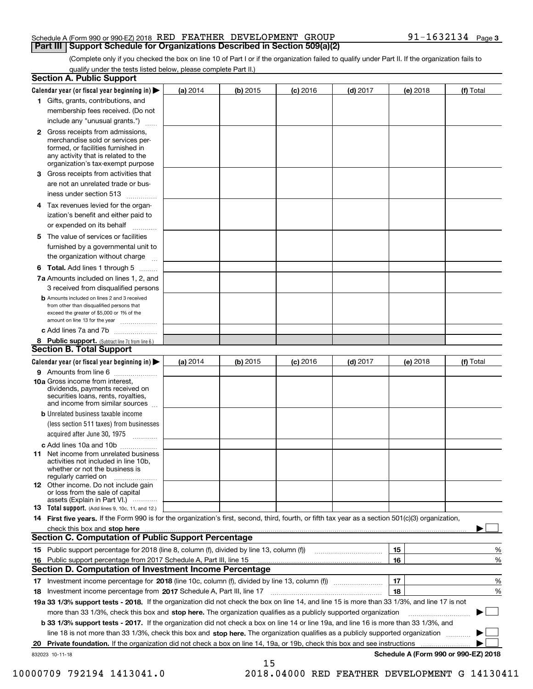#### Schedule A (Form 990 or 990-EZ) 2018 Page RED FEATHER DEVELOPMENT GROUP 91-1632134 **Part III** | Support Schedule for Organizations Described in Section 509(a)(2)

(Complete only if you checked the box on line 10 of Part I or if the organization failed to qualify under Part II. If the organization fails to qualify under the tests listed below, please complete Part II.)

|    | <b>Section A. Public Support</b>                                                                                                                                                                                               |            |            |            |            |          |                                      |
|----|--------------------------------------------------------------------------------------------------------------------------------------------------------------------------------------------------------------------------------|------------|------------|------------|------------|----------|--------------------------------------|
|    | Calendar year (or fiscal year beginning in) $\blacktriangleright$                                                                                                                                                              | (a) 2014   | $(b)$ 2015 | $(c)$ 2016 | $(d)$ 2017 | (e) 2018 | (f) Total                            |
|    | 1 Gifts, grants, contributions, and                                                                                                                                                                                            |            |            |            |            |          |                                      |
|    | membership fees received. (Do not                                                                                                                                                                                              |            |            |            |            |          |                                      |
|    | include any "unusual grants.")                                                                                                                                                                                                 |            |            |            |            |          |                                      |
|    | 2 Gross receipts from admissions,<br>merchandise sold or services per-<br>formed, or facilities furnished in<br>any activity that is related to the<br>organization's tax-exempt purpose                                       |            |            |            |            |          |                                      |
|    | 3 Gross receipts from activities that                                                                                                                                                                                          |            |            |            |            |          |                                      |
|    | are not an unrelated trade or bus-                                                                                                                                                                                             |            |            |            |            |          |                                      |
|    | iness under section 513                                                                                                                                                                                                        |            |            |            |            |          |                                      |
|    | 4 Tax revenues levied for the organ-                                                                                                                                                                                           |            |            |            |            |          |                                      |
|    | ization's benefit and either paid to                                                                                                                                                                                           |            |            |            |            |          |                                      |
|    | or expended on its behalf<br>.                                                                                                                                                                                                 |            |            |            |            |          |                                      |
|    | 5 The value of services or facilities<br>furnished by a governmental unit to                                                                                                                                                   |            |            |            |            |          |                                      |
|    | the organization without charge                                                                                                                                                                                                |            |            |            |            |          |                                      |
|    | <b>6 Total.</b> Add lines 1 through 5                                                                                                                                                                                          |            |            |            |            |          |                                      |
|    | 7a Amounts included on lines 1, 2, and                                                                                                                                                                                         |            |            |            |            |          |                                      |
|    | 3 received from disqualified persons                                                                                                                                                                                           |            |            |            |            |          |                                      |
|    | <b>b</b> Amounts included on lines 2 and 3 received<br>from other than disqualified persons that<br>exceed the greater of \$5,000 or 1% of the<br>amount on line 13 for the year                                               |            |            |            |            |          |                                      |
|    | c Add lines 7a and 7b                                                                                                                                                                                                          |            |            |            |            |          |                                      |
|    | 8 Public support. (Subtract line 7c from line 6.)                                                                                                                                                                              |            |            |            |            |          |                                      |
|    | <b>Section B. Total Support</b>                                                                                                                                                                                                |            |            |            |            |          |                                      |
|    | Calendar year (or fiscal year beginning in) $\blacktriangleright$                                                                                                                                                              | (a) $2014$ | $(b)$ 2015 | $(c)$ 2016 | $(d)$ 2017 | (e) 2018 | (f) Total                            |
|    | 9 Amounts from line 6                                                                                                                                                                                                          |            |            |            |            |          |                                      |
|    | 10a Gross income from interest,<br>dividends, payments received on<br>securities loans, rents, royalties,<br>and income from similar sources                                                                                   |            |            |            |            |          |                                      |
|    | <b>b</b> Unrelated business taxable income                                                                                                                                                                                     |            |            |            |            |          |                                      |
|    | (less section 511 taxes) from businesses                                                                                                                                                                                       |            |            |            |            |          |                                      |
|    | acquired after June 30, 1975                                                                                                                                                                                                   |            |            |            |            |          |                                      |
|    | c Add lines 10a and 10b                                                                                                                                                                                                        |            |            |            |            |          |                                      |
|    | 11 Net income from unrelated business<br>activities not included in line 10b,<br>whether or not the business is<br>regularly carried on                                                                                        |            |            |            |            |          |                                      |
|    | <b>12</b> Other income. Do not include gain<br>or loss from the sale of capital<br>assets (Explain in Part VI.)                                                                                                                |            |            |            |            |          |                                      |
|    | <b>13</b> Total support. (Add lines 9, 10c, 11, and 12.)                                                                                                                                                                       |            |            |            |            |          |                                      |
|    | 14 First five years. If the Form 990 is for the organization's first, second, third, fourth, or fifth tax year as a section 501(c)(3) organization,                                                                            |            |            |            |            |          |                                      |
|    | check this box and stop here measurements are all the state of the state of the state of the state of the state of the state of the state of the state of the state of the state of the state of the state of the state of the |            |            |            |            |          |                                      |
|    | Section C. Computation of Public Support Percentage                                                                                                                                                                            |            |            |            |            |          |                                      |
|    | 15 Public support percentage for 2018 (line 8, column (f), divided by line 13, column (f))                                                                                                                                     |            |            |            |            | 15       | %                                    |
|    | 16 Public support percentage from 2017 Schedule A, Part III, line 15                                                                                                                                                           |            |            |            |            | 16       | %                                    |
|    | <b>Section D. Computation of Investment Income Percentage</b>                                                                                                                                                                  |            |            |            |            |          |                                      |
|    | 17 Investment income percentage for 2018 (line 10c, column (f), divided by line 13, column (f))                                                                                                                                |            |            |            |            | 17       | %                                    |
|    | <b>18</b> Investment income percentage from <b>2017</b> Schedule A, Part III, line 17                                                                                                                                          |            |            |            |            | 18       | %                                    |
|    | 19a 33 1/3% support tests - 2018. If the organization did not check the box on line 14, and line 15 is more than 33 1/3%, and line 17 is not                                                                                   |            |            |            |            |          |                                      |
|    | more than 33 1/3%, check this box and stop here. The organization qualifies as a publicly supported organization                                                                                                               |            |            |            |            |          | ▶                                    |
|    | b 33 1/3% support tests - 2017. If the organization did not check a box on line 14 or line 19a, and line 16 is more than 33 1/3%, and                                                                                          |            |            |            |            |          |                                      |
|    | line 18 is not more than 33 1/3%, check this box and stop here. The organization qualifies as a publicly supported organization                                                                                                |            |            |            |            |          |                                      |
| 20 | Private foundation. If the organization did not check a box on line 14, 19a, or 19b, check this box and see instructions                                                                                                       |            |            |            |            |          |                                      |
|    | 832023 10-11-18                                                                                                                                                                                                                |            | 15         |            |            |          | Schedule A (Form 990 or 990-EZ) 2018 |

 <sup>10000709 792194 1413041.0 2018.04000</sup> RED FEATHER DEVELOPMENT G 14130411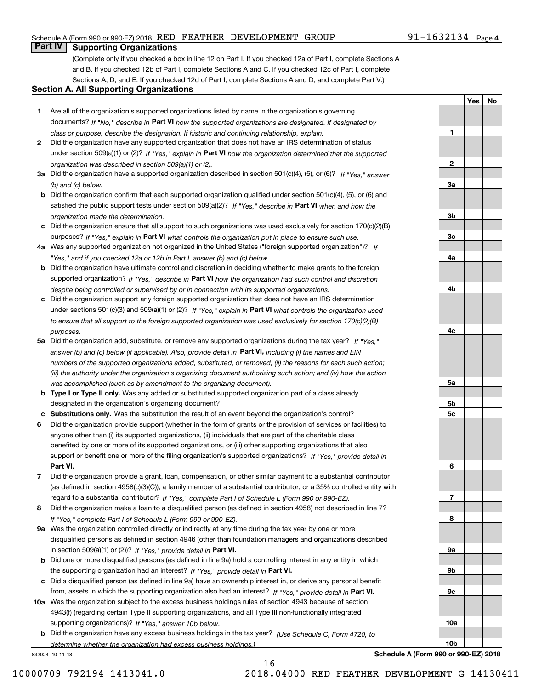#### Schedule A (Form 990 or 990-EZ) 2018 Page RED FEATHER DEVELOPMENT GROUP 91-1632134

## **Part IV Supporting Organizations**

(Complete only if you checked a box in line 12 on Part I. If you checked 12a of Part I, complete Sections A and B. If you checked 12b of Part I, complete Sections A and C. If you checked 12c of Part I, complete Sections A, D, and E. If you checked 12d of Part I, complete Sections A and D, and complete Part V.)

#### **Section A. All Supporting Organizations**

- **1** Are all of the organization's supported organizations listed by name in the organization's governing documents? If "No," describe in **Part VI** how the supported organizations are designated. If designated by *class or purpose, describe the designation. If historic and continuing relationship, explain.*
- **2** Did the organization have any supported organization that does not have an IRS determination of status under section 509(a)(1) or (2)? If "Yes," explain in Part VI how the organization determined that the supported *organization was described in section 509(a)(1) or (2).*
- **3a** Did the organization have a supported organization described in section 501(c)(4), (5), or (6)? If "Yes," answer *(b) and (c) below.*
- **b** Did the organization confirm that each supported organization qualified under section 501(c)(4), (5), or (6) and satisfied the public support tests under section 509(a)(2)? If "Yes," describe in **Part VI** when and how the *organization made the determination.*
- **c**Did the organization ensure that all support to such organizations was used exclusively for section 170(c)(2)(B) purposes? If "Yes," explain in **Part VI** what controls the organization put in place to ensure such use.
- **4a***If* Was any supported organization not organized in the United States ("foreign supported organization")? *"Yes," and if you checked 12a or 12b in Part I, answer (b) and (c) below.*
- **b** Did the organization have ultimate control and discretion in deciding whether to make grants to the foreign supported organization? If "Yes," describe in **Part VI** how the organization had such control and discretion *despite being controlled or supervised by or in connection with its supported organizations.*
- **c** Did the organization support any foreign supported organization that does not have an IRS determination under sections 501(c)(3) and 509(a)(1) or (2)? If "Yes," explain in **Part VI** what controls the organization used *to ensure that all support to the foreign supported organization was used exclusively for section 170(c)(2)(B) purposes.*
- **5a** Did the organization add, substitute, or remove any supported organizations during the tax year? If "Yes," answer (b) and (c) below (if applicable). Also, provide detail in **Part VI,** including (i) the names and EIN *numbers of the supported organizations added, substituted, or removed; (ii) the reasons for each such action; (iii) the authority under the organization's organizing document authorizing such action; and (iv) how the action was accomplished (such as by amendment to the organizing document).*
- **b** Type I or Type II only. Was any added or substituted supported organization part of a class already designated in the organization's organizing document?
- **cSubstitutions only.**  Was the substitution the result of an event beyond the organization's control?
- **6** Did the organization provide support (whether in the form of grants or the provision of services or facilities) to **Part VI.** *If "Yes," provide detail in* support or benefit one or more of the filing organization's supported organizations? anyone other than (i) its supported organizations, (ii) individuals that are part of the charitable class benefited by one or more of its supported organizations, or (iii) other supporting organizations that also
- **7**Did the organization provide a grant, loan, compensation, or other similar payment to a substantial contributor *If "Yes," complete Part I of Schedule L (Form 990 or 990-EZ).* regard to a substantial contributor? (as defined in section 4958(c)(3)(C)), a family member of a substantial contributor, or a 35% controlled entity with
- **8** Did the organization make a loan to a disqualified person (as defined in section 4958) not described in line 7? *If "Yes," complete Part I of Schedule L (Form 990 or 990-EZ).*
- **9a** Was the organization controlled directly or indirectly at any time during the tax year by one or more in section 509(a)(1) or (2))? If "Yes," *provide detail in* <code>Part VI.</code> disqualified persons as defined in section 4946 (other than foundation managers and organizations described
- **b** Did one or more disqualified persons (as defined in line 9a) hold a controlling interest in any entity in which the supporting organization had an interest? If "Yes," provide detail in P**art VI**.
- **c**Did a disqualified person (as defined in line 9a) have an ownership interest in, or derive any personal benefit from, assets in which the supporting organization also had an interest? If "Yes," provide detail in P**art VI.**
- **10a** Was the organization subject to the excess business holdings rules of section 4943 because of section supporting organizations)? If "Yes," answer 10b below. 4943(f) (regarding certain Type II supporting organizations, and all Type III non-functionally integrated
- **b** Did the organization have any excess business holdings in the tax year? (Use Schedule C, Form 4720, to *determine whether the organization had excess business holdings.)*

16

832024 10-11-18

**10bSchedule A (Form 990 or 990-EZ) 2018**

**10a**

**1**

**2**

**3a**

**3b**

**3c**

**4a**

**4b**

**4c**

**5a**

**5b5c**

**6**

**7**

**8**

**9a**

**9b**

**9c**

**Yes No**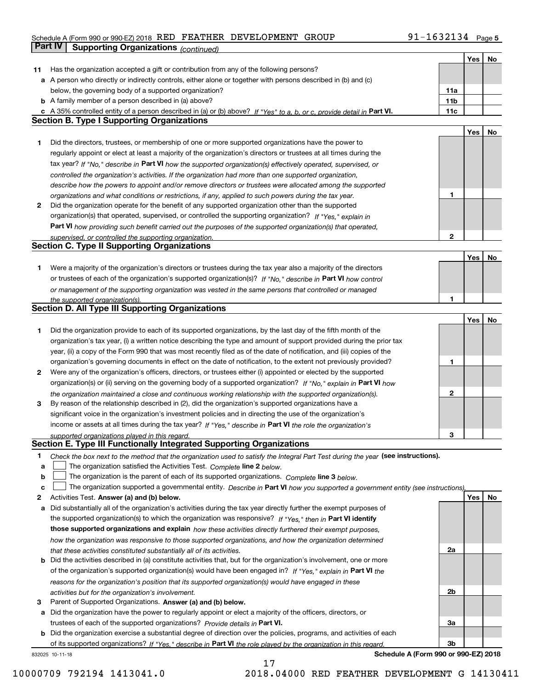### Schedule A (Form 990 or 990-EZ) 2018 Page RED FEATHER DEVELOPMENT GROUP 91-1632134 **Part IV** Supporting Organizations (*continued*)

|    |                                                                                                                                   |              | Yes | No |
|----|-----------------------------------------------------------------------------------------------------------------------------------|--------------|-----|----|
| 11 | Has the organization accepted a gift or contribution from any of the following persons?                                           |              |     |    |
|    | a A person who directly or indirectly controls, either alone or together with persons described in (b) and (c)                    |              |     |    |
|    | below, the governing body of a supported organization?                                                                            | 11a          |     |    |
|    | <b>b</b> A family member of a person described in (a) above?                                                                      | 11b          |     |    |
|    | c A 35% controlled entity of a person described in (a) or (b) above? If "Yes" to a, b, or c, provide detail in Part VI.           | 11c          |     |    |
|    | <b>Section B. Type I Supporting Organizations</b>                                                                                 |              |     |    |
|    |                                                                                                                                   |              |     |    |
|    |                                                                                                                                   |              | Yes | No |
| 1  | Did the directors, trustees, or membership of one or more supported organizations have the power to                               |              |     |    |
|    | regularly appoint or elect at least a majority of the organization's directors or trustees at all times during the                |              |     |    |
|    | tax year? If "No," describe in Part VI how the supported organization(s) effectively operated, supervised, or                     |              |     |    |
|    | controlled the organization's activities. If the organization had more than one supported organization,                           |              |     |    |
|    | describe how the powers to appoint and/or remove directors or trustees were allocated among the supported                         |              |     |    |
|    | organizations and what conditions or restrictions, if any, applied to such powers during the tax year.                            | 1            |     |    |
| 2  | Did the organization operate for the benefit of any supported organization other than the supported                               |              |     |    |
|    | organization(s) that operated, supervised, or controlled the supporting organization? If "Yes," explain in                        |              |     |    |
|    | Part VI how providing such benefit carried out the purposes of the supported organization(s) that operated,                       |              |     |    |
|    | supervised, or controlled the supporting organization.                                                                            | $\mathbf{2}$ |     |    |
|    | <b>Section C. Type II Supporting Organizations</b>                                                                                |              |     |    |
|    |                                                                                                                                   |              |     |    |
|    |                                                                                                                                   |              | Yes | No |
| 1  | Were a majority of the organization's directors or trustees during the tax year also a majority of the directors                  |              |     |    |
|    | or trustees of each of the organization's supported organization(s)? If "No," describe in Part VI how control                     |              |     |    |
|    | or management of the supporting organization was vested in the same persons that controlled or managed                            |              |     |    |
|    | the supported organization(s).                                                                                                    | 1            |     |    |
|    | Section D. All Type III Supporting Organizations                                                                                  |              |     |    |
|    |                                                                                                                                   |              | Yes | No |
| 1  | Did the organization provide to each of its supported organizations, by the last day of the fifth month of the                    |              |     |    |
|    | organization's tax year, (i) a written notice describing the type and amount of support provided during the prior tax             |              |     |    |
|    | year, (ii) a copy of the Form 990 that was most recently filed as of the date of notification, and (iii) copies of the            |              |     |    |
|    | organization's governing documents in effect on the date of notification, to the extent not previously provided?                  | 1            |     |    |
| 2  | Were any of the organization's officers, directors, or trustees either (i) appointed or elected by the supported                  |              |     |    |
|    | organization(s) or (ii) serving on the governing body of a supported organization? If "No," explain in Part VI how                |              |     |    |
|    |                                                                                                                                   | 2            |     |    |
|    | the organization maintained a close and continuous working relationship with the supported organization(s).                       |              |     |    |
| 3  | By reason of the relationship described in (2), did the organization's supported organizations have a                             |              |     |    |
|    | significant voice in the organization's investment policies and in directing the use of the organization's                        |              |     |    |
|    | income or assets at all times during the tax year? If "Yes," describe in Part VI the role the organization's                      |              |     |    |
|    | supported organizations played in this regard.                                                                                    | З            |     |    |
|    | Section E. Type III Functionally Integrated Supporting Organizations                                                              |              |     |    |
| 1  | Check the box next to the method that the organization used to satisfy the Integral Part Test during the year (see instructions). |              |     |    |
| a  | The organization satisfied the Activities Test. Complete line 2 below.                                                            |              |     |    |
| b  | The organization is the parent of each of its supported organizations. Complete line 3 below.                                     |              |     |    |
| C  | The organization supported a governmental entity. Describe in Part VI how you supported a government entity (see instructions),   |              |     |    |
| 2  | Activities Test. Answer (a) and (b) below.                                                                                        |              | Yes | No |
| a  | Did substantially all of the organization's activities during the tax year directly further the exempt purposes of                |              |     |    |
|    | the supported organization(s) to which the organization was responsive? If "Yes," then in Part VI identify                        |              |     |    |
|    | those supported organizations and explain how these activities directly furthered their exempt purposes,                          |              |     |    |
|    |                                                                                                                                   |              |     |    |
|    | how the organization was responsive to those supported organizations, and how the organization determined                         |              |     |    |
|    | that these activities constituted substantially all of its activities.                                                            | 2a           |     |    |
| b  | Did the activities described in (a) constitute activities that, but for the organization's involvement, one or more               |              |     |    |
|    | of the organization's supported organization(s) would have been engaged in? If "Yes," explain in Part VI the                      |              |     |    |
|    | reasons for the organization's position that its supported organization(s) would have engaged in these                            |              |     |    |
|    | activities but for the organization's involvement.                                                                                | 2b           |     |    |
| з  | Parent of Supported Organizations. Answer (a) and (b) below.                                                                      |              |     |    |
|    | a Did the organization have the power to regularly appoint or elect a majority of the officers, directors, or                     |              |     |    |
|    | trustees of each of the supported organizations? Provide details in Part VI.                                                      | За           |     |    |
|    | <b>b</b> Did the organization exercise a substantial degree of direction over the policies, programs, and activities of each      |              |     |    |
|    | of its supported organizations? If "Yes," describe in Part VI the role played by the organization in this regard.                 | 3b           |     |    |
|    | Schedule A (Form 990 or 990-EZ) 2018<br>832025 10-11-18                                                                           |              |     |    |

17

**Schedule A (Form 990 or 990-EZ) 2018**

10000709 792194 1413041.0 2018.04000 RED FEATHER DEVELOPMENT G 14130411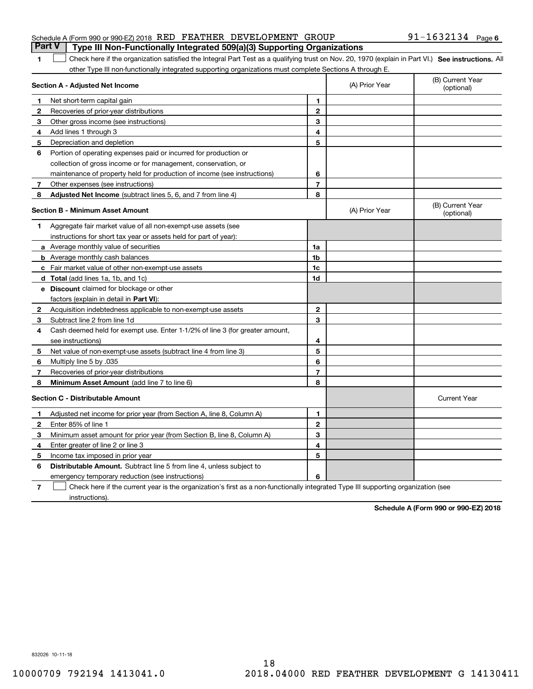| <b>Part V</b> Type III Non-Functionally Integrated 509(a)(3) Supporting Organizations |  |  |                   |  |
|---------------------------------------------------------------------------------------|--|--|-------------------|--|
| Schedule A (Form 990 or 990-EZ) 2018 RED FEATHER DEVELOPMENT GROUP                    |  |  | 91-1632134 Page 6 |  |

#### 1 Check here if the organization satisfied the Integral Part Test as a qualifying trust on Nov. 20, 1970 (explain in Part VI.) See instructions. All other Type III non-functionally integrated supporting organizations must complete Sections A through E.

|    | Section A - Adjusted Net Income                                                                                                   | (A) Prior Year          | (B) Current Year<br>(optional) |                                |
|----|-----------------------------------------------------------------------------------------------------------------------------------|-------------------------|--------------------------------|--------------------------------|
| 1  | Net short-term capital gain                                                                                                       | 1                       |                                |                                |
| 2  | Recoveries of prior-year distributions                                                                                            | $\mathbf{2}$            |                                |                                |
| 3  | Other gross income (see instructions)                                                                                             | 3                       |                                |                                |
| 4  | Add lines 1 through 3                                                                                                             | 4                       |                                |                                |
| 5  | Depreciation and depletion                                                                                                        | 5                       |                                |                                |
| 6  | Portion of operating expenses paid or incurred for production or                                                                  |                         |                                |                                |
|    | collection of gross income or for management, conservation, or                                                                    |                         |                                |                                |
|    | maintenance of property held for production of income (see instructions)                                                          | 6                       |                                |                                |
| 7  | Other expenses (see instructions)                                                                                                 | $\overline{\mathbf{r}}$ |                                |                                |
| 8  | Adjusted Net Income (subtract lines 5, 6, and 7 from line 4)                                                                      | 8                       |                                |                                |
|    | <b>Section B - Minimum Asset Amount</b>                                                                                           |                         | (A) Prior Year                 | (B) Current Year<br>(optional) |
| 1  | Aggregate fair market value of all non-exempt-use assets (see                                                                     |                         |                                |                                |
|    | instructions for short tax year or assets held for part of year):                                                                 |                         |                                |                                |
|    | a Average monthly value of securities                                                                                             | 1a                      |                                |                                |
|    | <b>b</b> Average monthly cash balances                                                                                            | 1 <sub>b</sub>          |                                |                                |
|    | c Fair market value of other non-exempt-use assets                                                                                | 1c                      |                                |                                |
|    | d Total (add lines 1a, 1b, and 1c)                                                                                                | 1 <sub>d</sub>          |                                |                                |
|    | e Discount claimed for blockage or other                                                                                          |                         |                                |                                |
|    | factors (explain in detail in Part VI):                                                                                           |                         |                                |                                |
| 2  | Acquisition indebtedness applicable to non-exempt-use assets                                                                      | $\mathbf{2}$            |                                |                                |
| 3  | Subtract line 2 from line 1d                                                                                                      | 3                       |                                |                                |
| 4  | Cash deemed held for exempt use. Enter 1-1/2% of line 3 (for greater amount,                                                      |                         |                                |                                |
|    | see instructions)                                                                                                                 | 4                       |                                |                                |
| 5  | Net value of non-exempt-use assets (subtract line 4 from line 3)                                                                  | 5                       |                                |                                |
| 6  | Multiply line 5 by .035                                                                                                           | 6                       |                                |                                |
| 7  | Recoveries of prior-year distributions                                                                                            | $\overline{7}$          |                                |                                |
| 8  | Minimum Asset Amount (add line 7 to line 6)                                                                                       | 8                       |                                |                                |
|    | <b>Section C - Distributable Amount</b>                                                                                           |                         |                                | <b>Current Year</b>            |
| 1. | Adjusted net income for prior year (from Section A, line 8, Column A)                                                             | 1                       |                                |                                |
| 2  | Enter 85% of line 1                                                                                                               | $\overline{2}$          |                                |                                |
| 3  | Minimum asset amount for prior year (from Section B, line 8, Column A)                                                            | 3                       |                                |                                |
| 4  | Enter greater of line 2 or line 3                                                                                                 | 4                       |                                |                                |
| 5  | Income tax imposed in prior year                                                                                                  | 5                       |                                |                                |
| 6  | <b>Distributable Amount.</b> Subtract line 5 from line 4, unless subject to                                                       |                         |                                |                                |
|    | emergency temporary reduction (see instructions)                                                                                  | 6                       |                                |                                |
| 7  | Check here if the current year is the organization's first as a non-functionally integrated Type III supporting organization (see |                         |                                |                                |

instructions).

**1**

**Schedule A (Form 990 or 990-EZ) 2018**

832026 10-11-18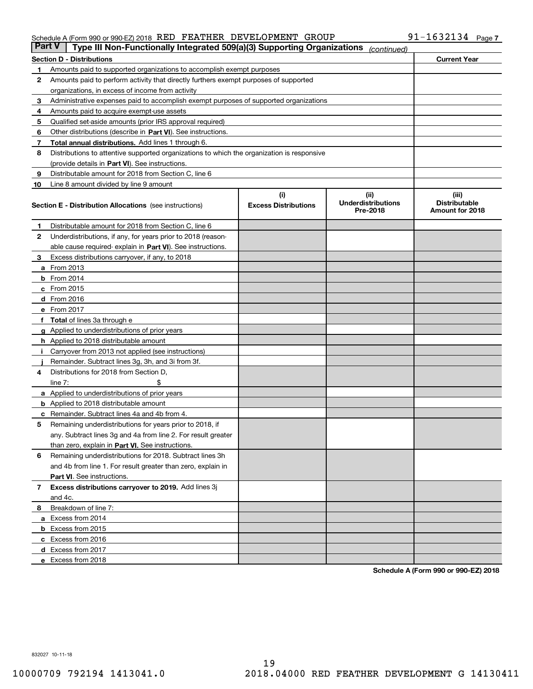#### Schedule A (Form 990 or 990-EZ) 2018 Page RED FEATHER DEVELOPMENT GROUP 91-1632134

| <b>Part V</b> | Type III Non-Functionally Integrated 509(a)(3) Supporting Organizations                    |                                    | (continued)                                    |                                                  |
|---------------|--------------------------------------------------------------------------------------------|------------------------------------|------------------------------------------------|--------------------------------------------------|
|               | <b>Section D - Distributions</b>                                                           |                                    |                                                | <b>Current Year</b>                              |
| 1             | Amounts paid to supported organizations to accomplish exempt purposes                      |                                    |                                                |                                                  |
| 2             | Amounts paid to perform activity that directly furthers exempt purposes of supported       |                                    |                                                |                                                  |
|               | organizations, in excess of income from activity                                           |                                    |                                                |                                                  |
| 3             | Administrative expenses paid to accomplish exempt purposes of supported organizations      |                                    |                                                |                                                  |
| 4             | Amounts paid to acquire exempt-use assets                                                  |                                    |                                                |                                                  |
| 5             | Qualified set-aside amounts (prior IRS approval required)                                  |                                    |                                                |                                                  |
| 6             | Other distributions (describe in Part VI). See instructions.                               |                                    |                                                |                                                  |
| 7             | <b>Total annual distributions.</b> Add lines 1 through 6.                                  |                                    |                                                |                                                  |
| 8             | Distributions to attentive supported organizations to which the organization is responsive |                                    |                                                |                                                  |
|               | (provide details in Part VI). See instructions.                                            |                                    |                                                |                                                  |
| 9             | Distributable amount for 2018 from Section C, line 6                                       |                                    |                                                |                                                  |
| 10            | Line 8 amount divided by line 9 amount                                                     |                                    |                                                |                                                  |
|               | <b>Section E - Distribution Allocations</b> (see instructions)                             | (i)<br><b>Excess Distributions</b> | (iii)<br><b>Underdistributions</b><br>Pre-2018 | (iii)<br><b>Distributable</b><br>Amount for 2018 |
| 1             | Distributable amount for 2018 from Section C, line 6                                       |                                    |                                                |                                                  |
| 2             | Underdistributions, if any, for years prior to 2018 (reason-                               |                                    |                                                |                                                  |
|               | able cause required- explain in Part VI). See instructions.                                |                                    |                                                |                                                  |
| З             | Excess distributions carryover, if any, to 2018                                            |                                    |                                                |                                                  |
|               | <b>a</b> From 2013                                                                         |                                    |                                                |                                                  |
|               | <b>b</b> From 2014                                                                         |                                    |                                                |                                                  |
|               | $c$ From 2015                                                                              |                                    |                                                |                                                  |
|               | d From 2016                                                                                |                                    |                                                |                                                  |
|               | e From 2017                                                                                |                                    |                                                |                                                  |
|               | Total of lines 3a through e                                                                |                                    |                                                |                                                  |
| g             | Applied to underdistributions of prior years                                               |                                    |                                                |                                                  |
|               | <b>h</b> Applied to 2018 distributable amount                                              |                                    |                                                |                                                  |
|               | Carryover from 2013 not applied (see instructions)                                         |                                    |                                                |                                                  |
|               | Remainder. Subtract lines 3g, 3h, and 3i from 3f.                                          |                                    |                                                |                                                  |
| 4             | Distributions for 2018 from Section D,                                                     |                                    |                                                |                                                  |
|               | line $7:$                                                                                  |                                    |                                                |                                                  |
|               | <b>a</b> Applied to underdistributions of prior years                                      |                                    |                                                |                                                  |
|               | <b>b</b> Applied to 2018 distributable amount                                              |                                    |                                                |                                                  |
|               | c Remainder. Subtract lines 4a and 4b from 4.                                              |                                    |                                                |                                                  |
| 5             | Remaining underdistributions for years prior to 2018, if                                   |                                    |                                                |                                                  |
|               | any. Subtract lines 3g and 4a from line 2. For result greater                              |                                    |                                                |                                                  |
|               | than zero, explain in Part VI. See instructions.                                           |                                    |                                                |                                                  |
| 6             | Remaining underdistributions for 2018. Subtract lines 3h                                   |                                    |                                                |                                                  |
|               | and 4b from line 1. For result greater than zero, explain in                               |                                    |                                                |                                                  |
|               | Part VI. See instructions.                                                                 |                                    |                                                |                                                  |
| 7             | Excess distributions carryover to 2019. Add lines 3j                                       |                                    |                                                |                                                  |
|               | and 4c.                                                                                    |                                    |                                                |                                                  |
| 8             | Breakdown of line 7:                                                                       |                                    |                                                |                                                  |
|               | a Excess from 2014                                                                         |                                    |                                                |                                                  |
|               | <b>b</b> Excess from 2015                                                                  |                                    |                                                |                                                  |
|               | c Excess from 2016                                                                         |                                    |                                                |                                                  |
|               | d Excess from 2017                                                                         |                                    |                                                |                                                  |
|               | e Excess from 2018                                                                         |                                    |                                                |                                                  |

**Schedule A (Form 990 or 990-EZ) 2018**

832027 10-11-18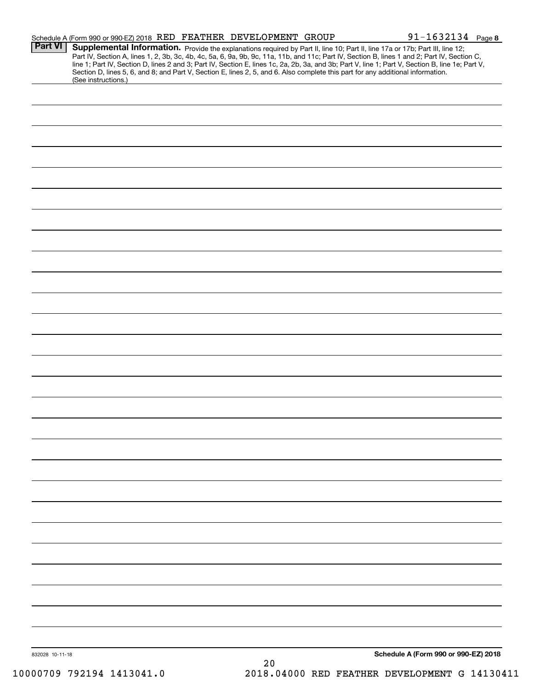|                 | Schedule A (Form 990 or 990-EZ) 2018 RED FEATHER DEVELOPMENT GROUP                                                                                     |  | $91 - 1632134$ Page 8                                                                                                                            |
|-----------------|--------------------------------------------------------------------------------------------------------------------------------------------------------|--|--------------------------------------------------------------------------------------------------------------------------------------------------|
| <b>Part VI</b>  | Supplemental Information. Provide the explanations required by Part II, line 10; Part II, line 17a or 17b; Part III, line 12;                          |  | Part IV, Section A, lines 1, 2, 3b, 3c, 4b, 4c, 5a, 6, 9a, 9b, 9c, 11a, 11b, and 11c; Part IV, Section B, lines 1 and 2; Part IV, Section C,     |
|                 | Section D, lines 5, 6, and 8; and Part V, Section E, lines 2, 5, and 6. Also complete this part for any additional information.<br>(See instructions.) |  | line 1; Part IV, Section D, lines 2 and 3; Part IV, Section E, lines 1c, 2a, 2b, 3a, and 3b; Part V, line 1; Part V, Section B, line 1e; Part V, |
|                 |                                                                                                                                                        |  |                                                                                                                                                  |
|                 |                                                                                                                                                        |  |                                                                                                                                                  |
|                 |                                                                                                                                                        |  |                                                                                                                                                  |
|                 |                                                                                                                                                        |  |                                                                                                                                                  |
|                 |                                                                                                                                                        |  |                                                                                                                                                  |
|                 |                                                                                                                                                        |  |                                                                                                                                                  |
|                 |                                                                                                                                                        |  |                                                                                                                                                  |
|                 |                                                                                                                                                        |  |                                                                                                                                                  |
|                 |                                                                                                                                                        |  |                                                                                                                                                  |
|                 |                                                                                                                                                        |  |                                                                                                                                                  |
|                 |                                                                                                                                                        |  |                                                                                                                                                  |
|                 |                                                                                                                                                        |  |                                                                                                                                                  |
|                 |                                                                                                                                                        |  |                                                                                                                                                  |
|                 |                                                                                                                                                        |  |                                                                                                                                                  |
|                 |                                                                                                                                                        |  |                                                                                                                                                  |
|                 |                                                                                                                                                        |  |                                                                                                                                                  |
|                 |                                                                                                                                                        |  |                                                                                                                                                  |
|                 |                                                                                                                                                        |  |                                                                                                                                                  |
|                 |                                                                                                                                                        |  |                                                                                                                                                  |
|                 |                                                                                                                                                        |  |                                                                                                                                                  |
|                 |                                                                                                                                                        |  |                                                                                                                                                  |
|                 |                                                                                                                                                        |  |                                                                                                                                                  |
|                 |                                                                                                                                                        |  |                                                                                                                                                  |
|                 |                                                                                                                                                        |  |                                                                                                                                                  |
|                 |                                                                                                                                                        |  |                                                                                                                                                  |
|                 |                                                                                                                                                        |  |                                                                                                                                                  |
|                 |                                                                                                                                                        |  |                                                                                                                                                  |
|                 |                                                                                                                                                        |  |                                                                                                                                                  |
|                 |                                                                                                                                                        |  |                                                                                                                                                  |
|                 |                                                                                                                                                        |  |                                                                                                                                                  |
|                 |                                                                                                                                                        |  |                                                                                                                                                  |
|                 |                                                                                                                                                        |  |                                                                                                                                                  |
|                 |                                                                                                                                                        |  |                                                                                                                                                  |
| 832028 10-11-18 |                                                                                                                                                        |  | Schedule A (Form 990 or 990-EZ) 2018                                                                                                             |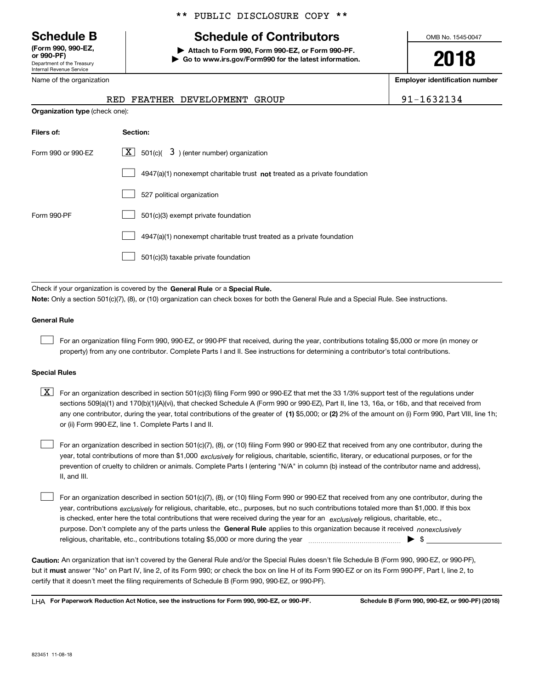Department of the Treasury Internal Revenue Service **(Form 990, 990-EZ, or 990-PF)**

Name of the organization

#### \*\* PUBLIC DISCLOSURE COPY \*\*

# **Schedule B Schedule of Contributors**

**| Attach to Form 990, Form 990-EZ, or Form 990-PF. | Go to www.irs.gov/Form990 for the latest information.** OMB No. 1545-0047

**2018**

**Employer identification number**

|  | RED FEATHER DEVELOPMENT GROUP | 1632134 |
|--|-------------------------------|---------|
|  |                               |         |

| <b>Organization type (check one):</b> |                                                                                    |  |  |  |  |  |
|---------------------------------------|------------------------------------------------------------------------------------|--|--|--|--|--|
| Filers of:                            | Section:                                                                           |  |  |  |  |  |
| Form 990 or 990-EZ                    | $ \mathbf{X} $ 501(c)( 3) (enter number) organization                              |  |  |  |  |  |
|                                       | $4947(a)(1)$ nonexempt charitable trust <b>not</b> treated as a private foundation |  |  |  |  |  |
|                                       | 527 political organization                                                         |  |  |  |  |  |
| Form 990-PF                           | 501(c)(3) exempt private foundation                                                |  |  |  |  |  |
|                                       | 4947(a)(1) nonexempt charitable trust treated as a private foundation              |  |  |  |  |  |
|                                       | 501(c)(3) taxable private foundation                                               |  |  |  |  |  |
|                                       |                                                                                    |  |  |  |  |  |

Check if your organization is covered by the **General Rule** or a **Special Rule.**<br>Nota: Only a section 501(c)(7), (8), or (10) erganization can chock boxes for be **Note:**  Only a section 501(c)(7), (8), or (10) organization can check boxes for both the General Rule and a Special Rule. See instructions.

#### **General Rule**

 $\mathcal{L}^{\text{max}}$ 

For an organization filing Form 990, 990-EZ, or 990-PF that received, during the year, contributions totaling \$5,000 or more (in money or property) from any one contributor. Complete Parts I and II. See instructions for determining a contributor's total contributions.

#### **Special Rules**

any one contributor, during the year, total contributions of the greater of  $\,$  (1) \$5,000; or **(2)** 2% of the amount on (i) Form 990, Part VIII, line 1h;  $\boxed{\textbf{X}}$  For an organization described in section 501(c)(3) filing Form 990 or 990-EZ that met the 33 1/3% support test of the regulations under sections 509(a)(1) and 170(b)(1)(A)(vi), that checked Schedule A (Form 990 or 990-EZ), Part II, line 13, 16a, or 16b, and that received from or (ii) Form 990-EZ, line 1. Complete Parts I and II.

year, total contributions of more than \$1,000 *exclusively* for religious, charitable, scientific, literary, or educational purposes, or for the For an organization described in section 501(c)(7), (8), or (10) filing Form 990 or 990-EZ that received from any one contributor, during the prevention of cruelty to children or animals. Complete Parts I (entering "N/A" in column (b) instead of the contributor name and address), II, and III.  $\mathcal{L}^{\text{max}}$ 

purpose. Don't complete any of the parts unless the **General Rule** applies to this organization because it received *nonexclusively* year, contributions <sub>exclusively</sub> for religious, charitable, etc., purposes, but no such contributions totaled more than \$1,000. If this box is checked, enter here the total contributions that were received during the year for an  $\;$ exclusively religious, charitable, etc., For an organization described in section 501(c)(7), (8), or (10) filing Form 990 or 990-EZ that received from any one contributor, during the religious, charitable, etc., contributions totaling \$5,000 or more during the year  $\Box$ — $\Box$   $\Box$  $\mathcal{L}^{\text{max}}$ 

**Caution:**  An organization that isn't covered by the General Rule and/or the Special Rules doesn't file Schedule B (Form 990, 990-EZ, or 990-PF), but it **must** answer "No" on Part IV, line 2, of its Form 990; or check the box on line H of its Form 990-EZ or on its Form 990-PF, Part I, line 2, to<br>cortify that it doesn't meet the filipe requirements of Schodule B (Fer certify that it doesn't meet the filing requirements of Schedule B (Form 990, 990-EZ, or 990-PF).

**For Paperwork Reduction Act Notice, see the instructions for Form 990, 990-EZ, or 990-PF. Schedule B (Form 990, 990-EZ, or 990-PF) (2018)** LHA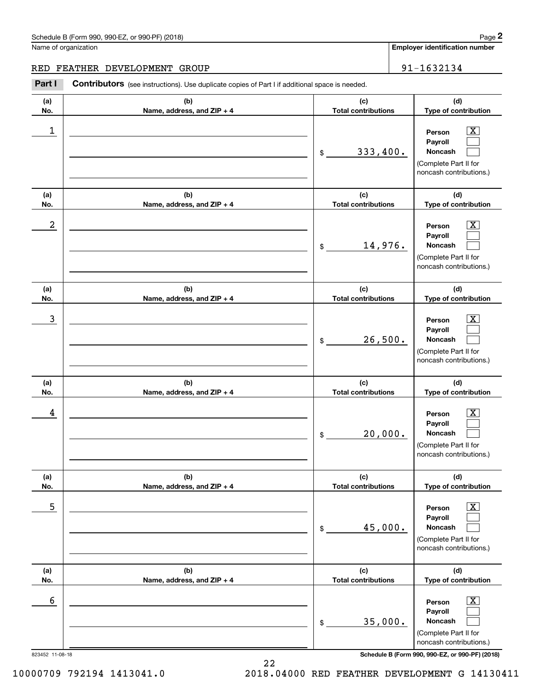### Schedule B (Form 990, 990-EZ, or 990-PF) (2018) Page 2

Name of organization

#### RED FEATHER DEVELOPMENT GROUP 91-1632134

Contributors (see instructions). Use duplicate copies of Part I if additional space is needed. **2** Chedule B (Form 990, 990-EZ, or 990-PF) (2018)<br> **2Part I 2Part II**<br> **2Part I Contributors** (see instructions). Use duplicate copies of Part I if additional space is needed.<br> **Part I Contributors** (see instruction

| (b)<br>(a)<br>Name, address, and ZIP + 4<br>No.<br>1<br>$$\$<br>(b)<br>(a)<br>No.<br>Name, address, and ZIP + 4<br>2<br>$\frac{1}{2}$<br>(b)<br>(a)<br>No.<br>Name, address, and ZIP + 4<br>3<br>\$<br>(b)<br>(a)<br>No.<br>Name, address, and ZIP + 4<br>4<br>\$<br>(a)<br>(b)<br>No.<br>Name, address, and ZIP + 4 | (d)<br>(c)<br><b>Total contributions</b><br>Type of contribution<br>$\overline{\text{X}}$<br>Person<br>Payroll<br>333,400.<br>Noncash<br>(Complete Part II for<br>noncash contributions.)<br>(c)<br>(d)<br><b>Total contributions</b><br>Type of contribution<br>$\overline{\texttt{X}}$<br>Person<br>Payroll<br>14,976.<br>Noncash<br>(Complete Part II for<br>noncash contributions.)<br>(c)<br>(d)<br>Type of contribution<br><b>Total contributions</b><br>$\overline{\text{X}}$<br>Person<br>Payroll<br>26,500.<br>Noncash<br>(Complete Part II for |
|----------------------------------------------------------------------------------------------------------------------------------------------------------------------------------------------------------------------------------------------------------------------------------------------------------------------|----------------------------------------------------------------------------------------------------------------------------------------------------------------------------------------------------------------------------------------------------------------------------------------------------------------------------------------------------------------------------------------------------------------------------------------------------------------------------------------------------------------------------------------------------------|
|                                                                                                                                                                                                                                                                                                                      |                                                                                                                                                                                                                                                                                                                                                                                                                                                                                                                                                          |
|                                                                                                                                                                                                                                                                                                                      |                                                                                                                                                                                                                                                                                                                                                                                                                                                                                                                                                          |
|                                                                                                                                                                                                                                                                                                                      |                                                                                                                                                                                                                                                                                                                                                                                                                                                                                                                                                          |
|                                                                                                                                                                                                                                                                                                                      |                                                                                                                                                                                                                                                                                                                                                                                                                                                                                                                                                          |
|                                                                                                                                                                                                                                                                                                                      |                                                                                                                                                                                                                                                                                                                                                                                                                                                                                                                                                          |
|                                                                                                                                                                                                                                                                                                                      | noncash contributions.)                                                                                                                                                                                                                                                                                                                                                                                                                                                                                                                                  |
|                                                                                                                                                                                                                                                                                                                      | (c)<br>(d)<br>Type of contribution<br><b>Total contributions</b>                                                                                                                                                                                                                                                                                                                                                                                                                                                                                         |
|                                                                                                                                                                                                                                                                                                                      | $\overline{\text{X}}$<br>Person<br>Payroll<br>20,000.<br>Noncash<br>(Complete Part II for<br>noncash contributions.)                                                                                                                                                                                                                                                                                                                                                                                                                                     |
|                                                                                                                                                                                                                                                                                                                      | (c)<br>(d)<br><b>Total contributions</b><br>Type of contribution                                                                                                                                                                                                                                                                                                                                                                                                                                                                                         |
| 5<br>\$                                                                                                                                                                                                                                                                                                              | $\overline{\mathbf{X}}$<br>Person<br>Payroll<br>45,000.<br>Noncash<br>(Complete Part II for<br>noncash contributions.)                                                                                                                                                                                                                                                                                                                                                                                                                                   |
| (b)<br>(a)<br>Name, address, and ZIP + 4<br>No.                                                                                                                                                                                                                                                                      | (c)<br>(d)<br><b>Total contributions</b><br>Type of contribution                                                                                                                                                                                                                                                                                                                                                                                                                                                                                         |
| 6<br>\$<br>823452 11-08-18                                                                                                                                                                                                                                                                                           | $\overline{\mathbf{X}}$<br>Person                                                                                                                                                                                                                                                                                                                                                                                                                                                                                                                        |

22

10000709 792194 1413041.0 2018.04000 RED FEATHER DEVELOPMENT G 14130411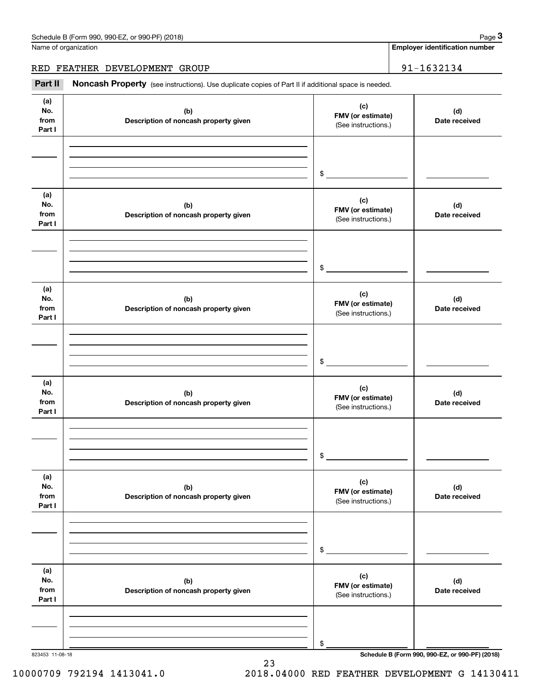|                              | Schedule B (Form 990, 990-EZ, or 990-PF) (2018)                                                     |                                                 | Page 3                                          |
|------------------------------|-----------------------------------------------------------------------------------------------------|-------------------------------------------------|-------------------------------------------------|
|                              | Name of organization                                                                                |                                                 | <b>Employer identification number</b>           |
|                              | RED FEATHER DEVELOPMENT GROUP                                                                       |                                                 | 91-1632134                                      |
| Part II                      | Noncash Property (see instructions). Use duplicate copies of Part II if additional space is needed. |                                                 |                                                 |
| (a)<br>No.<br>from<br>Part I | (b)<br>Description of noncash property given                                                        | (c)<br>FMV (or estimate)<br>(See instructions.) | (d)<br>Date received                            |
|                              |                                                                                                     | \$                                              |                                                 |
| (a)<br>No.<br>from<br>Part I | (b)<br>Description of noncash property given                                                        | (c)<br>FMV (or estimate)<br>(See instructions.) | (d)<br>Date received                            |
|                              |                                                                                                     | \$                                              |                                                 |
| (a)<br>No.<br>from<br>Part I | (b)<br>Description of noncash property given                                                        | (c)<br>FMV (or estimate)<br>(See instructions.) | (d)<br>Date received                            |
|                              |                                                                                                     | \$                                              |                                                 |
| (a)<br>No.<br>from<br>Part I | (b)<br>Description of noncash property given                                                        | (c)<br>FMV (or estimate)<br>(See instructions.) | (d)<br>Date received                            |
|                              |                                                                                                     | \$                                              |                                                 |
| (a)<br>No.<br>from<br>Part I | (b)<br>Description of noncash property given                                                        | (c)<br>FMV (or estimate)<br>(See instructions.) | (d)<br>Date received                            |
|                              |                                                                                                     | \$                                              |                                                 |
| (a)<br>No.<br>from<br>Part I | (b)<br>Description of noncash property given                                                        | (c)<br>FMV (or estimate)<br>(See instructions.) | (d)<br>Date received                            |
|                              |                                                                                                     | \$                                              |                                                 |
| 823453 11-08-18              |                                                                                                     |                                                 | Schedule B (Form 990, 990-EZ, or 990-PF) (2018) |

23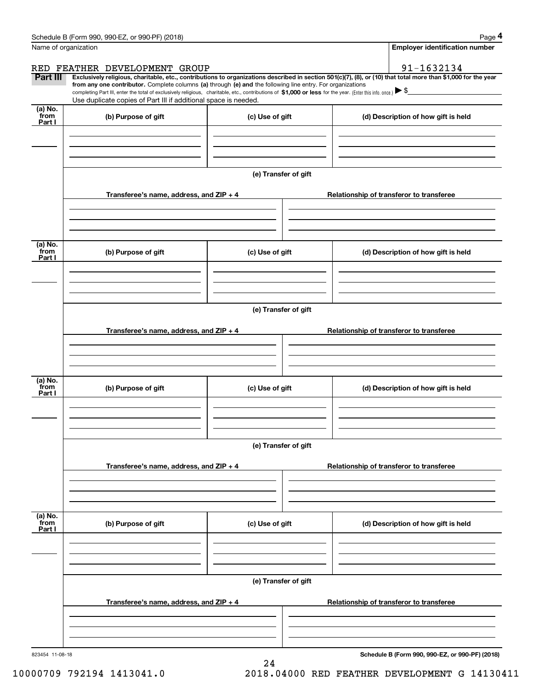|                      | Schedule B (Form 990, 990-EZ, or 990-PF) (2018)                                                                                                                                   |                      | Page 4                                                                                                                                                         |  |  |  |
|----------------------|-----------------------------------------------------------------------------------------------------------------------------------------------------------------------------------|----------------------|----------------------------------------------------------------------------------------------------------------------------------------------------------------|--|--|--|
| Name of organization |                                                                                                                                                                                   |                      | <b>Employer identification number</b>                                                                                                                          |  |  |  |
|                      | RED FEATHER DEVELOPMENT GROUP                                                                                                                                                     |                      | 91-1632134                                                                                                                                                     |  |  |  |
| Part III             | from any one contributor. Complete columns (a) through (e) and the following line entry. For organizations                                                                        |                      | Exclusively religious, charitable, etc., contributions to organizations described in section 501(c)(7), (8), or (10) that total more than \$1,000 for the year |  |  |  |
|                      | completing Part III, enter the total of exclusively religious, charitable, etc., contributions of \$1,000 or less for the year. (Enter this info. once.) $\blacktriangleright$ \$ |                      |                                                                                                                                                                |  |  |  |
| (a) No.              | Use duplicate copies of Part III if additional space is needed.                                                                                                                   |                      |                                                                                                                                                                |  |  |  |
| from<br>Part I       | (b) Purpose of gift                                                                                                                                                               | (c) Use of gift      | (d) Description of how gift is held                                                                                                                            |  |  |  |
|                      |                                                                                                                                                                                   |                      |                                                                                                                                                                |  |  |  |
|                      |                                                                                                                                                                                   |                      |                                                                                                                                                                |  |  |  |
|                      |                                                                                                                                                                                   |                      |                                                                                                                                                                |  |  |  |
|                      |                                                                                                                                                                                   | (e) Transfer of gift |                                                                                                                                                                |  |  |  |
|                      | Transferee's name, address, and ZIP + 4                                                                                                                                           |                      | Relationship of transferor to transferee                                                                                                                       |  |  |  |
|                      |                                                                                                                                                                                   |                      |                                                                                                                                                                |  |  |  |
|                      |                                                                                                                                                                                   |                      |                                                                                                                                                                |  |  |  |
|                      |                                                                                                                                                                                   |                      |                                                                                                                                                                |  |  |  |
| (a) No.<br>from      | (b) Purpose of gift                                                                                                                                                               | (c) Use of gift      | (d) Description of how gift is held                                                                                                                            |  |  |  |
| Part I               |                                                                                                                                                                                   |                      |                                                                                                                                                                |  |  |  |
|                      |                                                                                                                                                                                   |                      |                                                                                                                                                                |  |  |  |
|                      |                                                                                                                                                                                   |                      |                                                                                                                                                                |  |  |  |
|                      |                                                                                                                                                                                   | (e) Transfer of gift |                                                                                                                                                                |  |  |  |
|                      |                                                                                                                                                                                   |                      |                                                                                                                                                                |  |  |  |
|                      | Transferee's name, address, and ZIP + 4                                                                                                                                           |                      | Relationship of transferor to transferee                                                                                                                       |  |  |  |
|                      |                                                                                                                                                                                   |                      |                                                                                                                                                                |  |  |  |
|                      |                                                                                                                                                                                   |                      |                                                                                                                                                                |  |  |  |
| (a) No.              |                                                                                                                                                                                   |                      |                                                                                                                                                                |  |  |  |
| from<br>Part I       | (b) Purpose of gift                                                                                                                                                               | (c) Use of gift      | (d) Description of how gift is held                                                                                                                            |  |  |  |
|                      |                                                                                                                                                                                   |                      |                                                                                                                                                                |  |  |  |
|                      |                                                                                                                                                                                   |                      |                                                                                                                                                                |  |  |  |
|                      |                                                                                                                                                                                   |                      |                                                                                                                                                                |  |  |  |
|                      |                                                                                                                                                                                   | (e) Transfer of gift |                                                                                                                                                                |  |  |  |
|                      | Transferee's name, address, and ZIP + 4                                                                                                                                           |                      | Relationship of transferor to transferee                                                                                                                       |  |  |  |
|                      |                                                                                                                                                                                   |                      |                                                                                                                                                                |  |  |  |
|                      |                                                                                                                                                                                   |                      |                                                                                                                                                                |  |  |  |
|                      |                                                                                                                                                                                   |                      |                                                                                                                                                                |  |  |  |
| (a) No.<br>from      | (b) Purpose of gift                                                                                                                                                               | (c) Use of gift      | (d) Description of how gift is held                                                                                                                            |  |  |  |
| Part I               |                                                                                                                                                                                   |                      |                                                                                                                                                                |  |  |  |
|                      |                                                                                                                                                                                   |                      |                                                                                                                                                                |  |  |  |
|                      |                                                                                                                                                                                   |                      |                                                                                                                                                                |  |  |  |
|                      |                                                                                                                                                                                   | (e) Transfer of gift |                                                                                                                                                                |  |  |  |
|                      |                                                                                                                                                                                   |                      |                                                                                                                                                                |  |  |  |
|                      | Transferee's name, address, and ZIP + 4                                                                                                                                           |                      | Relationship of transferor to transferee                                                                                                                       |  |  |  |
|                      |                                                                                                                                                                                   |                      |                                                                                                                                                                |  |  |  |
|                      |                                                                                                                                                                                   |                      |                                                                                                                                                                |  |  |  |
| 823454 11-08-18      |                                                                                                                                                                                   |                      | Schedule B (Form 990, 990-EZ, or 990-PF) (2018)                                                                                                                |  |  |  |
|                      |                                                                                                                                                                                   |                      |                                                                                                                                                                |  |  |  |

24

**Schedule B (Form 990, 990-EZ, or 990-PF) (2018)**

10000709 792194 1413041.0 2018.04000 RED FEATHER DEVELOPMENT G 14130411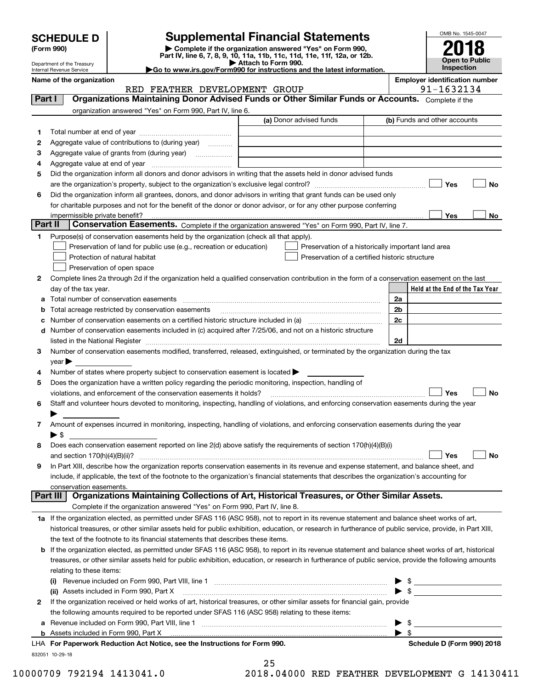| <b>SCHEDULE D</b> |  |
|-------------------|--|
|-------------------|--|

## **SCHEDULE D Supplemental Financial Statements**

(Form 990)<br>
Pepartment of the Treasury<br>
Department of the Treasury<br>
Department of the Treasury<br>
Department of the Treasury<br> **Co to www.irs.gov/Form990 for instructions and the latest information.**<br> **Co to www.irs.gov/Form9** 



Department of the Treasury Internal Revenue Service

|         | Name of the organization<br>RED FEATHER DEVELOPMENT GROUP                                                                                                 |                         | <b>Employer identification number</b><br>91-1632134                                                                                                                                                                                                                                                                 |
|---------|-----------------------------------------------------------------------------------------------------------------------------------------------------------|-------------------------|---------------------------------------------------------------------------------------------------------------------------------------------------------------------------------------------------------------------------------------------------------------------------------------------------------------------|
| Part I  | Organizations Maintaining Donor Advised Funds or Other Similar Funds or Accounts. Complete if the                                                         |                         |                                                                                                                                                                                                                                                                                                                     |
|         | organization answered "Yes" on Form 990, Part IV, line 6.                                                                                                 |                         |                                                                                                                                                                                                                                                                                                                     |
|         |                                                                                                                                                           | (a) Donor advised funds | (b) Funds and other accounts                                                                                                                                                                                                                                                                                        |
|         |                                                                                                                                                           |                         |                                                                                                                                                                                                                                                                                                                     |
| 1       |                                                                                                                                                           |                         |                                                                                                                                                                                                                                                                                                                     |
| 2       | Aggregate value of contributions to (during year)                                                                                                         |                         |                                                                                                                                                                                                                                                                                                                     |
| 3       | Aggregate value of grants from (during year)                                                                                                              |                         |                                                                                                                                                                                                                                                                                                                     |
| 4       |                                                                                                                                                           |                         |                                                                                                                                                                                                                                                                                                                     |
| 5       | Did the organization inform all donors and donor advisors in writing that the assets held in donor advised funds                                          |                         |                                                                                                                                                                                                                                                                                                                     |
|         |                                                                                                                                                           |                         | Yes<br>No                                                                                                                                                                                                                                                                                                           |
| 6       | Did the organization inform all grantees, donors, and donor advisors in writing that grant funds can be used only                                         |                         |                                                                                                                                                                                                                                                                                                                     |
|         | for charitable purposes and not for the benefit of the donor or donor advisor, or for any other purpose conferring                                        |                         |                                                                                                                                                                                                                                                                                                                     |
|         | impermissible private benefit?                                                                                                                            |                         | Yes<br>No                                                                                                                                                                                                                                                                                                           |
| Part II | Conservation Easements. Complete if the organization answered "Yes" on Form 990, Part IV, line 7.                                                         |                         |                                                                                                                                                                                                                                                                                                                     |
| 1       | Purpose(s) of conservation easements held by the organization (check all that apply).                                                                     |                         |                                                                                                                                                                                                                                                                                                                     |
|         | Preservation of land for public use (e.g., recreation or education)                                                                                       |                         | Preservation of a historically important land area                                                                                                                                                                                                                                                                  |
|         | Protection of natural habitat                                                                                                                             |                         | Preservation of a certified historic structure                                                                                                                                                                                                                                                                      |
|         | Preservation of open space                                                                                                                                |                         |                                                                                                                                                                                                                                                                                                                     |
| 2       | Complete lines 2a through 2d if the organization held a qualified conservation contribution in the form of a conservation easement on the last            |                         |                                                                                                                                                                                                                                                                                                                     |
|         | day of the tax year.                                                                                                                                      |                         | Held at the End of the Tax Year                                                                                                                                                                                                                                                                                     |
| a       | Total number of conservation easements                                                                                                                    |                         | 2a                                                                                                                                                                                                                                                                                                                  |
| b       | Total acreage restricted by conservation easements                                                                                                        |                         | 2 <sub>b</sub>                                                                                                                                                                                                                                                                                                      |
| с       |                                                                                                                                                           |                         | 2c                                                                                                                                                                                                                                                                                                                  |
| d       | Number of conservation easements included in (c) acquired after 7/25/06, and not on a historic structure                                                  |                         |                                                                                                                                                                                                                                                                                                                     |
|         |                                                                                                                                                           |                         | 2d                                                                                                                                                                                                                                                                                                                  |
| 3       | Number of conservation easements modified, transferred, released, extinguished, or terminated by the organization during the tax                          |                         |                                                                                                                                                                                                                                                                                                                     |
|         | $\mathsf{year}$                                                                                                                                           |                         |                                                                                                                                                                                                                                                                                                                     |
| 4       | Number of states where property subject to conservation easement is located >                                                                             |                         |                                                                                                                                                                                                                                                                                                                     |
| 5       | Does the organization have a written policy regarding the periodic monitoring, inspection, handling of                                                    |                         |                                                                                                                                                                                                                                                                                                                     |
|         | violations, and enforcement of the conservation easements it holds?                                                                                       |                         | Yes<br><b>No</b>                                                                                                                                                                                                                                                                                                    |
| 6       | Staff and volunteer hours devoted to monitoring, inspecting, handling of violations, and enforcing conservation easements during the year                 |                         |                                                                                                                                                                                                                                                                                                                     |
|         |                                                                                                                                                           |                         |                                                                                                                                                                                                                                                                                                                     |
| 7       | Amount of expenses incurred in monitoring, inspecting, handling of violations, and enforcing conservation easements during the year                       |                         |                                                                                                                                                                                                                                                                                                                     |
|         | $\blacktriangleright$ \$                                                                                                                                  |                         |                                                                                                                                                                                                                                                                                                                     |
| 8       | Does each conservation easement reported on line 2(d) above satisfy the requirements of section 170(h)(4)(B)(i)                                           |                         |                                                                                                                                                                                                                                                                                                                     |
|         |                                                                                                                                                           |                         | Yes<br>No                                                                                                                                                                                                                                                                                                           |
|         |                                                                                                                                                           |                         |                                                                                                                                                                                                                                                                                                                     |
|         | In Part XIII, describe how the organization reports conservation easements in its revenue and expense statement, and balance sheet, and                   |                         |                                                                                                                                                                                                                                                                                                                     |
|         | include, if applicable, the text of the footnote to the organization's financial statements that describes the organization's accounting for              |                         |                                                                                                                                                                                                                                                                                                                     |
|         | conservation easements.<br>Organizations Maintaining Collections of Art, Historical Treasures, or Other Similar Assets.<br>Part III                       |                         |                                                                                                                                                                                                                                                                                                                     |
|         | Complete if the organization answered "Yes" on Form 990, Part IV, line 8.                                                                                 |                         |                                                                                                                                                                                                                                                                                                                     |
|         |                                                                                                                                                           |                         |                                                                                                                                                                                                                                                                                                                     |
|         | 1a If the organization elected, as permitted under SFAS 116 (ASC 958), not to report in its revenue statement and balance sheet works of art,             |                         |                                                                                                                                                                                                                                                                                                                     |
|         | historical treasures, or other similar assets held for public exhibition, education, or research in furtherance of public service, provide, in Part XIII, |                         |                                                                                                                                                                                                                                                                                                                     |
|         | the text of the footnote to its financial statements that describes these items.                                                                          |                         |                                                                                                                                                                                                                                                                                                                     |
| b       | If the organization elected, as permitted under SFAS 116 (ASC 958), to report in its revenue statement and balance sheet works of art, historical         |                         |                                                                                                                                                                                                                                                                                                                     |
|         | treasures, or other similar assets held for public exhibition, education, or research in furtherance of public service, provide the following amounts     |                         |                                                                                                                                                                                                                                                                                                                     |
|         | relating to these items:                                                                                                                                  |                         |                                                                                                                                                                                                                                                                                                                     |
|         |                                                                                                                                                           |                         | $\frac{1}{2}$ $\frac{1}{2}$ $\frac{1}{2}$ $\frac{1}{2}$ $\frac{1}{2}$ $\frac{1}{2}$ $\frac{1}{2}$ $\frac{1}{2}$ $\frac{1}{2}$ $\frac{1}{2}$ $\frac{1}{2}$ $\frac{1}{2}$ $\frac{1}{2}$ $\frac{1}{2}$ $\frac{1}{2}$ $\frac{1}{2}$ $\frac{1}{2}$ $\frac{1}{2}$ $\frac{1}{2}$ $\frac{1}{2}$ $\frac{1}{2}$ $\frac{1}{2}$ |
|         | (ii) Assets included in Form 990, Part X                                                                                                                  |                         | $\blacktriangleright$ \$                                                                                                                                                                                                                                                                                            |
| 2       | If the organization received or held works of art, historical treasures, or other similar assets for financial gain, provide                              |                         |                                                                                                                                                                                                                                                                                                                     |
|         | the following amounts required to be reported under SFAS 116 (ASC 958) relating to these items:                                                           |                         |                                                                                                                                                                                                                                                                                                                     |
| a       |                                                                                                                                                           |                         | -\$                                                                                                                                                                                                                                                                                                                 |
|         | <b>b</b> Assets included in Form 990, Part X                                                                                                              |                         | \$                                                                                                                                                                                                                                                                                                                  |
|         | LHA For Paperwork Reduction Act Notice, see the Instructions for Form 990.                                                                                |                         | Schedule D (Form 990) 2018                                                                                                                                                                                                                                                                                          |
|         | 832051 10-29-18                                                                                                                                           |                         |                                                                                                                                                                                                                                                                                                                     |

25

10000709 792194 1413041.0 2018.04000 RED FEATHER DEVELOPMENT G 14130411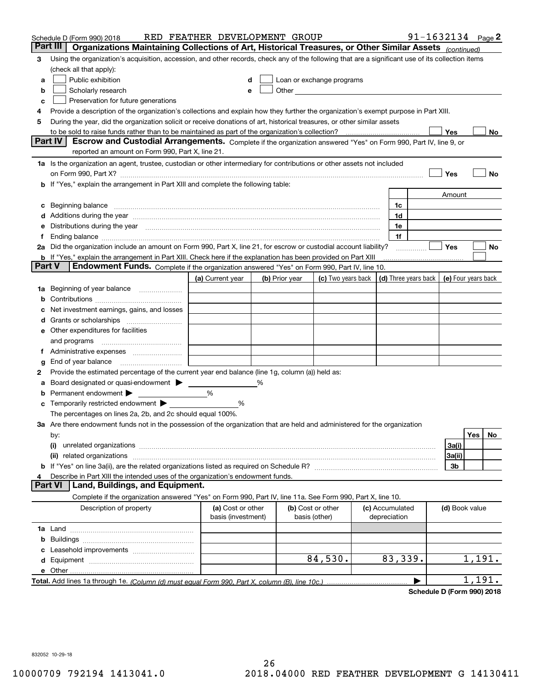|        | Schedule D (Form 990) 2018                                                                                                                                                                                                     | RED FEATHER DEVELOPMENT GROUP           |   |                |                                                                                                                                                                                                                               |                                 | 91-1632134 $_{Page}$ 2 |                     |        |    |
|--------|--------------------------------------------------------------------------------------------------------------------------------------------------------------------------------------------------------------------------------|-----------------------------------------|---|----------------|-------------------------------------------------------------------------------------------------------------------------------------------------------------------------------------------------------------------------------|---------------------------------|------------------------|---------------------|--------|----|
|        | Organizations Maintaining Collections of Art, Historical Treasures, or Other Similar Assets (continued)<br>Part III                                                                                                            |                                         |   |                |                                                                                                                                                                                                                               |                                 |                        |                     |        |    |
| 3      | Using the organization's acquisition, accession, and other records, check any of the following that are a significant use of its collection items                                                                              |                                         |   |                |                                                                                                                                                                                                                               |                                 |                        |                     |        |    |
|        | (check all that apply):                                                                                                                                                                                                        |                                         |   |                |                                                                                                                                                                                                                               |                                 |                        |                     |        |    |
| a      | Public exhibition                                                                                                                                                                                                              |                                         |   |                | Loan or exchange programs                                                                                                                                                                                                     |                                 |                        |                     |        |    |
| b      | Scholarly research                                                                                                                                                                                                             | е                                       |   |                | Other and the contract of the contract of the contract of the contract of the contract of the contract of the contract of the contract of the contract of the contract of the contract of the contract of the contract of the |                                 |                        |                     |        |    |
| c      | Preservation for future generations                                                                                                                                                                                            |                                         |   |                |                                                                                                                                                                                                                               |                                 |                        |                     |        |    |
| 4      | Provide a description of the organization's collections and explain how they further the organization's exempt purpose in Part XIII.                                                                                           |                                         |   |                |                                                                                                                                                                                                                               |                                 |                        |                     |        |    |
| 5      | During the year, did the organization solicit or receive donations of art, historical treasures, or other similar assets                                                                                                       |                                         |   |                |                                                                                                                                                                                                                               |                                 |                        |                     |        |    |
|        | to be sold to raise funds rather than to be maintained as part of the organization's collection?                                                                                                                               |                                         |   |                |                                                                                                                                                                                                                               |                                 |                        | Yes                 |        | No |
|        | <b>Part IV</b><br>Escrow and Custodial Arrangements. Complete if the organization answered "Yes" on Form 990, Part IV, line 9, or                                                                                              |                                         |   |                |                                                                                                                                                                                                                               |                                 |                        |                     |        |    |
|        | reported an amount on Form 990, Part X, line 21.                                                                                                                                                                               |                                         |   |                |                                                                                                                                                                                                                               |                                 |                        |                     |        |    |
|        | 1a Is the organization an agent, trustee, custodian or other intermediary for contributions or other assets not included                                                                                                       |                                         |   |                |                                                                                                                                                                                                                               |                                 |                        |                     |        |    |
|        |                                                                                                                                                                                                                                |                                         |   |                |                                                                                                                                                                                                                               |                                 |                        | Yes                 |        | No |
|        | b If "Yes," explain the arrangement in Part XIII and complete the following table:                                                                                                                                             |                                         |   |                |                                                                                                                                                                                                                               |                                 |                        |                     |        |    |
|        |                                                                                                                                                                                                                                |                                         |   |                |                                                                                                                                                                                                                               |                                 |                        | Amount              |        |    |
|        | Beginning balance                                                                                                                                                                                                              |                                         |   |                |                                                                                                                                                                                                                               | 1c                              |                        |                     |        |    |
|        | Additions during the year manufactured and an annual contract of the year manufactured and a set of the year manufactured and a set of the year manufactured and a set of the year manufactured and a set of the year manufact |                                         |   |                |                                                                                                                                                                                                                               | 1d                              |                        |                     |        |    |
|        | Distributions during the year manufactured and continuum and contained and the year manufactured and contained                                                                                                                 |                                         |   |                |                                                                                                                                                                                                                               | 1e                              |                        |                     |        |    |
|        |                                                                                                                                                                                                                                |                                         |   |                |                                                                                                                                                                                                                               | 1f                              |                        |                     |        |    |
|        | 2a Did the organization include an amount on Form 990, Part X, line 21, for escrow or custodial account liability?                                                                                                             |                                         |   |                |                                                                                                                                                                                                                               |                                 |                        | Yes                 |        | No |
|        | <b>b</b> If "Yes," explain the arrangement in Part XIII. Check here if the explanation has been provided on Part XIII<br>Part V<br>Endowment Funds. Complete if the organization answered "Yes" on Form 990, Part IV, line 10. |                                         |   |                |                                                                                                                                                                                                                               |                                 |                        |                     |        |    |
|        |                                                                                                                                                                                                                                |                                         |   |                |                                                                                                                                                                                                                               |                                 |                        |                     |        |    |
|        |                                                                                                                                                                                                                                | (a) Current year                        |   | (b) Prior year | (c) Two years back                                                                                                                                                                                                            | (d) Three years back            |                        | (e) Four years back |        |    |
| 1a     | Beginning of year balance                                                                                                                                                                                                      |                                         |   |                |                                                                                                                                                                                                                               |                                 |                        |                     |        |    |
|        |                                                                                                                                                                                                                                |                                         |   |                |                                                                                                                                                                                                                               |                                 |                        |                     |        |    |
|        | Net investment earnings, gains, and losses                                                                                                                                                                                     |                                         |   |                |                                                                                                                                                                                                                               |                                 |                        |                     |        |    |
|        | Other expenditures for facilities                                                                                                                                                                                              |                                         |   |                |                                                                                                                                                                                                                               |                                 |                        |                     |        |    |
| е      |                                                                                                                                                                                                                                |                                         |   |                |                                                                                                                                                                                                                               |                                 |                        |                     |        |    |
|        | and programs                                                                                                                                                                                                                   |                                         |   |                |                                                                                                                                                                                                                               |                                 |                        |                     |        |    |
|        | End of year balance                                                                                                                                                                                                            |                                         |   |                |                                                                                                                                                                                                                               |                                 |                        |                     |        |    |
| g<br>2 | Provide the estimated percentage of the current year end balance (line 1g, column (a)) held as:                                                                                                                                |                                         |   |                |                                                                                                                                                                                                                               |                                 |                        |                     |        |    |
|        | Board designated or quasi-endowment >                                                                                                                                                                                          |                                         | % |                |                                                                                                                                                                                                                               |                                 |                        |                     |        |    |
|        | Permanent endowment ▶                                                                                                                                                                                                          | %                                       |   |                |                                                                                                                                                                                                                               |                                 |                        |                     |        |    |
| с      | Temporarily restricted endowment                                                                                                                                                                                               | %                                       |   |                |                                                                                                                                                                                                                               |                                 |                        |                     |        |    |
|        | The percentages on lines 2a, 2b, and 2c should equal 100%.                                                                                                                                                                     |                                         |   |                |                                                                                                                                                                                                                               |                                 |                        |                     |        |    |
|        | 3a Are there endowment funds not in the possession of the organization that are held and administered for the organization                                                                                                     |                                         |   |                |                                                                                                                                                                                                                               |                                 |                        |                     |        |    |
|        | by:                                                                                                                                                                                                                            |                                         |   |                |                                                                                                                                                                                                                               |                                 |                        |                     | Yes    | No |
|        | (i)                                                                                                                                                                                                                            |                                         |   |                |                                                                                                                                                                                                                               |                                 |                        | 3a(i)               |        |    |
|        | (ii) related organizations                                                                                                                                                                                                     |                                         |   |                |                                                                                                                                                                                                                               |                                 |                        | 3a(ii)              |        |    |
|        |                                                                                                                                                                                                                                |                                         |   |                |                                                                                                                                                                                                                               |                                 |                        | 3b                  |        |    |
|        | Describe in Part XIII the intended uses of the organization's endowment funds.                                                                                                                                                 |                                         |   |                |                                                                                                                                                                                                                               |                                 |                        |                     |        |    |
|        | Land, Buildings, and Equipment.<br>Part VI                                                                                                                                                                                     |                                         |   |                |                                                                                                                                                                                                                               |                                 |                        |                     |        |    |
|        | Complete if the organization answered "Yes" on Form 990, Part IV, line 11a. See Form 990, Part X, line 10.                                                                                                                     |                                         |   |                |                                                                                                                                                                                                                               |                                 |                        |                     |        |    |
|        | Description of property                                                                                                                                                                                                        | (a) Cost or other<br>basis (investment) |   |                | (b) Cost or other<br>basis (other)                                                                                                                                                                                            | (c) Accumulated<br>depreciation |                        | (d) Book value      |        |    |
|        |                                                                                                                                                                                                                                |                                         |   |                |                                                                                                                                                                                                                               |                                 |                        |                     |        |    |
| b      |                                                                                                                                                                                                                                |                                         |   |                |                                                                                                                                                                                                                               |                                 |                        |                     |        |    |
|        |                                                                                                                                                                                                                                |                                         |   |                |                                                                                                                                                                                                                               |                                 |                        |                     |        |    |
| d      |                                                                                                                                                                                                                                |                                         |   |                | 84,530.                                                                                                                                                                                                                       | 83,339.                         |                        |                     | 1,191. |    |
|        | e Other                                                                                                                                                                                                                        |                                         |   |                |                                                                                                                                                                                                                               |                                 |                        |                     |        |    |
|        |                                                                                                                                                                                                                                |                                         |   |                |                                                                                                                                                                                                                               |                                 |                        |                     | 1,191. |    |

**Schedule D (Form 990) 2018**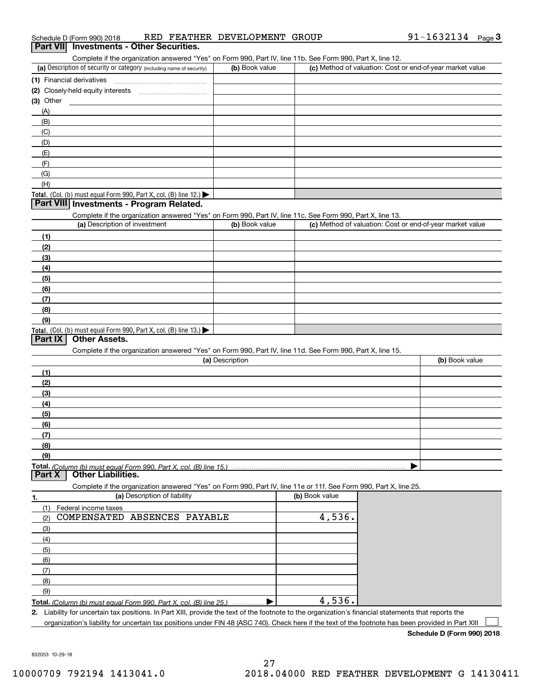|  | Schedule D (Form 990) 2018 |  |  | RED FEATHER DEVELOPMENT GROUP |  | 91-1632134 | Page |  |
|--|----------------------------|--|--|-------------------------------|--|------------|------|--|
|--|----------------------------|--|--|-------------------------------|--|------------|------|--|

# Complete if the organization answered "Yes" on Form 990, Part IV, line 11b. See Form 990, Part X, line 12. **3Part VII Investments - Other Securities.**

| (a) Description of security or category (including name of security) | (b) Book value | (c) Method of valuation: Cost or end-of-year market value |
|----------------------------------------------------------------------|----------------|-----------------------------------------------------------|
| (1) Financial derivatives                                            |                |                                                           |
| (2) Closely-held equity interests                                    |                |                                                           |
| (3) Other                                                            |                |                                                           |
| (A)                                                                  |                |                                                           |
| (B)                                                                  |                |                                                           |
| (C)                                                                  |                |                                                           |
| (D)                                                                  |                |                                                           |
| (E)                                                                  |                |                                                           |
| (F)                                                                  |                |                                                           |
| (G)                                                                  |                |                                                           |
| (H)                                                                  |                |                                                           |
| Total. (Col. (b) must equal Form 990, Part X, col. (B) line $12$ .)  |                |                                                           |

#### **Part VIII Investments - Program Related.**

Complete if the organization answered "Yes" on Form 990, Part IV, line 11c. See Form 990, Part X, line 13.

| (a) Description of investment                                       | (b) Book value | (c) Method of valuation: Cost or end-of-year market value |
|---------------------------------------------------------------------|----------------|-----------------------------------------------------------|
| (1)                                                                 |                |                                                           |
| (2)                                                                 |                |                                                           |
| $\frac{1}{2}$                                                       |                |                                                           |
| (4)                                                                 |                |                                                           |
| $\left(5\right)$                                                    |                |                                                           |
| (6)                                                                 |                |                                                           |
| (7)                                                                 |                |                                                           |
| (8)                                                                 |                |                                                           |
| (9)                                                                 |                |                                                           |
| Total. (Col. (b) must equal Form 990, Part X, col. (B) line $13.$ ) |                |                                                           |

#### **Part IX Other Assets.**

Complete if the organization answered "Yes" on Form 990, Part IV, line 11d. See Form 990, Part X, line 15.

| (a) Description | (b) Book value |
|-----------------|----------------|
| (1)             |                |
| (2)             |                |
| (3)             |                |
| (4)             |                |
| (5)             |                |
| (6)             |                |
| (7)             |                |
| (8)             |                |
| (9)             |                |
|                 |                |

#### **Part X Other Liabilities.**

Complete if the organization answered "Yes" on Form 990, Part IV, line 11e or 11f. See Form 990, Part X, line 25.

| 1.  | (a) Description of liability                                                                                                                         | (b) Book value |  |
|-----|------------------------------------------------------------------------------------------------------------------------------------------------------|----------------|--|
|     | Federal income taxes                                                                                                                                 |                |  |
| (2) | COMPENSATED ABSENCES PAYABLE                                                                                                                         | 4,536.         |  |
| (3) |                                                                                                                                                      |                |  |
| (4) |                                                                                                                                                      |                |  |
| (5) |                                                                                                                                                      |                |  |
| (6) |                                                                                                                                                      |                |  |
| (7) |                                                                                                                                                      |                |  |
| (8) |                                                                                                                                                      |                |  |
| (9) |                                                                                                                                                      |                |  |
|     | Total. (Column (b) must equal Form 990, Part X, col. (B) line 25.)                                                                                   | 4,536.         |  |
|     | 2. Liability for uncertain tax positions. In Part XIII, provide the text of the footnote to the organization's financial statements that reports the |                |  |

organization's liability for uncertain tax positions under FIN 48 (ASC 740). Check here if the text of the footnote has been provided in Part XIII  $\mathcal{L}^{\text{max}}$ 

**Schedule D (Form 990) 2018**

832053 10-29-18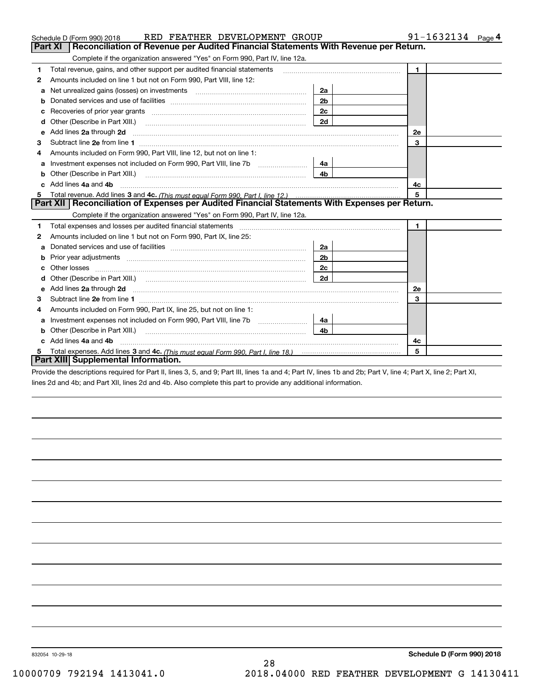| RED FEATHER DEVELOPMENT GROUP<br>Schedule D (Form 990) 2018                                                                                                                                                                         |                | 91-1632134 $_{Page}$ 4 |
|-------------------------------------------------------------------------------------------------------------------------------------------------------------------------------------------------------------------------------------|----------------|------------------------|
| Reconciliation of Revenue per Audited Financial Statements With Revenue per Return.<br>Part XI                                                                                                                                      |                |                        |
| Complete if the organization answered "Yes" on Form 990, Part IV, line 12a.                                                                                                                                                         |                |                        |
| Total revenue, gains, and other support per audited financial statements<br>1                                                                                                                                                       |                | $\mathbf{1}$           |
| Amounts included on line 1 but not on Form 990, Part VIII, line 12:<br>2                                                                                                                                                            |                |                        |
| Net unrealized gains (losses) on investments [11] matter contracts and the unrealized gains (losses) on investments<br>а                                                                                                            | 2a             |                        |
| b                                                                                                                                                                                                                                   | 2 <sub>b</sub> |                        |
|                                                                                                                                                                                                                                     | 2c             |                        |
| Other (Describe in Part XIII.) <b>Construction Contract Construction</b> Chemistry Chemistry Chemistry Chemistry Chemistry                                                                                                          | 2d             |                        |
| Add lines 2a through 2d<br>е                                                                                                                                                                                                        |                | 2e                     |
| з                                                                                                                                                                                                                                   |                | 3                      |
| Amounts included on Form 990, Part VIII, line 12, but not on line 1:<br>4                                                                                                                                                           |                |                        |
| а                                                                                                                                                                                                                                   | 4a l           |                        |
| Other (Describe in Part XIII.) <b>Construction Contract Construction</b> Chemistry Chemistry Chemistry Chemistry Chemistry<br>b                                                                                                     | 4b.            |                        |
| Add lines 4a and 4b                                                                                                                                                                                                                 |                | 4c                     |
| 5                                                                                                                                                                                                                                   |                | 5                      |
| Part XII   Reconciliation of Expenses per Audited Financial Statements With Expenses per Return.                                                                                                                                    |                |                        |
| Complete if the organization answered "Yes" on Form 990, Part IV, line 12a.                                                                                                                                                         |                |                        |
| Total expenses and losses per audited financial statements [11] [11] Total expenses and losses per audited financial statements [11] [11] Total expenses and losses per audited financial statements<br>1                           |                | $\mathbf{1}$           |
| Amounts included on line 1 but not on Form 990, Part IX, line 25:<br>2                                                                                                                                                              |                |                        |
| a                                                                                                                                                                                                                                   | 2a             |                        |
|                                                                                                                                                                                                                                     | 2 <sub>b</sub> |                        |
|                                                                                                                                                                                                                                     | 2c             |                        |
| Other (Describe in Part XIII.) (2000) (2000) (2000) (2000) (2000) (2000) (2000) (2000) (2000) (2000) (2000) (2000) (2000) (2000) (2000) (2000) (2000) (2000) (2000) (2000) (2000) (2000) (2000) (2000) (2000) (2000) (2000) (2<br>d | 2d             |                        |
| Add lines 2a through 2d <b>must be a constructed as the constant of the constant of the constant of the construction</b><br>e                                                                                                       |                | 2e                     |
| з                                                                                                                                                                                                                                   |                | 3                      |
| Amounts included on Form 990, Part IX, line 25, but not on line 1:<br>4                                                                                                                                                             |                |                        |
| a                                                                                                                                                                                                                                   | 4a             |                        |
| b                                                                                                                                                                                                                                   | 4h             |                        |
| Add lines 4a and 4b                                                                                                                                                                                                                 |                | 4c                     |
| 5                                                                                                                                                                                                                                   |                | 5                      |
| Part XIII Supplemental Information.                                                                                                                                                                                                 |                |                        |
| Provide the descriptions required for Part II, lines 3, 5, and 9; Part III, lines 1a and 4; Part IV, lines 1b and 2b; Part V, line 4; Part X, line 2; Part XI,                                                                      |                |                        |

lines 2d and 4b; and Part XII, lines 2d and 4b. Also complete this part to provide any additional information.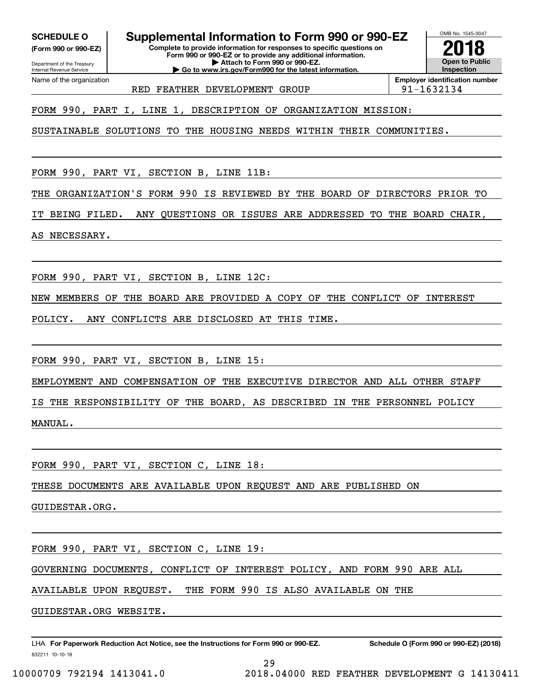**(Form 990 or 990-EZ)**

Department of the Treasury Internal Revenue Service Name of the organization

### **SCHEDULE O Supplemental Information to Form 990 or 990-EZ**

**Complete to provide information for responses to specific questions on Form 990 or 990-EZ or to provide any additional information. | Attach to Form 990 or 990-EZ. | Go to www.irs.gov/Form990 for the latest information.**



RED FEATHER DEVELOPMENT GROUP  $|91-1632134$ 

**Employer identification number**

FORM 990, PART I, LINE 1, DESCRIPTION OF ORGANIZATION MISSION:

SUSTAINABLE SOLUTIONS TO THE HOUSING NEEDS WITHIN THEIR COMMUNITIES.

FORM 990, PART VI, SECTION B, LINE 11B:

THE ORGANIZATION'S FORM 990 IS REVIEWED BY THE BOARD OF DIRECTORS PRIOR TO

IT BEING FILED. ANY QUESTIONS OR ISSUES ARE ADDRESSED TO THE BOARD CHAIR,

AS NECESSARY.

FORM 990, PART VI, SECTION B, LINE 12C:

NEW MEMBERS OF THE BOARD ARE PROVIDED A COPY OF THE CONFLICT OF INTEREST

POLICY. ANY CONFLICTS ARE DISCLOSED AT THIS TIME.

FORM 990, PART VI, SECTION B, LINE 15:

EMPLOYMENT AND COMPENSATION OF THE EXECUTIVE DIRECTOR AND ALL OTHER STAFF

IS THE RESPONSIBILITY OF THE BOARD, AS DESCRIBED IN THE PERSONNEL POLICY MANUAL.

FORM 990, PART VI, SECTION C, LINE 18:

THESE DOCUMENTS ARE AVAILABLE UPON REQUEST AND ARE PUBLISHED ON

GUIDESTAR.ORG.

FORM 990, PART VI, SECTION C, LINE 19:

GOVERNING DOCUMENTS, CONFLICT OF INTEREST POLICY, AND FORM 990 ARE ALL

AVAILABLE UPON REQUEST. THE FORM 990 IS ALSO AVAILABLE ON THE

GUIDESTAR.ORG WEBSITE.

832211 10-10-18 LHA For Paperwork Reduction Act Notice, see the Instructions for Form 990 or 990-EZ. Schedule O (Form 990 or 990-EZ) (2018)

29